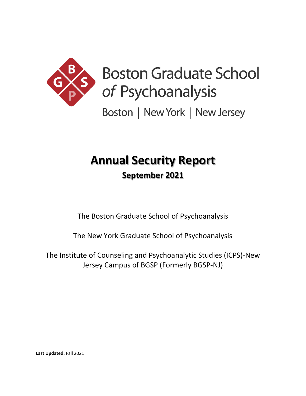

# **Boston Graduate School** of Psychoanalysis

Boston | New York | New Jersey

## **Annual Security Report September 2021**

The Boston Graduate School of Psychoanalysis

The New York Graduate School of Psychoanalysis

The Institute of Counseling and Psychoanalytic Studies (ICPS)-New Jersey Campus of BGSP (Formerly BGSP-NJ)

**Last Updated:** Fall 2021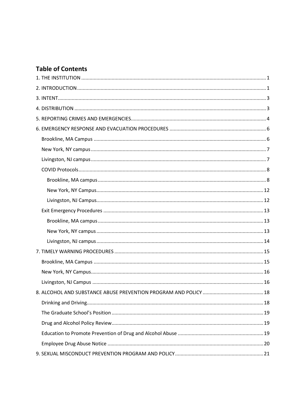## **Table of Contents**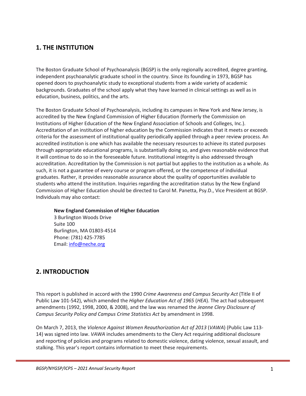## <span id="page-4-0"></span>**1. THE INSTITUTION**

The Boston Graduate School of Psychoanalysis (BGSP) is the only regionally accredited, degree granting, independent psychoanalytic graduate school in the country. Since its founding in 1973, BGSP has opened doors to psychoanalytic study to exceptional students from a wide variety of academic backgrounds. Graduates of the school apply what they have learned in clinical settings as well as in education, business, politics, and the arts.

The Boston Graduate School of Psychoanalysis, including its campuses in New York and New Jersey, is accredited by the New England Commission of Higher Education (formerly the Commission on Institutions of Higher Education of the New England Association of Schools and Colleges, Inc.). Accreditation of an institution of higher education by the Commission indicates that it meets or exceeds criteria for the assessment of institutional quality periodically applied through a peer review process. An accredited institution is one which has available the necessary resources to achieve its stated purposes through appropriate educational programs, is substantially doing so, and gives reasonable evidence that it will continue to do so in the foreseeable future. Institutional integrity is also addressed through accreditation. Accreditation by the Commission is not partial but applies to the institution as a whole. As such, it is not a guarantee of every course or program offered, or the competence of individual graduates. Rather, it provides reasonable assurance about the quality of opportunities available to students who attend the institution. Inquiries regarding the accreditation status by the New England Commission of Higher Education should be directed to Carol M. Panetta, Psy.D., Vice President at BGSP. Individuals may also contact:

#### **New England Commission of Higher Education**

3 Burlington Woods Drive Suite 100 Burlington, MA 01803-4514 Phone: (781) 425-7785 Email: [info@neche.org](mailto:info@neche.org)

## <span id="page-4-1"></span>**2. INTRODUCTION**

This report is published in accord with the 1990 *Crime Awareness and Campus Security Act* (Title II of Public Law 101-542), which amended the *Higher Education Act of 1965* (*HEA*). The act had subsequent amendments (1992, 1998, 2000, & 2008), and the law was renamed the *Jeanne Clery Disclosure of Campus Security Policy and Campus Crime Statistics Act* by amendment in 1998.

On March 7, 2013, the *Violence Against Women Reauthorization Act of 2013* (*VAWA*) (Public Law 113- 14) was signed into law. *VAWA* includes amendments to the Clery Act requiring additional disclosure and reporting of policies and programs related to domestic violence, dating violence, sexual assault, and stalking. This year's report contains information to meet these requirements.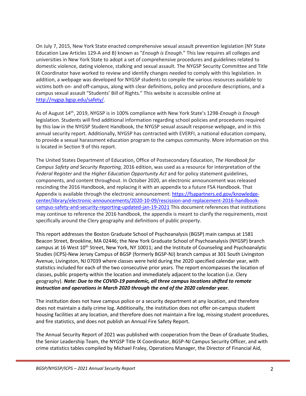On July 7, 2015, New York State enacted comprehensive sexual assault prevention legislation (NY State Education Law Articles 129-A and B) known as "*Enough is Enough*." This law requires all colleges and universities in New York State to adopt a set of comprehensive procedures and guidelines related to domestic violence, dating violence, stalking and sexual assault. The NYGSP Security Committee and Title IX Coordinator have worked to review and identify changes needed to comply with this legislation. In addition, a webpage was developed for NYGSP students to compile the various resources available to victims both on- and off-campus, along with clear definitions, policy and procedure descriptions, and a campus sexual assault "Students' Bill of Rights." This website is accessible online at [http://nygsp.bgsp.edu/safety/.](http://nygsp.bgsp.edu/safety/)

As of August 14th, 2019, NYGSP is in 100% compliance with New York State's 129B-*Enough is Enough* legislation. Students will find additional information regarding school policies and procedures required by this law in the NYGSP Student Handbook, the NYGSP sexual assault response webpage, and in this annual security report. Additionally, NYGSP has contracted with EVERFI, a national education company, to provide a sexual harassment education program to the campus community. More information on this is located in Section 9 of this report.

The United States Department of Education, Office of Postsecondary Education, *The Handbook for Campus Safety and Security Reporting,* 2016 edition, was used as a resource for interpretation of the *Federal Register* and the *Higher Education Opportunity Act* and for policy statement guidelines, components, and content throughout. In October 2020, an electronic announcement was released rescinding the 2016 Handbook, and replacing it with an appendix to a future FSA Handbook. That Appendix is available through the electronic announcement: [https://fsapartners.ed.gov/knowledge](https://fsapartners.ed.gov/knowledge-center/library/electronic-announcements/2020-10-09/rescission-and-replacement-2016-handbook-campus-safety-and-security-reporting-updated-jan-19-2021)[center/library/electronic-announcements/2020-10-09/rescission-and-replacement-2016-handbook](https://fsapartners.ed.gov/knowledge-center/library/electronic-announcements/2020-10-09/rescission-and-replacement-2016-handbook-campus-safety-and-security-reporting-updated-jan-19-2021)[campus-safety-and-security-reporting-updated-jan-19-2021](https://fsapartners.ed.gov/knowledge-center/library/electronic-announcements/2020-10-09/rescission-and-replacement-2016-handbook-campus-safety-and-security-reporting-updated-jan-19-2021) This document references that institutions may continue to reference the 2016 handbook, the appendix is meant to clarify the requirements, most specifically around the Clery geography and definitions of public property.

This report addresses the Boston Graduate School of Psychoanalysis (BGSP) main campus at 1581 Beacon Street, Brookline, MA 02446; the New York Graduate School of Psychoanalysis (NYGSP) branch campus at 16 West 10<sup>th</sup> Street, New York, NY 10011; and the Institute of Counseling and Psychoanalytic Studies (ICPS)-New Jersey Campus of BGSP (formerly BGSP-NJ) branch campus at 301 South Livingston Avenue, Livingston, NJ 07039 where classes were held during the 2020 specified calendar year, with statistics included for each of the two consecutive prior years. The report encompasses the location of classes, public property within the location and immediately adjacent to the location (i.e. Clery geography). *Note: Due to the COVID-19 pandemic, all three campus locations shifted to remote instruction and operations in March 2020 through the end of the 2020 calendar year.*

The institution does not have campus police or a security department at any location, and therefore does not maintain a daily crime log. Additionally, the institution does not offer on-campus student housing facilities at any location, and therefore does not maintain a fire log, missing student procedures, and fire statistics, and does not publish an Annual Fire Safety Report.

The Annual Security Report of 2021 was published with cooperation from the Dean of Graduate Studies, the Senior Leadership Team, the NYGSP Title IX Coordinator, BGSP-NJ Campus Security Officer, and with crime statistics tables compiled by Michael Fraley, Operations Manager, the Director of Financial Aid,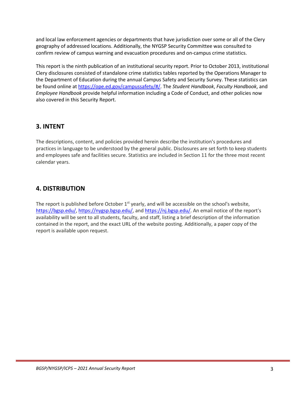and local law enforcement agencies or departments that have jurisdiction over some or all of the Clery geography of addressed locations. Additionally, the NYGSP Security Committee was consulted to confirm review of campus warning and evacuation procedures and on-campus crime statistics.

This report is the ninth publication of an institutional security report. Prior to October 2013, institutional Clery disclosures consisted of standalone crime statistics tables reported by the Operations Manager to the Department of Education during the annual Campus Safety and Security Survey. These statistics can be found online a[t https://ope.ed.gov/campussafety/#/.](https://ope.ed.gov/campussafety/#/) The *Student Handbook*, *Faculty Handbook*, and *Employee Handbook* provide helpful information including a Code of Conduct, and other policies now also covered in this Security Report.

## <span id="page-6-0"></span>**3. INTENT**

The descriptions, content, and policies provided herein describe the institution's procedures and practices in language to be understood by the general public. Disclosures are set forth to keep students and employees safe and facilities secure. Statistics are included in Section 11 for the three most recent calendar years.

## <span id="page-6-1"></span>**4. DISTRIBUTION**

The report is published before October  $1<sup>st</sup>$  yearly, and will be accessible on the school's website, [https://bgsp.edu/,](https://bgsp.edu/) [https://nygsp.bgsp.edu/,](https://nygsp.bgsp.edu/) and [https://nj.bgsp.edu/.](https://nj.bgsp.edu/) An email notice of the report's availability will be sent to all students, faculty, and staff, listing a brief description of the information contained in the report, and the exact URL of the website posting. Additionally, a paper copy of the report is available upon request.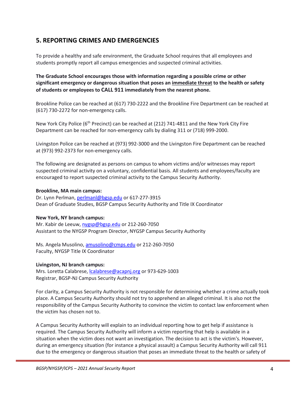## <span id="page-7-0"></span>**5. REPORTING CRIMES AND EMERGENCIES**

To provide a healthy and safe environment, the Graduate School requires that all employees and students promptly report all campus emergencies and suspected criminal activities.

**The Graduate School encourages those with information regarding a possible crime or other significant emergency or dangerous situation that poses an immediate threat to the health or safety of students or employees to CALL 911 immediately from the nearest phone.**

Brookline Police can be reached at (617) 730-2222 and the Brookline Fire Department can be reached at (617) 730-2272 for non-emergency calls.

New York City Police (6<sup>th</sup> Precinct) can be reached at (212) 741-4811 and the New York City Fire Department can be reached for non-emergency calls by dialing 311 or (718) 999-2000.

Livingston Police can be reached at (973) 992-3000 and the Livingston Fire Department can be reached at (973) 992-2373 for non-emergency calls.

The following are designated as persons on campus to whom victims and/or witnesses may report suspected criminal activity on a voluntary, confidential basis. All students and employees/faculty are encouraged to report suspected criminal activity to the Campus Security Authority.

#### **Brookline, MA main campus:**

Dr. Lynn Perlman, [perlmanl@bgsp.edu](mailto:perlmanl@bgsp.edu) or 617-277-3915 Dean of Graduate Studies, BGSP Campus Security Authority and Title IX Coordinator

#### **New York, NY branch campus:**

Mr. Kabir de Leeuw, [nygsp@bgsp.edu](mailto:nygsp@bgsp.edu) or 212-260-7050 Assistant to the NYGSP Program Director, NYGSP Campus Security Authority

Ms. Angela Musolino, [amusolino@cmps.edu](mailto:amusolino@cmps.edu) or 212-260-7050 Faculty, NYGSP Title IX Coordinator

#### **Livingston, NJ branch campus:**

Mrs. Loretta Calabrese, *calabrese@acapnj.org* or 973-629-1003 Registrar, BGSP-NJ Campus Security Authority

For clarity, a Campus Security Authority is not responsible for determining whether a crime actually took place. A Campus Security Authority should not try to apprehend an alleged criminal. It is also not the responsibility of the Campus Security Authority to convince the victim to contact law enforcement when the victim has chosen not to.

A Campus Security Authority will explain to an individual reporting how to get help if assistance is required. The Campus Security Authority will inform a victim reporting that help is available in a situation when the victim does not want an investigation. The decision to act is the victim's. However, during an emergency situation (for instance a physical assault) a Campus Security Authority will call 911 due to the emergency or dangerous situation that poses an immediate threat to the health or safety of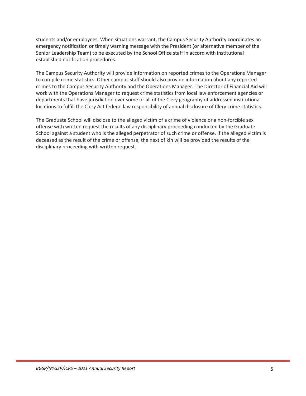students and/or employees. When situations warrant, the Campus Security Authority coordinates an emergency notification or timely warning message with the President (or alternative member of the Senior Leadership Team) to be executed by the School Office staff in accord with institutional established notification procedures.

The Campus Security Authority will provide information on reported crimes to the Operations Manager to compile crime statistics. Other campus staff should also provide information about any reported crimes to the Campus Security Authority and the Operations Manager. The Director of Financial Aid will work with the Operations Manager to request crime statistics from local law enforcement agencies or departments that have jurisdiction over some or all of the Clery geography of addressed institutional locations to fulfill the Clery Act federal law responsibility of annual disclosure of Clery crime statistics.

The Graduate School will disclose to the alleged victim of a crime of violence or a non-forcible sex offense with written request the results of any disciplinary proceeding conducted by the Graduate School against a student who is the alleged perpetrator of such crime or offense. If the alleged victim is deceased as the result of the crime or offense, the next of kin will be provided the results of the disciplinary proceeding with written request.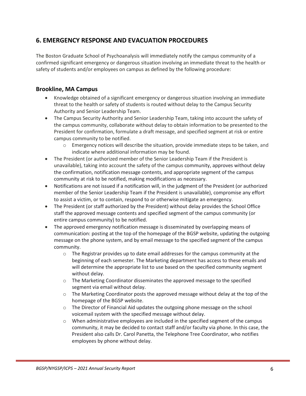## <span id="page-9-0"></span>**6. EMERGENCY RESPONSE AND EVACUATION PROCEDURES**

The Boston Graduate School of Psychoanalysis will immediately notify the campus community of a confirmed significant emergency or dangerous situation involving an immediate threat to the health or safety of students and/or employees on campus as defined by the following procedure:

#### <span id="page-9-1"></span>**Brookline, MA Campus**

- Knowledge obtained of a significant emergency or dangerous situation involving an immediate threat to the health or safety of students is routed without delay to the Campus Security Authority and Senior Leadership Team.
- The Campus Security Authority and Senior Leadership Team, taking into account the safety of the campus community, collaborate without delay to obtain information to be presented to the President for confirmation, formulate a draft message, and specified segment at risk or entire campus community to be notified.
	- $\circ$  Emergency notices will describe the situation, provide immediate steps to be taken, and indicate where additional information may be found.
- The President (or authorized member of the Senior Leadership Team if the President is unavailable), taking into account the safety of the campus community, approves without delay the confirmation, notification message contents, and appropriate segment of the campus community at risk to be notified, making modifications as necessary.
- Notifications are not issued if a notification will, in the judgment of the President (or authorized member of the Senior Leadership Team if the President is unavailable), compromise any effort to assist a victim, or to contain, respond to or otherwise mitigate an emergency.
- The President (or staff authorized by the President) without delay provides the School Office staff the approved message contents and specified segment of the campus community (or entire campus community) to be notified.
- The approved emergency notification message is disseminated by overlapping means of communication: posting at the top of the homepage of the BGSP website, updating the outgoing message on the phone system, and by email message to the specified segment of the campus community.
	- $\circ$  The Registrar provides up to date email addresses for the campus community at the beginning of each semester. The Marketing department has access to these emails and will determine the appropriate list to use based on the specified community segment without delay.
	- o The Marketing Coordinator disseminates the approved message to the specified segment via email without delay.
	- $\circ$  The Marketing Coordinator posts the approved message without delay at the top of the homepage of the BGSP website.
	- $\circ$  The Director of Financial Aid updates the outgoing phone message on the school voicemail system with the specified message without delay.
	- $\circ$  When administrative employees are included in the specified segment of the campus community, it may be decided to contact staff and/or faculty via phone. In this case, the President also calls Dr. Carol Panetta, the Telephone Tree Coordinator, who notifies employees by phone without delay.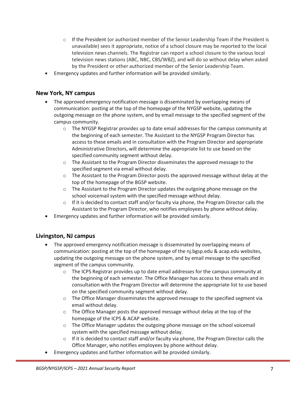- $\circ$  If the President (or authorized member of the Senior Leadership Team if the President is unavailable) sees it appropriate, notice of a school closure may be reported to the local television news channels. The Registrar can report a school closure to the various local television news stations (ABC, NBC, CBS/WBZ), and will do so without delay when asked by the President or other authorized member of the Senior Leadership Team.
- Emergency updates and further information will be provided similarly.

## <span id="page-10-0"></span>**New York, NY campus**

- The approved emergency notification message is disseminated by overlapping means of communication: posting at the top of the homepage of the NYGSP website, updating the outgoing message on the phone system, and by email message to the specified segment of the campus community.
	- o The NYGSP Registrar provides up to date email addresses for the campus community at the beginning of each semester. The Assistant to the NYGSP Program Director has access to these emails and in consultation with the Program Director and appropriate Administrative Directors, will determine the appropriate list to use based on the specified community segment without delay.
	- o The Assistant to the Program Director disseminates the approved message to the specified segment via email without delay.
	- o The Assistant to the Program Director posts the approved message without delay at the top of the homepage of the BGSP website.
	- o The Assistant to the Program Director updates the outgoing phone message on the school voicemail system with the specified message without delay.
	- $\circ$  If it is decided to contact staff and/or faculty via phone, the Program Director calls the Assistant to the Program Director, who notifies employees by phone without delay.
- Emergency updates and further information will be provided similarly.

#### <span id="page-10-1"></span>**Livingston, NJ campus**

- The approved emergency notification message is disseminated by overlapping means of communication: posting at the top of the homepage of the nj.bgsp.edu & acap.edu websites, updating the outgoing message on the phone system, and by email message to the specified segment of the campus community.
	- $\circ$  The ICPS Registrar provides up to date email addresses for the campus community at the beginning of each semester. The Office Manager has access to these emails and in consultation with the Program Director will determine the appropriate list to use based on the specified community segment without delay.
	- $\circ$  The Office Manager disseminates the approved message to the specified segment via email without delay.
	- $\circ$  The Office Manager posts the approved message without delay at the top of the homepage of the ICPS & ACAP website.
	- $\circ$  The Office Manager updates the outgoing phone message on the school voicemail system with the specified message without delay.
	- $\circ$  If it is decided to contact staff and/or faculty via phone, the Program Director calls the Office Manager, who notifies employees by phone without delay.
- Emergency updates and further information will be provided similarly.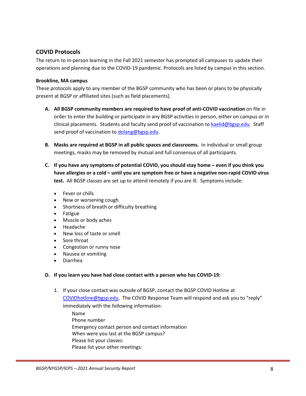## <span id="page-11-0"></span>**COVID Protocols**

The return to in-person learning in the Fall 2021 semester has prompted all campuses to update their operations and planning due to the COVID-19 pandemic. Protocols are listed by campus in this section.

#### <span id="page-11-1"></span>**Brookline, MA campus**

These protocols apply to any member of the BGSP community who has been or plans to be physically present at BGSP or affiliated sites (such as field placements).

- **A. All BGSP community members are required to have proof of anti-COVID vaccination** on file in order to enter the building or participate in any BGSP activities in person, either on campus or in clinical placements. Students and faculty send proof of vaccination to [kaelid@bgsp.edu.](mailto:kaelid@bgsp.edu) Staff send proof of vaccination to [dolang@bgsp.edu.](mailto:dolang@bgsp.edu)
- **B. Masks are required at BGSP in all public spaces and classrooms.** In individual or small group meetings, masks may be removed by mutual and full consensus of all participants.
- **C. If you have any symptoms of potential COVID, you should stay home – even if you think you have allergies or a cold – until you are symptom free or have a negative non-rapid COVID virus test.** All BGSP classes are set up to attend remotely if you are ill. Symptoms include:
	- Fever or chills
	- New or worsening cough
	- Shortness of breath or difficulty breathing
	- Fatigue
	- Muscle or body aches
	- Headache
	- New loss of taste or smell
	- Sore throat
	- Congestion or runny nose
	- Nausea or vomiting
	- Diarrhea

#### **D. If you learn you have had close contact with a person who has COVID-19:**

1. If your close contact was outside of BGSP, contact the BGSP COVID Hotline at [COVIDhotline@bgsp.edu.](mailto:COVIDhotline@bgsp.edu) The COVID Response Team will respond and ask you to "reply" immediately with the following information:

Name Phone number Emergency contact person and contact information When were you last at the BGSP campus? Please list your classes: Please list your other meetings: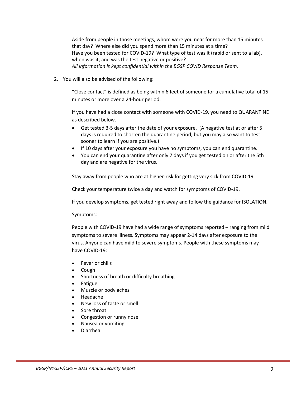Aside from people in those meetings, whom were you near for more than 15 minutes that day? Where else did you spend more than 15 minutes at a time? Have you been tested for COVID-19? What type of test was it (rapid or sent to a lab), when was it, and was the test negative or positive? *All information is kept confidential within the BGSP COVID Response Team.*

2. You will also be advised of the following:

"Close contact" is defined as being within 6 feet of someone for a cumulative total of 15 minutes or more over a 24-hour period.

If you have had a close contact with someone with COVID-19, you need to QUARANTINE as described below.

- Get tested 3-5 days after the date of your exposure. (A negative test at or after 5 days is required to shorten the quarantine period, but you may also want to test sooner to learn if you are positive.)
- If 10 days after your exposure you have no symptoms, you can end quarantine.
- You can end your quarantine after only 7 days if you get tested on or after the 5th day and are negative for the virus.

Stay away from people who are at higher-risk for getting very sick from COVID-19.

Check your temperature twice a day and watch for symptoms of COVID-19.

If you develop symptoms, get tested right away and follow the guidance for ISOLATION.

#### Symptoms:

People with COVID-19 have had a wide range of symptoms reported – ranging from mild symptoms to severe illness. Symptoms may appear 2-14 days after exposure to the virus. Anyone can have mild to severe symptoms. People with these symptoms may have COVID-19:

- Fever or chills
- Cough
- Shortness of breath or difficulty breathing
- Fatigue
- Muscle or body aches
- Headache
- New loss of taste or smell
- Sore throat
- Congestion or runny nose
- Nausea or vomiting
- Diarrhea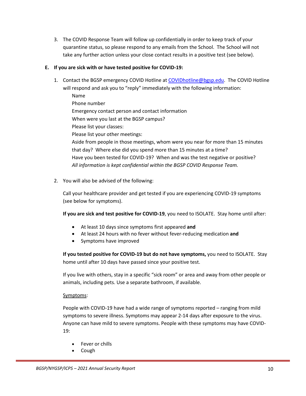3. The COVID Response Team will follow up confidentially in order to keep track of your quarantine status, so please respond to any emails from the School. The School will not take any further action unless your close contact results in a positive test (see below).

#### **E. If you are sick with or have tested positive for COVID-19:**

- 1. Contact the BGSP emergency COVID Hotline at [COVIDhotline@bgsp.edu.](mailto:COVIDhotline@bgsp.edu) The COVID Hotline will respond and ask you to "reply" immediately with the following information: Name
	- Phone number Emergency contact person and contact information When were you last at the BGSP campus? Please list your classes: Please list your other meetings: Aside from people in those meetings, whom were you near for more than 15 minutes that day? Where else did you spend more than 15 minutes at a time? Have you been tested for COVID-19? When and was the test negative or positive? *All information is kept confidential within the BGSP COVID Response Team.*
- 2. You will also be advised of the following:

Call your healthcare provider and get tested if you are experiencing COVID-19 symptoms (see below for symptoms).

**If you are sick and test positive for COVID-19**, you need to ISOLATE. Stay home until after:

- At least 10 days since symptoms first appeared **and**
- At least 24 hours with no fever without fever-reducing medication **and**
- Symptoms have improved

**If you tested positive for COVID-19 but do not have symptoms,** you need to ISOLATE.Stay home until after 10 days have passed since your positive test.

If you live with others, stay in a specific "sick room" or area and away from other people or animals, including pets. Use a separate bathroom, if available.

#### Symptoms:

People with COVID-19 have had a wide range of symptoms reported – ranging from mild symptoms to severe illness. Symptoms may appear 2-14 days after exposure to the virus. Anyone can have mild to severe symptoms. People with these symptoms may have COVID-19:

- Fever or chills
- Cough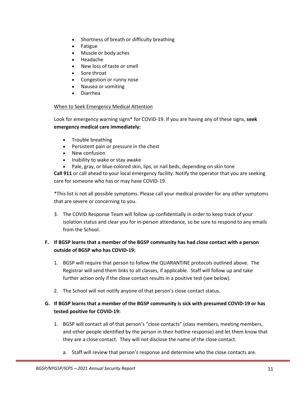- Shortness of breath or difficulty breathing
- **Fatigue**
- Muscle or body aches
- Headache
- New loss of taste or smell
- Sore throat
- Congestion or runny nose
- Nausea or vomiting
- Diarrhea

#### When to Seek Emergency Medical Attention

Look for emergency warning signs\* for COVID-19. If you are having any of these signs, **seek emergency medical care immediately:**

- Trouble breathing
- Persistent pain or pressure in the chest
- New confusion
- Inability to wake or stay awake
- Pale, gray, or blue-colored skin, lips, or nail beds, depending on skin tone

**Call 911** or call ahead to your local emergency facility: Notify the operator that you are seeking care for someone who has or may have COVID-19.

\*This list is not all possible symptoms. Please call your medical provider for any other symptoms that are severe or concerning to you.

3. The COVID Response Team will follow up confidentially in order to keep track of your isolation status and clear you for in-person attendance, so be sure to respond to any emails from the School.

## **F. If BGSP learns that a member of the BGSP community has had close contact with a person outside of BGSP who has COVID-19:**

- 1. BGSP will require that person to follow the QUARANTINE protocols outlined above. The Registrar will send them links to all classes, if applicable. Staff will follow up and take further action only if the close contact results in a positive test (see below).
- 2. The School will not notify anyone of that person's close contact status.

#### **G. If BGSP learns that a member of the BGSP community is sick with presumed COVID-19 or has tested positive for COVID-19:**

- 1. BGSP will contact all of that person's "close contacts" (class members, meeting members, and other people identified by the person in their hotline response) and let them know that they are a close contact. They will not disclose the name of the close contact.
	- a. Staff will review that person's response and determine who the close contacts are.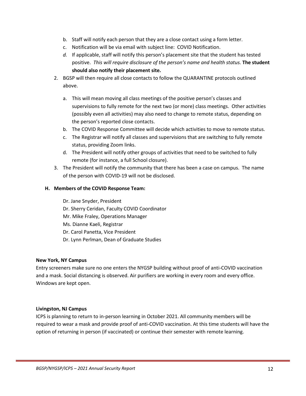- b. Staff will notify each person that they are a close contact using a form letter.
- c. Notification will be via email with subject line: COVID Notification.
- *d.* If applicable, staff will notify this person's placement site that the student has tested positive. *This will require disclosure of the person's name and health status.* **The student should also notify their placement site.**
- 2. BGSP will then require all close contacts to follow the QUARANTINE protocols outlined above.
	- a. This will mean moving all class meetings of the positive person's classes and supervisions to fully remote for the next two (or more) class meetings. Other activities (possibly even all activities) may also need to change to remote status, depending on the person's reported close contacts.
	- b. The COVID Response Committee will decide which activities to move to remote status.
	- c. The Registrar will notify all classes and supervisions that are switching to fully remote status, providing Zoom links.
	- d. The President will notify other groups of activities that need to be switched to fully remote (for instance, a full School closure).
- 3. The President will notify the community that there has been a case on campus. The name of the person with COVID-19 will not be disclosed.

#### **H. Members of the COVID Response Team:**

Dr. Jane Snyder, President Dr. Sherry Ceridan, Faculty COVID Coordinator Mr. Mike Fraley, Operations Manager Ms. Dianne Kaeli, Registrar Dr. Carol Panetta, Vice President Dr. Lynn Perlman, Dean of Graduate Studies

#### <span id="page-15-0"></span>**New York, NY Campus**

Entry screeners make sure no one enters the NYGSP building without proof of anti-COVID vaccination and a mask. Social distancing is observed. Air purifiers are working in every room and every office. Windows are kept open.

#### <span id="page-15-1"></span>**Livingston, NJ Campus**

ICPS is planning to return to in-person learning in October 2021. All community members will be required to wear a mask and provide proof of anti-COVID vaccination. At this time students will have the option of returning in person (if vaccinated) or continue their semester with remote learning.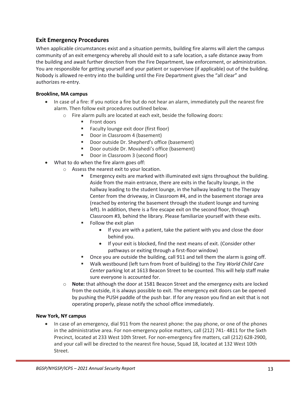#### <span id="page-16-0"></span>**Exit Emergency Procedures**

When applicable circumstances exist and a situation permits, building fire alarms will alert the campus community of an exit emergency whereby all should exit to a safe location, a safe distance away from the building and await further direction from the Fire Department, law enforcement, or administration. You are responsible for getting yourself and your patient or supervisee (if applicable) out of the building. Nobody is allowed re-entry into the building until the Fire Department gives the "all clear" and authorizes re-entry.

#### <span id="page-16-1"></span>**Brookline, MA campus**

- In case of a fire: If you notice a fire but do not hear an alarm, immediately pull the nearest fire alarm. Then follow exit procedures outlined below.
	- o Fire alarm pulls are located at each exit, beside the following doors:
		- **Front doors**
		- Faculty lounge exit door (first floor)
		- Door in Classroom 4 (basement)
		- **Door outside Dr. Shepherd's office (basement)**
		- Door outside Dr. Movahedi's office (basement)
		- Door in Classroom 3 (second floor)
- What to do when the fire alarm goes off:
	- o Assess the nearest exit to your location.
		- Emergency exits are marked with illuminated exit signs throughout the building. Aside from the main entrance, there are exits in the faculty lounge, in the hallway leading to the student lounge, in the hallway leading to the Therapy Center from the driveway, in Classroom #4, and in the basement storage area (reached by entering the basement through the student lounge and turning left). In addition, there is a fire escape exit on the second floor, through Classroom #3, behind the library. Please familiarize yourself with these exits.
		- Follow the exit plan
			- If you are with a patient, take the patient with you and close the door behind you.
			- If your exit is blocked, find the next means of exit. (Consider other pathways or exiting through a first-floor window)
		- Once you are outside the building, call 911 and tell them the alarm is going off.
		- Walk westbound (left turn from front of building) to the *Tiny World Child Care Center* parking lot at 1613 Beacon Street to be counted. This will help staff make sure everyone is accounted for.
	- o **Note:** that although the door at 1581 Beacon Street and the emergency exits are locked from the outside, it is always possible to exit. The emergency exit doors can be opened by pushing the PUSH paddle of the push bar. If for any reason you find an exit that is not operating properly, please notify the school office immediately.

#### <span id="page-16-2"></span>**New York, NY campus**

• In case of an emergency, dial 911 from the nearest phone: the pay phone, or one of the phones in the administrative area. For non-emergency police matters, call (212) 741- 4811 for the Sixth Precinct, located at 233 West 10th Street. For non-emergency fire matters, call (212) 628-2900, and your call will be directed to the nearest fire house, Squad 18, located at 132 West 10th Street.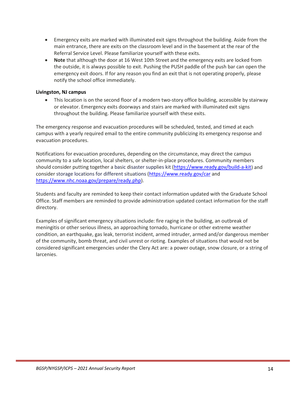- Emergency exits are marked with illuminated exit signs throughout the building. Aside from the main entrance, there are exits on the classroom level and in the basement at the rear of the Referral Service Level. Please familiarize yourself with these exits.
- **Note** that although the door at 16 West 10th Street and the emergency exits are locked from the outside, it is always possible to exit. Pushing the PUSH paddle of the push bar can open the emergency exit doors. If for any reason you find an exit that is not operating properly, please notify the school office immediately.

#### <span id="page-17-0"></span>**Livingston, NJ campus**

• This location is on the second floor of a modern two-story office building, accessible by stairway or elevator. Emergency exits doorways and stairs are marked with illuminated exit signs throughout the building. Please familiarize yourself with these exits.

The emergency response and evacuation procedures will be scheduled, tested, and timed at each campus with a yearly required email to the entire community publicizing its emergency response and evacuation procedures.

Notifications for evacuation procedures, depending on the circumstance, may direct the campus community to a safe location, local shelters, or shelter-in-place procedures. Community members should consider putting together a basic disaster supplies kit [\(https://www.ready.gov/build-a-kit\)](https://www.ready.gov/build-a-kit) and consider storage locations for different situations [\(https://www.ready.gov/car](https://www.ready.gov/car) and [https://www.nhc.noaa.gov/prepare/ready.php\)](https://www.nhc.noaa.gov/prepare/ready.php).

Students and faculty are reminded to keep their contact information updated with the Graduate School Office. Staff members are reminded to provide administration updated contact information for the staff directory.

Examples of significant emergency situations include: fire raging in the building, an outbreak of meningitis or other serious illness, an approaching tornado, hurricane or other extreme weather condition, an earthquake, gas leak, terrorist incident, armed intruder, armed and/or dangerous member of the community, bomb threat, and civil unrest or rioting. Examples of situations that would not be considered significant emergencies under the Clery Act are: a power outage, snow closure, or a string of larcenies.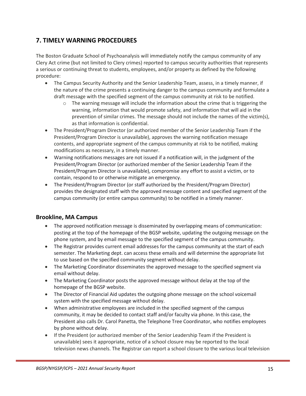## <span id="page-18-0"></span>**7. TIMELY WARNING PROCEDURES**

The Boston Graduate School of Psychoanalysis will immediately notify the campus community of any Clery Act crime (but not limited to Clery crimes) reported to campus security authorities that represents a serious or continuing threat to students, employees, and/or property as defined by the following procedure:

- The Campus Security Authority and the Senior Leadership Team, assess, in a timely manner, if the nature of the crime presents a continuing danger to the campus community and formulate a draft message with the specified segment of the campus community at risk to be notified.
	- $\circ$  The warning message will include the information about the crime that is triggering the warning, information that would promote safety, and information that will aid in the prevention of similar crimes. The message should not include the names of the victim(s), as that information is confidential.
- The President/Program Director (or authorized member of the Senior Leadership Team if the President/Program Director is unavailable), approves the warning notification message contents, and appropriate segment of the campus community at risk to be notified, making modifications as necessary, in a timely manner.
- Warning notifications messages are not issued if a notification will, in the judgment of the President/Program Director (or authorized member of the Senior Leadership Team if the President/Program Director is unavailable), compromise any effort to assist a victim, or to contain, respond to or otherwise mitigate an emergency.
- The President/Program Director (or staff authorized by the President/Program Director) provides the designated staff with the approved message content and specified segment of the campus community (or entire campus community) to be notified in a timely manner.

#### <span id="page-18-1"></span>**Brookline, MA Campus**

- The approved notification message is disseminated by overlapping means of communication: posting at the top of the homepage of the BGSP website, updating the outgoing message on the phone system, and by email message to the specified segment of the campus community.
- The Registrar provides current email addresses for the campus community at the start of each semester. The Marketing dept. can access these emails and will determine the appropriate list to use based on the specified community segment without delay.
- The Marketing Coordinator disseminates the approved message to the specified segment via email without delay.
- The Marketing Coordinator posts the approved message without delay at the top of the homepage of the BGSP website.
- The Director of Financial Aid updates the outgoing phone message on the school voicemail system with the specified message without delay.
- When administrative employees are included in the specified segment of the campus community, it may be decided to contact staff and/or faculty via phone. In this case, the President also calls Dr. Carol Panetta, the Telephone Tree Coordinator, who notifies employees by phone without delay.
- If the President (or authorized member of the Senior Leadership Team if the President is unavailable) sees it appropriate, notice of a school closure may be reported to the local television news channels. The Registrar can report a school closure to the various local television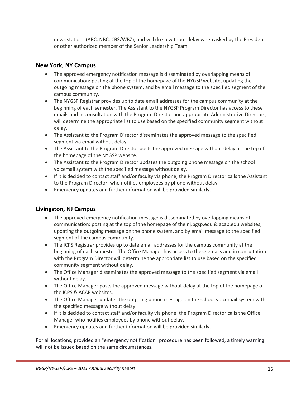news stations (ABC, NBC, CBS/WBZ), and will do so without delay when asked by the President or other authorized member of the Senior Leadership Team.

## <span id="page-19-0"></span>**New York, NY Campus**

- The approved emergency notification message is disseminated by overlapping means of communication: posting at the top of the homepage of the NYGSP website, updating the outgoing message on the phone system, and by email message to the specified segment of the campus community.
- The NYGSP Registrar provides up to date email addresses for the campus community at the beginning of each semester. The Assistant to the NYGSP Program Director has access to these emails and in consultation with the Program Director and appropriate Administrative Directors, will determine the appropriate list to use based on the specified community segment without delay.
- The Assistant to the Program Director disseminates the approved message to the specified segment via email without delay.
- The Assistant to the Program Director posts the approved message without delay at the top of the homepage of the NYGSP website.
- The Assistant to the Program Director updates the outgoing phone message on the school voicemail system with the specified message without delay.
- If it is decided to contact staff and/or faculty via phone, the Program Director calls the Assistant to the Program Director, who notifies employees by phone without delay.
- Emergency updates and further information will be provided similarly.

#### <span id="page-19-1"></span>**Livingston, NJ Campus**

- The approved emergency notification message is disseminated by overlapping means of communication: posting at the top of the homepage of the nj.bgsp.edu & acap.edu websites, updating the outgoing message on the phone system, and by email message to the specified segment of the campus community.
- The ICPS Registrar provides up to date email addresses for the campus community at the beginning of each semester. The Office Manager has access to these emails and in consultation with the Program Director will determine the appropriate list to use based on the specified community segment without delay.
- The Office Manager disseminates the approved message to the specified segment via email without delay.
- The Office Manager posts the approved message without delay at the top of the homepage of the ICPS & ACAP websites.
- The Office Manager updates the outgoing phone message on the school voicemail system with the specified message without delay.
- If it is decided to contact staff and/or faculty via phone, the Program Director calls the Office Manager who notifies employees by phone without delay.
- Emergency updates and further information will be provided similarly.

For all locations, provided an "emergency notification" procedure has been followed, a timely warning will not be issued based on the same circumstances.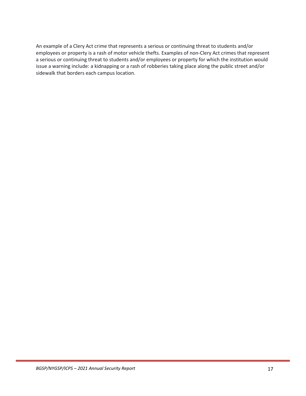An example of a Clery Act crime that represents a serious or continuing threat to students and/or employees or property is a rash of motor vehicle thefts. Examples of non-Clery Act crimes that represent a serious or continuing threat to students and/or employees or property for which the institution would issue a warning include: a kidnapping or a rash of robberies taking place along the public street and/or sidewalk that borders each campus location.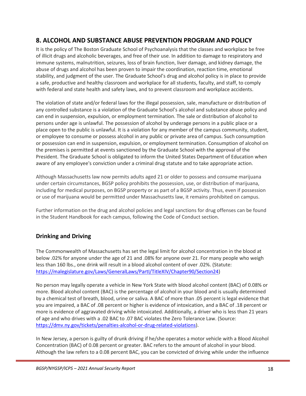## <span id="page-21-0"></span>**8. ALCOHOL AND SUBSTANCE ABUSE PREVENTION PROGRAM AND POLICY**

It is the policy of The Boston Graduate School of Psychoanalysis that the classes and workplace be free of illicit drugs and alcoholic beverages, and free of their use. In addition to damage to respiratory and immune systems, malnutrition, seizures, loss of brain function, liver damage, and kidney damage, the abuse of drugs and alcohol has been proven to impair the coordination, reaction time, emotional stability, and judgment of the user. The Graduate School's drug and alcohol policy is in place to provide a safe, productive and healthy classroom and workplace for all students, faculty, and staff, to comply with federal and state health and safety laws, and to prevent classroom and workplace accidents.

The violation of state and/or federal laws for the illegal possession, sale, manufacture or distribution of any controlled substance is a violation of the Graduate School's alcohol and substance abuse policy and can end in suspension, expulsion, or employment termination. The sale or distribution of alcohol to persons under age is unlawful. The possession of alcohol by underage persons in a public place or a place open to the public is unlawful. It is a violation for any member of the campus community, student, or employee to consume or possess alcohol in any public or private area of campus. Such consumption or possession can end in suspension, expulsion, or employment termination. Consumption of alcohol on the premises is permitted at events sanctioned by the Graduate School with the approval of the President. The Graduate School is obligated to inform the United States Department of Education when aware of any employee's conviction under a criminal drug statute and to take appropriate action.

Although Massachusetts law now permits adults aged 21 or older to possess and consume marijuana under certain circumstances, BGSP policy prohibits the possession, use, or distribution of marijuana, including for medical purposes, on BGSP property or as part of a BGSP activity. Thus, even if possession or use of marijuana would be permitted under Massachusetts law, it remains prohibited on campus.

Further information on the drug and alcohol policies and legal sanctions for drug offenses can be found in the Student Handbook for each campus, following the Code of Conduct section.

## <span id="page-21-1"></span>**Drinking and Driving**

The Commonwealth of Massachusetts has set the legal limit for alcohol concentration in the blood at below .02% for anyone under the age of 21 and .08% for anyone over 21. For many people who weigh less than 160 lbs., one drink will result in a blood alcohol content of over .02%. (Statute: [https://malegislature.gov/Laws/GeneralLaws/PartI/TitleXIV/Chapter90/Section24\)](https://malegislature.gov/Laws/GeneralLaws/PartI/TitleXIV/Chapter90/Section24)

No person may legally operate a vehicle in New York State with blood alcohol content (BAC) of 0.08% or more. Blood alcohol content (BAC) is the percentage of alcohol in your blood and is usually determined by a chemical test of breath, blood, urine or saliva. A BAC of more than .05 percent is legal evidence that you are impaired, a BAC of .08 percent or higher is evidence of intoxication, and a BAC of .18 percent or more is evidence of aggravated driving while intoxicated. Additionally, a driver who is less than 21 years of age and who drives with a .02 BAC to .07 BAC violates the Zero Tolerance Law. (Source: [https://dmv.ny.gov/tickets/penalties-alcohol-or-drug-related-violations\)](https://dmv.ny.gov/tickets/penalties-alcohol-or-drug-related-violations).

In New Jersey, a person is guilty of drunk driving if he/she operates a motor vehicle with a Blood Alcohol Concentration (BAC) of 0.08 percent or greater. BAC refers to the amount of alcohol in your blood. Although the law refers to a 0.08 percent BAC, you can be convicted of driving while under the influence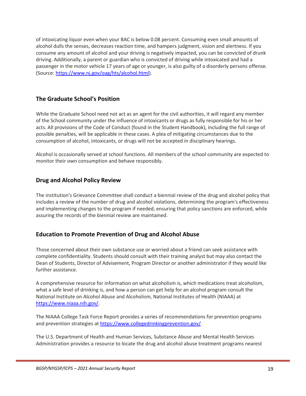of intoxicating liquor even when your BAC is below 0.08 percent. Consuming even small amounts of alcohol dulls the senses, decreases reaction time, and hampers judgment, vision and alertness. If you consume any amount of alcohol and your driving is negatively impacted, you can be convicted of drunk driving. Additionally, a parent or guardian who is convicted of driving while intoxicated and had a passenger in the motor vehicle 17 years of age or younger, is also guilty of a disorderly persons offense. (Source: [https://www.nj.gov/oag/hts/alcohol.html\)](https://www.nj.gov/oag/hts/alcohol.html).

## <span id="page-22-0"></span>**The Graduate School's Position**

While the Graduate School need not act as an agent for the civil authorities, it will regard any member of the School community under the influence of intoxicants or drugs as fully responsible for his or her acts. All provisions of the Code of Conduct (found in the Student Handbook), including the full range of possible penalties, will be applicable in these cases. A plea of mitigating circumstances due to the consumption of alcohol, intoxicants, or drugs will not be accepted in disciplinary hearings.

Alcohol is occasionally served at school functions. All members of the school community are expected to monitor their own consumption and behave responsibly.

#### <span id="page-22-1"></span>**Drug and Alcohol Policy Review**

The institution's Grievance Committee shall conduct a biennial review of the drug and alcohol policy that includes a review of the number of drug and alcohol violations, determining the program's effectiveness and implementing changes to the program if needed, ensuring that policy sanctions are enforced, while assuring the records of the biennial review are maintained.

#### <span id="page-22-2"></span>**Education to Promote Prevention of Drug and Alcohol Abuse**

Those concerned about their own substance use or worried about a friend can seek assistance with complete confidentiality. Students should consult with their training analyst but may also contact the Dean of Students, Director of Advisement, Program Director or another administrator if they would like further assistance.

A comprehensive resource for information on what alcoholism is, which medications treat alcoholism, what a safe level of drinking is, and how a person can get help for an alcohol program consult the National Institute on Alcohol Abuse and Alcoholism, National Institutes of Health (NIAAA) at [https://www.niaaa.nih.gov/.](https://www.niaaa.nih.gov/)

The NIAAA College Task Force Report provides a series of recommendations for prevention programs and prevention strategies a[t https://www.collegedrinkingprevention.gov/.](https://www.collegedrinkingprevention.gov/)

The U.S. Department of Health and Human Services, Substance Abuse and Mental Health Services Administration provides a resource to locate the drug and alcohol abuse treatment programs nearest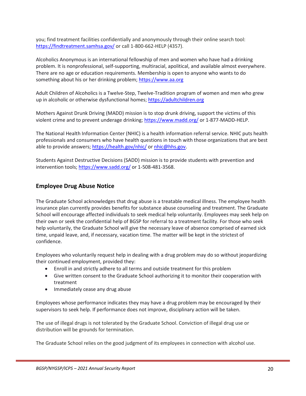you; find treatment facilities confidentially and anonymously through their online search tool: <https://findtreatment.samhsa.gov/> or call 1-800-662-HELP (4357).

Alcoholics Anonymous is an international fellowship of men and women who have had a drinking problem. It is nonprofessional, self-supporting, multiracial, apolitical, and available almost everywhere. There are no age or education requirements. Membership is open to anyone who wants to do something about his or her drinking problem; [https://www.aa.org](https://www.aa.org/)

Adult Children of Alcoholics is a Twelve-Step, Twelve-Tradition program of women and men who grew up in alcoholic or otherwise dysfunctional homes[; https://adultchildren.org](https://adultchildren.org/)

Mothers Against Drunk Driving (MADD) mission is to stop drunk driving, support the victims of this violent crime and to prevent underage drinking[; https://www.madd.org/](https://www.madd.org/) or 1-877-MADD-HELP.

The National Health Information Center (NHIC) is a health information referral service. NHIC puts health professionals and consumers who have health questions in touch with those organizations that are best able to provide answers;<https://health.gov/nhic/> or [nhic@hhs.gov.](mailto:nhic@hhs.gov)

Students Against Destructive Decisions (SADD) mission is to provide students with prevention and intervention tools;<https://www.sadd.org/> or 1-508-481-3568.

#### <span id="page-23-0"></span>**Employee Drug Abuse Notice**

The Graduate School acknowledges that drug abuse is a treatable medical illness. The employee health insurance plan currently provides benefits for substance abuse counseling and treatment. The Graduate School will encourage affected individuals to seek medical help voluntarily. Employees may seek help on their own or seek the confidential help of BGSP for referral to a treatment facility. For those who seek help voluntarily, the Graduate School will give the necessary leave of absence comprised of earned sick time, unpaid leave, and, if necessary, vacation time. The matter will be kept in the strictest of confidence.

Employees who voluntarily request help in dealing with a drug problem may do so without jeopardizing their continued employment, provided they:

- Enroll in and strictly adhere to all terms and outside treatment for this problem
- Give written consent to the Graduate School authorizing it to monitor their cooperation with treatment
- Immediately cease any drug abuse

Employees whose performance indicates they may have a drug problem may be encouraged by their supervisors to seek help. If performance does not improve, disciplinary action will be taken.

The use of illegal drugs is not tolerated by the Graduate School. Conviction of illegal drug use or distribution will be grounds for termination.

The Graduate School relies on the good judgment of its employees in connection with alcohol use.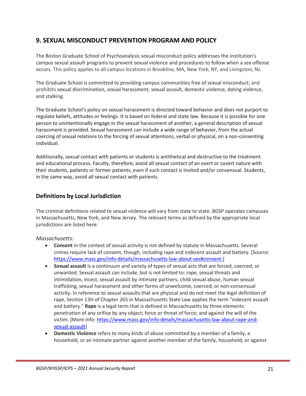## <span id="page-24-0"></span>**9. SEXUAL MISCONDUCT PREVENTION PROGRAM AND POLICY**

The Boston Graduate School of Psychoanalysis sexual misconduct policy addresses the institution's campus sexual assault programs to prevent sexual violence and procedures to follow when a sex offense occurs. This policy applies to all campus locations in Brookline, MA, New York, NY, and Livingston, NJ.

The Graduate School is committed to providing campus communities free of sexual misconduct; and prohibits sexual discrimination, sexual harassment, sexual assault, domestic violence, dating violence, and stalking.

The Graduate School's policy on sexual harassment is directed toward behavior and does not purport to regulate beliefs, attitudes or feelings. It is based on federal and state law. Because it is possible for one person to unintentionally engage in the sexual harassment of another, a general description of sexual harassment is provided. Sexual harassment can include a wide range of behavior, from the actual coercing of sexual relations to the forcing of sexual attentions, verbal or physical, on a non-consenting individual.

Additionally, sexual contact with patients or students is antithetical and destructive to the treatment and educational process. Faculty, therefore, avoid all sexual contact of an overt or covert nature with their students, patients or former patients, even if such contact is invited and/or consensual. Students, in the same way, avoid all sexual contact with patients.

## <span id="page-24-1"></span>**Definitions by Local Jurisdiction**

The criminal definitions related to sexual violence will vary from state to state. BGSP operates campuses in Massachusetts, New York, and New Jersey. The relevant terms as defined by the appropriate local jurisdictions are listed here:

#### *Massachusetts:*

- **Consent** in the context of sexual activity is not defined by statute in Massachusetts. Several crimes require lack of consent, though, including rape and indecent assault and battery. [Source: [https://www.mass.gov/info-details/massachusetts-law-about-sex#consent-\]](https://www.mass.gov/info-details/massachusetts-law-about-sex#consent-)
- **Sexual assault** is a continuum and variety of types of sexual acts that are forced, coerced, or unwanted. Sexual assault can include, but is not limited to: rape, sexual threats and intimidation, incest, sexual assault by intimate partners, child sexual abuse, human sexual trafficking, sexual harassment and other forms of unwelcome, coerced, or non-consensual activity. In reference to sexual assaults that are physical and do not meet the legal definition of rape, Section 13H of Chapter 265 in Massachusetts State Law applies the term "indecent assault and battery." **Rape** is a legal term that is defined in Massachusetts by three elements: penetration of any orifice by any object; force or threat of force; and against the will of the victim. [More info[: https://www.mass.gov/info-details/massachusetts-law-about-rape-and](https://www.mass.gov/info-details/massachusetts-law-about-rape-and-sexual-assault)[sexual-assault\]](https://www.mass.gov/info-details/massachusetts-law-about-rape-and-sexual-assault)
- **Domestic Violence** refers to many kinds of abuse committed by a member of a family, a household, or an intimate partner against another member of the family, household, or against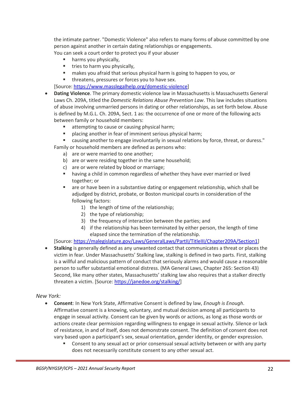the intimate partner. "Domestic Violence" also refers to many forms of abuse committed by one person against another in certain dating relationships or engagements.

You can seek a court order to protect you if your abuser

- harms you physically,
- **tries to harm you physically,**
- makes you afraid that serious physical harm is going to happen to you, or
- **threatens, pressures or forces you to have sex.**

[Source[: https://www.masslegalhelp.org/domestic-violence\]](https://www.masslegalhelp.org/domestic-violence)

- **Dating Violence**. The primary domestic violence law in Massachusetts is Massachusetts General Laws Ch. 209A, titled the *Domestic Relations Abuse Prevention Law*. This law includes situations of abuse involving unmarried persons in dating or other relationships, as set forth below. Abuse is defined by M.G.L. Ch. 209A, Sect. 1 as: the occurrence of one or more of the following acts between family or household members:
	- attempting to cause or causing physical harm;
	- placing another in fear of imminent serious physical harm;
	- causing another to engage involuntarily in sexual relations by force, threat, or duress."
	- Family or household members are defined as persons who:
		- a) are or were married to one another;
		- b) are or were residing together in the same household;
		- c) are or were related by blood or marriage;
		- having a child in common regardless of whether they have ever married or lived together; or
		- are or have been in a substantive dating or engagement relationship, which shall be adjudged by district, probate, or Boston municipal courts in consideration of the following factors:
			- 1) the length of time of the relationship;
			- 2) the type of relationship;
			- 3) the frequency of interaction between the parties; and
			- 4) if the relationship has been terminated by either person, the length of time elapsed since the termination of the relationship.

[Source[: https://malegislature.gov/Laws/GeneralLaws/PartII/TitleIII/Chapter209A/Section1\]](https://malegislature.gov/Laws/GeneralLaws/PartII/TitleIII/Chapter209A/Section1)

• **Stalking** is generally defined as any unwanted contact that communicates a threat or places the victim in fear. Under Massachusetts' Stalking law, stalking is defined in two parts. First, stalking is a willful and malicious pattern of conduct that seriously alarms and would cause a reasonable person to suffer substantial emotional distress. (MA General Laws, Chapter 265: Section 43) Second, like many other states, Massachusetts' stalking law also requires that a stalker directly threaten a victim. [Source: [https://janedoe.org/stalking/\]](https://janedoe.org/stalking/)

*New York:*

- **Consent**: In New York State, Affirmative Consent is defined by law, *Enough is Enough*. Affirmative consent is a knowing, voluntary, and mutual decision among all participants to engage in sexual activity. Consent can be given by words or actions, as long as those words or actions create clear permission regarding willingness to engage in sexual activity. Silence or lack of resistance, in and of itself, does not demonstrate consent. The definition of consent does not vary based upon a participant's sex, sexual orientation, gender identity, or gender expression.
	- **Consent to any sexual act or prior consensual sexual activity between or with any party** does not necessarily constitute consent to any other sexual act.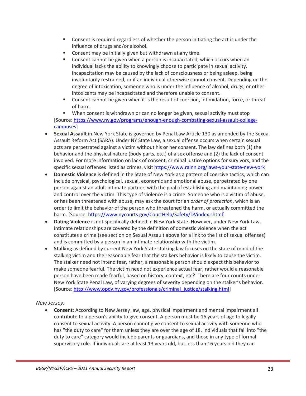- Consent is required regardless of whether the person initiating the act is under the influence of drugs and/or alcohol.
- Consent may be initially given but withdrawn at any time.
- **Consent cannot be given when a person is incapacitated, which occurs when an** individual lacks the ability to knowingly choose to participate in sexual activity. Incapacitation may be caused by the lack of consciousness or being asleep, being involuntarily restrained, or if an individual otherwise cannot consent. Depending on the degree of intoxication, someone who is under the influence of alcohol, drugs, or other intoxicants may be incapacitated and therefore unable to consent.
- Consent cannot be given when it is the result of coercion, intimidation, force, or threat of harm.

 When consent is withdrawn or can no longer be given, sexual activity must stop [Source[: https://www.ny.gov/programs/enough-enough-combating-sexual-assault-college](https://www.ny.gov/programs/enough-enough-combating-sexual-assault-college-campuses)[campuses\]](https://www.ny.gov/programs/enough-enough-combating-sexual-assault-college-campuses)

- **Sexual Assault** in New York State is governed by Penal Law Article 130 as amended by the Sexual Assault Reform Act (SARA). Under NY State Law, a sexual offense occurs when certain sexual acts are perpetrated against a victim without his or her consent. The law defines both (1) the behavior and the physical nature (body parts, etc.) of a sex offense and (2) the lack of consent involved. For more information on lack of consent, criminal justice options for survivors, and the specific sexual offenses listed as crimes, visit <https://www.rainn.org/laws-your-state-new-york>
- **Domestic Violence** is defined in the State of New York as a pattern of coercive tactics, which can include physical, psychological, sexual, economic and emotional abuse, perpetrated by one person against an adult intimate partner, with the goal of establishing and maintaining power and control over the victim. This type of violence is a crime. Someone who is a victim of abuse, or has been threatened with abuse, may ask the court for an *order of protection*, which is an order to limit the behavior of the person who threatened the harm, or actually committed the harm. [Source: [https://www.nycourts.gov/CourtHelp/Safety/DVindex.shtml\]](https://www.nycourts.gov/CourtHelp/Safety/DVindex.shtml)
- **Dating Violence** is not specifically defined in New York State. However, under New York Law, intimate relationships are covered by the definition of domestic violence when the act constitutes a crime (see section on Sexual Assault above for a link to the list of sexual offenses) and is committed by a person in an intimate relationship with the victim.
- **Stalking** as defined by current New York State stalking law focuses on the state of mind of the stalking victim and the reasonable fear that the stalkers behavior is likely to cause the victim. The stalker need not intend fear, rather, a reasonable person should expect this behavior to make someone fearful. The victim need not experience actual fear, rather would a reasonable person have been made fearful, based on history, context, etc? There are four counts under New York State Penal Law, of varying degrees of severity depending on the stalker's behavior. [Source[: http://www.opdv.ny.gov/professionals/criminal\\_justice/stalking.html\]](http://www.opdv.ny.gov/professionals/criminal_justice/stalking.html)

#### *New Jersey:*

• **Consent**: According to New Jersey law, age, physical impairment and mental impairment all contribute to a person's ability to give consent. A person must be 16 years of age to legally consent to sexual activity. A person cannot give consent to sexual activity with someone who has "the duty to care" for them unless they are over the age of 18. Individuals that fall into "the duty to care" category would include parents or guardians, and those in any type of formal supervisory role. If individuals are at least 13 years old, but less than 16 years old they can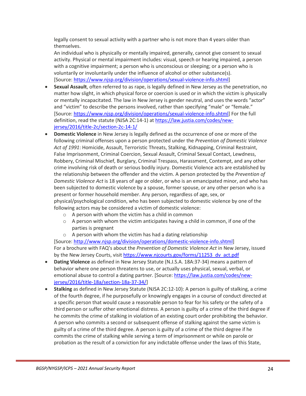legally consent to sexual activity with a partner who is not more than 4 years older than themselves.

An individual who is physically or mentally impaired, generally, cannot give consent to sexual activity. Physical or mental impairment includes: visual, speech or hearing impaired, a person with a cognitive impairment; a person who is unconscious or sleeping; or a person who is voluntarily or involuntarily under the influence of alcohol or other substance(s). [Source[: https://www.njsp.org/division/operations/sexual-violence-info.shtml\]](https://www.njsp.org/division/operations/sexual-violence-info.shtml)

- **Sexual Assault**, often referred to as rape, is legally defined in New Jersey as the penetration, no matter how slight, in which physical force or coercion is used or in which the victim is physically or mentally incapacitated. The law in New Jersey is gender neutral, and uses the words "actor" and "victim" to describe the persons involved, rather than specifying "male" or "female." [Source[: https://www.njsp.org/division/operations/sexual-violence-info.shtml\]](https://www.njsp.org/division/operations/sexual-violence-info.shtml) For the full definition, read the statute (NJSA 2C:14-1) at [https://law.justia.com/codes/new](https://law.justia.com/codes/new-jersey/2016/title-2c/section-2c-14-1/)[jersey/2016/title-2c/section-2c-14-1/](https://law.justia.com/codes/new-jersey/2016/title-2c/section-2c-14-1/)
- **Domestic Violence** in New Jersey is legally defined as the occurrence of one or more of the following criminal offenses upon a person protected under the *Prevention of Domestic Violence Act of 1991*: Homicide, Assault, Terroristic Threats, Stalking, Kidnapping, Criminal Restraint, False Imprisonment, Criminal Coercion, Sexual Assault, Criminal Sexual Contact, Lewdness, Robbery, Criminal Mischief, Burglary, Criminal Trespass, Harassment, Contempt, and any other crime involving risk of death or serious bodily injury. Domestic Violence acts are established by the relationship between the offender and the victim. A person protected by the *Prevention of Domestic Violence Act* is 18 years of age or older, or who is an emancipated minor, and who has been subjected to domestic violence by a spouse, former spouse, or any other person who is a present or former household member. Any person, regardless of age, sex, or physical/psychological condition, who has been subjected to domestic violence by one of the following actors may be considered a victim of domestic violence:
	- o A person with whom the victim has a child in common
	- $\circ$  A person with whom the victim anticipates having a child in common, if one of the parties is pregnant
	- $\circ$  A person with whom the victim has had a dating relationship [Source[: http://www.njsp.org/division/operations/domestic-violence-info.shtml\]](http://www.njsp.org/division/operations/domestic-violence-info.shtml) For a brochure with FAQ's about the *Prevention of Domestic Violence Act* in New Jersey, issued by the New Jersey Courts, visi[t https://www.njcourts.gov/forms/11253\\_dv\\_act.pdf](https://www.njcourts.gov/forms/11253_dv_act.pdf)
- **Dating Violence** as defined in New Jersey Statute (N.J.S.A. 18A:37-34) means a pattern of behavior where one person threatens to use, or actually uses physical, sexual, verbal, or emotional abuse to control a dating partner. [Source[: https://law.justia.com/codes/new](https://law.justia.com/codes/new-jersey/2016/title-18a/section-18a-37-34/)[jersey/2016/title-18a/section-18a-37-34/\]](https://law.justia.com/codes/new-jersey/2016/title-18a/section-18a-37-34/)
- **Stalking** as defined in New Jersey Statute (NJSA 2C:12-10): A person is guilty of stalking, a crime of the fourth degree, if he purposefully or knowingly engages in a course of conduct directed at a specific person that would cause a reasonable person to fear for his safety or the safety of a third person or suffer other emotional distress. A person is guilty of a crime of the third degree if he commits the crime of stalking in violation of an existing court order prohibiting the behavior. A person who commits a second or subsequent offense of stalking against the same victim is guilty of a crime of the third degree. A person is guilty of a crime of the third degree if he commits the crime of stalking while serving a term of imprisonment or while on parole or probation as the result of a conviction for any indictable offense under the laws of this State,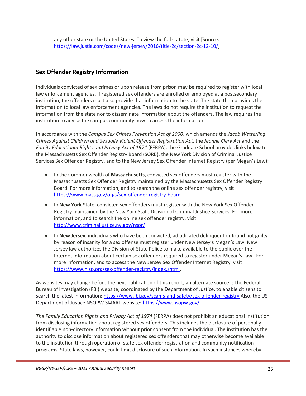## <span id="page-28-0"></span>**Sex Offender Registry Information**

Individuals convicted of sex crimes or upon release from prison may be required to register with local law enforcement agencies. If registered sex offenders are enrolled or employed at a postsecondary institution, the offenders must also provide that information to the state. The state then provides the information to local law enforcement agencies. The laws do not require the institution to request the information from the state nor to disseminate information about the offenders. The law requires the institution to advise the campus community how to access the information.

In accordance with the *Campus Sex Crimes Prevention Act of 2000*, which amends the *Jacob Wetterling Crimes Against Children and Sexually Violent Offender Registration Act*, the *Jeanne Clery Act* and the *Family Educational Rights and Privacy Act of 1974* (FERPA), the Graduate School provides links below to the Massachusetts Sex Offender Registry Board (SORB), the New York Division of Criminal Justice Services Sex Offender Registry, and to the New Jersey Sex Offender Internet Registry (per Megan's Law):

- In the Commonwealth of **Massachusetts**, convicted sex offenders must register with the Massachusetts Sex Offender Registry maintained by the Massachusetts Sex Offender Registry Board. For more information, and to search the online sex offender registry, visit <https://www.mass.gov/orgs/sex-offender-registry-board>
- In **New York** State, convicted sex offenders must register with the New York Sex Offender Registry maintained by the New York State Division of Criminal Justice Services. For more information, and to search the online sex offender registry, visit <http://www.criminaljustice.ny.gov/nsor/>
- In **New Jersey**, individuals who have been convicted, adjudicated delinquent or found not guilty by reason of insanity for a sex offense must register under New Jersey's Megan's Law. New Jersey law authorizes the Division of State Police to make available to the public over the Internet information about certain sex offenders required to register under Megan's Law. For more information, and to access the New Jersey Sex Offender Internet Registry, visit [https://www.njsp.org/sex-offender-registry/index.shtml.](https://www.njsp.org/sex-offender-registry/index.shtml)

As websites may change before the next publication of this report, an alternate source is the Federal Bureau of Investigation (FBI) website, coordinated by the Department of Justice, to enable citizens to search the latest information: <https://www.fbi.gov/scams-and-safety/sex-offender-registry> Also, the US Department of Justice NSOPW SMART website: <https://www.nsopw.gov/>

*The Family Education Rights and Privacy Act of 1974* (FERPA) does not prohibit an educational institution from disclosing information about registered sex offenders. This includes the disclosure of personally identifiable non-directory information without prior consent from the individual. The institution has the authority to disclose information about registered sex offenders that may otherwise become available to the institution through operation of state sex offender registration and community notification programs. State laws, however, could limit disclosure of such information. In such instances whereby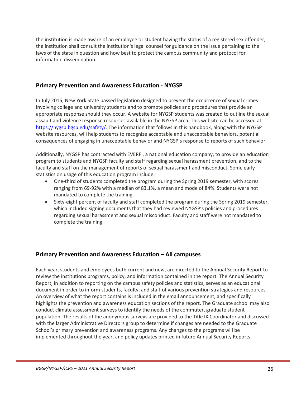the institution is made aware of an employee or student having the status of a registered sex offender, the institution shall consult the institution's legal counsel for guidance on the issue pertaining to the laws of the state in question and how best to protect the campus community and protocol for information dissemination.

## <span id="page-29-0"></span>**Primary Prevention and Awareness Education - NYGSP**

In July 2015, New York State passed legislation designed to prevent the occurrence of sexual crimes involving college and university students and to promote policies and procedures that provide an appropriate response should they occur. A website for NYGSP students was created to outline the sexual assault and violence response resources available in the NYGSP area. This website can be accessed at [https://nygsp.bgsp.edu/safety/.](https://nygsp.bgsp.edu/safety/) The information that follows in this handbook, along with the NYGSP website resources, will help students to recognize acceptable and unacceptable behaviors, potential consequences of engaging in unacceptable behavior and NYGSP's response to reports of such behavior.

Additionally, NYGSP has contracted with EVERFI, a national education company, to provide an education program to students and NYGSP faculty and staff regarding sexual harassment prevention, and to the faculty and staff on the management of reports of sexual harassment and misconduct. Some early statistics on usage of this education program include:

- One-third of students completed the program during the Spring 2019 semester, with scores ranging from 69-92% with a median of 83.1%, a mean and mode of 84%. Students were not mandated to complete the training.
- Sixty-eight percent of faculty and staff completed the program during the Spring 2019 semester, which included signing documents that they had reviewed NYGSP's policies and procedures regarding sexual harassment and sexual misconduct. Faculty and staff were not mandated to complete the training.

## <span id="page-29-1"></span>**Primary Prevention and Awareness Education – All campuses**

Each year, students and employees both current and new, are directed to the Annual Security Report to review the institutions programs, policy, and information contained in the report. The Annual Security Report, in addition to reporting on the campus safety policies and statistics, serves as an educational document in order to inform students, faculty, and staff of various prevention strategies and resources. An overview of what the report contains is included in the email announcement, and specifically highlights the prevention and awareness education sections of the report. The Graduate school may also conduct climate assessment surveys to identify the needs of the commuter, graduate student population. The results of the anonymous surveys are provided to the Title IX Coordinator and discussed with the larger Administrative Directors group to determine if changes are needed to the Graduate School's primary prevention and awareness programs. Any changes to the programs will be implemented throughout the year, and policy updates printed in future Annual Security Reports.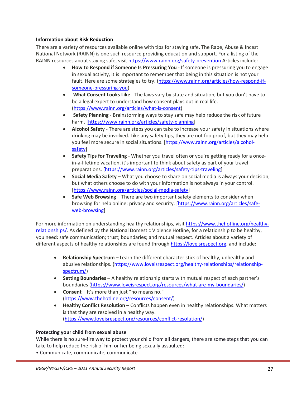#### <span id="page-30-0"></span>**Information about Risk Reduction**

There are a variety of resources available online with tips for staying safe. The Rape, Abuse & Incest National Network (RAINN) is one such resource providing education and support. For a listing of the RAINN resources about staying safe, visit<https://www.rainn.org/safety-prevention> Articles include:

- **How to Respond if Someone Is Pressuring You** If someone is pressuring you to engage in sexual activity, it is important to remember that being in this situation is not your fault. Here are some strategies to try. [\(https://www.rainn.org/articles/how-respond-if](https://www.rainn.org/articles/how-respond-if-someone-pressuring-you)[someone-pressuring-you\)](https://www.rainn.org/articles/how-respond-if-someone-pressuring-you)
- **What Consent Looks Like** The laws vary by state and situation, but you don't have to be a legal expert to understand how consent plays out in real life. [\(https://www.rainn.org/articles/what-is-consent\)](https://www.rainn.org/articles/what-is-consent)
- **Safety Planning** Brainstorming ways to stay safe may help reduce the risk of future harm. [\[https://www.rainn.org/articles/safety-planning\]](https://www.rainn.org/articles/safety-planning)
- **Alcohol Safety** There are steps you can take to increase your safety in situations where drinking may be involved. Like any safety tips, they are not foolproof, but they may help you feel more secure in social situations. [\[https://www.rainn.org/articles/alcohol](https://www.rainn.org/articles/alcohol-safety)[safety\]](https://www.rainn.org/articles/alcohol-safety)
- **Safety Tips for Traveling** Whether you travel often or you're getting ready for a oncein-a-lifetime vacation, it's important to think about safety as part of your travel preparations. [\[https://www.rainn.org/articles/safety-tips-traveling\]](https://www.rainn.org/articles/safety-tips-traveling)
- **Social Media Safety**  What you choose to share on social media is always your decision, but what others choose to do with your information is not always in your control. [\[https://www.rainn.org/articles/social-media-safety\]](https://www.rainn.org/articles/social-media-safety)
- **Safe Web Browsing** There are two important safety elements to consider when browsing for help online: privacy and security. [\[https://www.rainn.org/articles/safe](https://www.rainn.org/articles/safe-web-browsing)[web-browsing\]](https://www.rainn.org/articles/safe-web-browsing)

For more information on understanding healthy relationships, visit [https://www.thehotline.org/healthy](https://www.thehotline.org/healthy-relationships/)[relationships/.](https://www.thehotline.org/healthy-relationships/) As defined by the National Domestic Violence Hotline, for a relationship to be healthy, you need: safe communication; trust; boundaries; and mutual respect. Articles about a variety of different aspects of healthy relationships are found through [https://loveisrespect.org,](https://loveisrespect.org/) and include:

- **Relationship Spectrum** Learn the different characteristics of healthy, unhealthy and abusive relationships. [\(https://www.loveisrespect.org/healthy-relationships/relationship](https://www.loveisrespect.org/healthy-relationships/relationship-spectrum/)[spectrum/\)](https://www.loveisrespect.org/healthy-relationships/relationship-spectrum/)
- **Setting Boundaries** A healthy relationship starts with mutual respect of each partner's boundaries [\(https://www.loveisrespect.org/resources/what-are-my-boundaries/\)](https://www.loveisrespect.org/resources/what-are-my-boundaries/)
- **Consent** It's more than just "no means no." [\(https://www.thehotline.org/resources/consent/\)](https://www.thehotline.org/resources/consent/)
- **Healthy Conflict Resolution** Conflicts happen even in healthy relationships. What matters is that they are resolved in a healthy way. [\(https://www.loveisrespect.org/resources/conflict-resolution/\)](https://www.loveisrespect.org/resources/conflict-resolution/)

#### **Protecting your child from sexual abuse**

While there is no sure-fire way to protect your child from all dangers, there are some steps that you can take to help reduce the risk of him or her being sexually assaulted:

• Communicate, communicate, communicate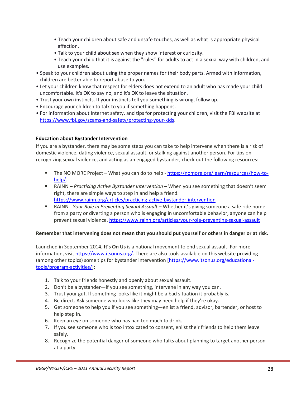- Teach your children about safe and unsafe touches, as well as what is appropriate physical affection.
- Talk to your child about sex when they show interest or curiosity.
- Teach your child that it is against the "rules" for adults to act in a sexual way with children, and use examples.
- Speak to your children about using the proper names for their body parts. Armed with information, children are better able to report abuse to you.
- Let your children know that respect for elders does not extend to an adult who has made your child uncomfortable. It's OK to say no, and it's OK to leave the situation.
- Trust your own instincts. If your instincts tell you something is wrong, follow up.
- Encourage your children to talk to you if something happens.
- For information about Internet safety, and tips for protecting your children, visit the FBI website at [https://www.fbi.gov/scams-and-safety/protecting-your-kids.](https://www.fbi.gov/scams-and-safety/protecting-your-kids)

#### <span id="page-31-0"></span>**Education about Bystander Intervention**

If you are a bystander, there may be some steps you can take to help intervene when there is a risk of domestic violence, dating violence, sexual assault, or stalking against another person. For tips on recognizing sexual violence, and acting as an engaged bystander, check out the following resources:

- The NO MORE Project What you can do to help [https://nomore.org/learn/resources/how-to](https://nomore.org/learn/resources/how-to-help/)[help/.](https://nomore.org/learn/resources/how-to-help/)
- RAINN *Practicing Active Bystander Intervention* When you see something that doesn't seem right, there are simple ways to step in and help a friend. <https://www.rainn.org/articles/practicing-active-bystander-intervention>
- RAINN *Your Role in Preventing Sexual Assault* Whether it's giving someone a safe ride home from a party or diverting a person who is engaging in uncomfortable behavior, anyone can help prevent sexual violence[. https://www.rainn.org/articles/your-role-preventing-sexual-assault](https://www.rainn.org/articles/your-role-preventing-sexual-assault)

#### **Remember that intervening does not mean that you should put yourself or others in danger or at risk.**

Launched in September 2014, **It's On Us** is a national movement to end sexual assault. For more information, visit [https://www.itsonus.org/.](https://www.itsonus.org/) There are also tools available on this website providing (among other topics) some tips for bystander intervention [\[https://www.itsonus.org/educational](https://www.itsonus.org/educational-tools/program-activities/)[tools/program-activities/\]](https://www.itsonus.org/educational-tools/program-activities/):

- 1. Talk to your friends honestly and openly about sexual assault.
- 2. Don't be a bystander—if you see something, intervene in any way you can.
- 3. Trust your gut. If something looks like it might be a bad situation it probably is.
- 4. Be direct. Ask someone who looks like they may need help if they're okay.
- 5. Get someone to help you if you see something—enlist a friend, advisor, bartender, or host to help step in.
- 6. Keep an eye on someone who has had too much to drink.
- 7. If you see someone who is too intoxicated to consent, enlist their friends to help them leave safely.
- 8. Recognize the potential danger of someone who talks about planning to target another person at a party.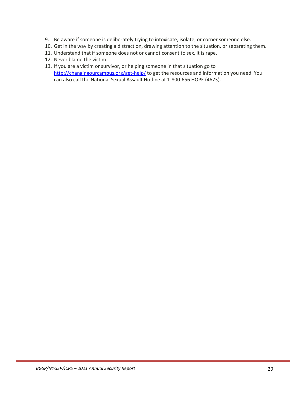- 9. Be aware if someone is deliberately trying to intoxicate, isolate, or corner someone else.
- 10. Get in the way by creating a distraction, drawing attention to the situation, or separating them.
- 11. Understand that if someone does not or cannot consent to sex, it is rape.
- 12. Never blame the victim.
- 13. If you are a victim or survivor, or helping someone in that situation go to <http://changingourcampus.org/get-help/> to get the resources and information you need. You can also call the National Sexual Assault Hotline at 1-800-656 HOPE (4673).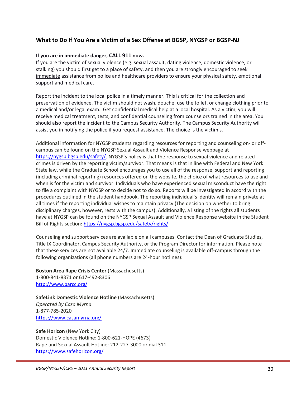## <span id="page-33-0"></span>**What to Do If You Are a Victim of a Sex Offense at BGSP, NYGSP or BGSP-NJ**

#### **If you are in immediate danger, CALL 911 now.**

If you are the victim of sexual violence (e.g. sexual assault, dating violence, domestic violence, or stalking) you should first get to a place of safety, and then you are strongly encouraged to seek immediate assistance from police and healthcare providers to ensure your physical safety, emotional support and medical care.

Report the incident to the local police in a timely manner. This is critical for the collection and preservation of evidence. The victim should not wash, douche, use the toilet, or change clothing prior to a medical and/or legal exam. Get confidential medical help at a local hospital. As a victim, you will receive medical treatment, tests, and confidential counseling from counselors trained in the area. You should also report the incident to the Campus Security Authority. The Campus Security Authority will assist you in notifying the police if you request assistance. The choice is the victim's.

Additional information for NYGSP students regarding resources for reporting and counseling on- or offcampus can be found on the NYGSP Sexual Assault and Violence Response webpage at [https://nygsp.bgsp.edu/safety/.](https://nygsp.bgsp.edu/safety/) NYGSP's policy is that the response to sexual violence and related crimes is driven by the reporting victim/survivor. That means is that in line with Federal and New York State law, while the Graduate School encourages you to use all of the response, support and reporting (including criminal reporting) resources offered on the website, the choice of what resources to use and when is for the victim and survivor. Individuals who have experienced sexual misconduct have the right to file a complaint with NYGSP or to decide not to do so. Reports will be investigated in accord with the procedures outlined in the student handbook. The reporting individual's identity will remain private at all times if the reporting individual wishes to maintain privacy (The decision on whether to bring disciplinary charges, however, rests with the campus). Additionally, a listing of the rights all students have at NYGSP can be found on the NYGSP Sexual Assault and Violence Response website in the Student Bill of Rights section:<https://nygsp.bgsp.edu/safety/rights/>

Counseling and support services are available on all campuses. Contact the Dean of Graduate Studies, Title IX Coordinator, Campus Security Authority, or the Program Director for information. Please note that these services are not available 24/7. Immediate counseling is available off-campus through the following organizations (all phone numbers are 24-hour hotlines):

**Boston Area Rape Crisis Center** (Massachusetts) 1-800-841-8371 or 617-492-8306 <http://www.barcc.org/>

**SafeLink Domestic Violence Hotline** (Massachusetts) *Operated by Casa Myrna* 1-877-785-2020 <https://www.casamyrna.org/>

**Safe Horizon** (New York City) Domestic Violence Hotline: 1-800-621-HOPE (4673) Rape and Sexual Assault Hotline: 212-227-3000 or dial 311 <https://www.safehorizon.org/>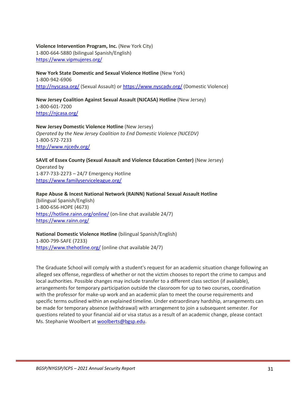**Violence Intervention Program, Inc.** (New York City) 1-800-664-5880 (bilingual Spanish/English) <https://www.vipmujeres.org/>

**New York State Domestic and Sexual Violence Hotline** (New York) 1-800-942-6906 <http://nyscasa.org/> (Sexual Assault) or<https://www.nyscadv.org/> (Domestic Violence)

**New Jersey Coalition Against Sexual Assault (NJCASA) Hotline** (New Jersey) 1-800-601-7200 <https://njcasa.org/>

**New Jersey Domestic Violence Hotline** (New Jersey) *Operated by the New Jersey Coalition to End Domestic Violence (NJCEDV)* 1-800-572-7233 <http://www.njcedv.org/>

**SAVE of Essex County (Sexual Assault and Violence Education Center)** (New Jersey) Operated by 1-877-733-2273 – 24/7 Emergency Hotline <https://www.familyserviceleague.org/>

**Rape Abuse & Incest National Network (RAINN) National Sexual Assault Hotline** (bilingual Spanish/English) 1-800-656-HOPE (4673) <https://hotline.rainn.org/online/> (on-line chat available 24/7) <https://www.rainn.org/>

## **National Domestic Violence Hotline** (bilingual Spanish/English)

1-800-799-SAFE (7233) <https://www.thehotline.org/> (online chat available 24/7)

The Graduate School will comply with a student's request for an academic situation change following an alleged sex offense, regardless of whether or not the victim chooses to report the crime to campus and local authorities. Possible changes may include transfer to a different class section (if available), arrangements for temporary participation outside the classroom for up to two courses, coordination with the professor for make-up work and an academic plan to meet the course requirements and specific terms outlined within an explained timeline. Under extraordinary hardship, arrangements can be made for temporary absence (withdrawal) with arrangement to join a subsequent semester. For questions related to your financial aid or visa status as a result of an academic change, please contact Ms. Stephanie Woolbert at [woolberts@bgsp.edu.](mailto:woolberts@bgsp.edu)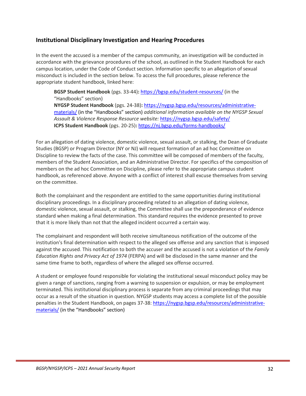## <span id="page-35-0"></span>**Institutional Disciplinary Investigation and Hearing Procedures**

In the event the accused is a member of the campus community, an investigation will be conducted in accordance with the grievance procedures of the school, as outlined in the Student Handbook for each campus location, under the Code of Conduct section. Information specific to an allegation of sexual misconduct is included in the section below. To access the full procedures, please reference the appropriate student handbook, linked here:

**BGSP Student Handbook** (pgs. 33-44)**:** <https://bgsp.edu/student-resources/> (in the "Handbooks" section) **NYGSP Student Handbook** (pgs. 24-38)**:** [https://nygsp.bgsp.edu/resources/administrative](https://nygsp.bgsp.edu/resources/administrative-materials/)[materials/](https://nygsp.bgsp.edu/resources/administrative-materials/) (in the "Handbooks" section) *additional information available on the NYGSP Sexual Assault & Violence Response Resource website:* <https://nygsp.bgsp.edu/safety/> **ICPS Student Handbook** (pgs. 20-25)**:** <https://nj.bgsp.edu/forms-handbooks/>

For an allegation of dating violence, domestic violence, sexual assault, or stalking, the Dean of Graduate Studies (BGSP) or Program Director (NY or NJ) will request formation of an ad hoc Committee on Discipline to review the facts of the case. This committee will be composed of members of the faculty, members of the Student Association, and an Administrative Director. For specifics of the composition of members on the ad hoc Committee on Discipline, please refer to the appropriate campus student handbook, as referenced above. Anyone with a conflict of interest shall excuse themselves from serving on the committee.

Both the complainant and the respondent are entitled to the same opportunities during institutional disciplinary proceedings. In a disciplinary proceeding related to an allegation of dating violence, domestic violence, sexual assault, or stalking, the Committee shall use the preponderance of evidence standard when making a final determination. This standard requires the evidence presented to prove that it is more likely than not that the alleged incident occurred a certain way.

The complainant and respondent will both receive simultaneous notification of the outcome of the institution's final determination with respect to the alleged sex offense and any sanction that is imposed against the accused. This notification to both the accuser and the accused is not a violation of the *Family Education Rights and Privacy Act of 1974* (FERPA) and will be disclosed in the same manner and the same time frame to both, regardless of where the alleged sex offense occurred.

A student or employee found responsible for violating the institutional sexual misconduct policy may be given a range of sanctions, ranging from a warning to suspension or expulsion, or may be employment terminated. This institutional disciplinary process is separate from any criminal proceedings that may occur as a result of the situation in question. NYGSP students may access a complete list of the possible penalties in the Student Handbook, on pages 37-38: [https://nygsp.bgsp.edu/resources/administrative](https://nygsp.bgsp.edu/resources/administrative-materials/)[materials/](https://nygsp.bgsp.edu/resources/administrative-materials/) (in the "Handbooks" section)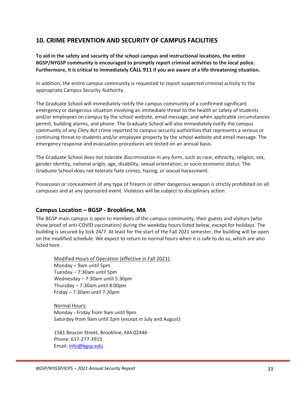## <span id="page-36-0"></span>**10. CRIME PREVENTION AND SECURITY OF CAMPUS FACILITIES**

**To aid in the safety and security of the school campus and instructional locations, the entire BGSP/NYGSP community is encouraged to promptly report criminal activities to the local police. Furthermore, it is critical to immediately CALL 911 if you are aware of a life-threatening situation.** 

In addition, the entire campus community is requested to report suspected criminal activity to the appropriate Campus Security Authority.

The Graduate School will immediately notify the campus community of a confirmed significant emergency or dangerous situation involving an immediate threat to the health or safety of students and/or employees on campus by the school website, email message, and when applicable circumstances permit, building alarms, and phone. The Graduate School will also immediately notify the campus community of any *Clery Act* crime reported to campus security authorities that represents a serious or continuing threat to students and/or employee property by the school website and email message. The emergency response and evacuation procedures are tested on an annual basis.

The Graduate School does not tolerate discrimination in any form, such as race, ethnicity, religion, sex, gender identity, national origin, age, disability, sexual orientation, or socio-economic status. The Graduate School does not tolerate hate crimes, hazing, or sexual harassment.

Possession or concealment of any type of firearm or other dangerous weapon is strictly prohibited on all campuses and at any sponsored event. Violators will be subject to disciplinary action.

#### <span id="page-36-1"></span>**Campus Location – BGSP - Brookline, MA**

The BGSP main campus is open to members of the campus community, their guests and visitors (who show proof of anti-COVID vaccination) during the weekday hours listed below, except for holidays. The building is secured by lock 24/7. At least for the start of the Fall 2021 semester, the building will be open on the modified schedule. We expect to return to normal hours when it is safe to do so, which are also listed here.

Modified Hours of Operation (effective in Fall 2021): Monday – 9am until 5pm Tuesday – 7:30am until 5pm Wednesday – 7:30am until 5:30pm Thursday – 7:30am until 8:00pm Friday – 7:30am until 7:20pm

Normal Hours: Monday - Friday from 9am until 9pm Saturday from 9am until 2pm (except in July and August)

1581 Beacon Street, Brookline, MA 02446 Phone: 617-277-3915 Email: [info@bgsp.edu](mailto:info@bgsp.edu)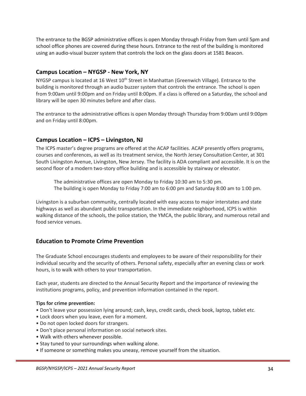The entrance to the BGSP administrative offices is open Monday through Friday from 9am until 5pm and school office phones are covered during these hours. Entrance to the rest of the building is monitored using an audio-visual buzzer system that controls the lock on the glass doors at 1581 Beacon.

## <span id="page-37-0"></span>**Campus Location – NYGSP - New York, NY**

NYGSP campus is located at 16 West 10<sup>th</sup> Street in Manhattan (Greenwich Village). Entrance to the building is monitored through an audio buzzer system that controls the entrance. The school is open from 9:00am until 9:00pm and on Friday until 8:00pm. If a class is offered on a Saturday, the school and library will be open 30 minutes before and after class.

The entrance to the administrative offices is open Monday through Thursday from 9:00am until 9:00pm and on Friday until 8:00pm.

## <span id="page-37-1"></span>**Campus Location – ICPS – Livingston, NJ**

The ICPS master's degree programs are offered at the ACAP facilities. ACAP presently offers programs, courses and conferences, as well as its treatment service, the North Jersey Consultation Center, at 301 South Livingston Avenue, Livingston, New Jersey. The facility is ADA compliant and accessible. It is on the second floor of a modern two-story office building and is accessible by stairway or elevator.

The administrative offices are open Monday to Friday 10:30 am to 5:30 pm. The building is open Monday to Friday 7:00 am to 6:00 pm and Saturday 8:00 am to 1:00 pm.

Livingston is a suburban community, centrally located with easy access to major interstates and state highways as well as abundant public transportation. In the immediate neighborhood, ICPS is within walking distance of the schools, the police station, the YMCA, the public library, and numerous retail and food service venues.

#### <span id="page-37-2"></span>**Education to Promote Crime Prevention**

The Graduate School encourages students and employees to be aware of their responsibility for their individual security and the security of others. Personal safety, especially after an evening class or work hours, is to walk with others to your transportation.

Each year, students are directed to the Annual Security Report and the importance of reviewing the institutions programs, policy, and prevention information contained in the report.

#### **Tips for crime prevention:**

- Don't leave your possession lying around; cash, keys, credit cards, check book, laptop, tablet etc.
- Lock doors when you leave, even for a moment.
- Do not open locked doors for strangers.
- Don't place personal information on social network sites.
- Walk with others whenever possible.
- Stay tuned to your surroundings when walking alone.
- If someone or something makes you uneasy, remove yourself from the situation.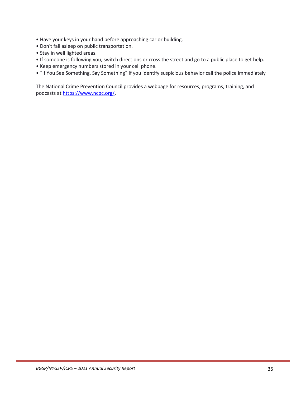- Have your keys in your hand before approaching car or building.
- Don't fall asleep on public transportation.
- Stay in well lighted areas.
- If someone is following you, switch directions or cross the street and go to a public place to get help.
- Keep emergency numbers stored in your cell phone.
- "If You See Something, Say Something" If you identify suspicious behavior call the police immediately

The National Crime Prevention Council provides a webpage for resources, programs, training, and podcasts a[t https://www.ncpc.org/.](https://www.ncpc.org/)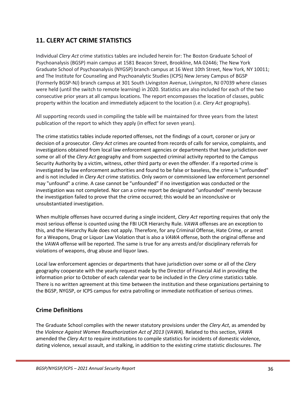## <span id="page-39-0"></span>**11. CLERY ACT CRIME STATISTICS**

Individual *Clery Act* crime statistics tables are included herein for: The Boston Graduate School of Psychoanalysis (BGSP) main campus at 1581 Beacon Street, Brookline, MA 02446; The New York Graduate School of Psychoanalysis (NYGSP) branch campus at 16 West 10th Street, New York, NY 10011; and The Institute for Counseling and Psychoanalytic Studies (ICPS) New Jersey Campus of BGSP (Formerly BGSP-NJ) branch campus at 301 South Livingston Avenue, Livingston, NJ 07039 where classes were held (until the switch to remote learning) in 2020. Statistics are also included for each of the two consecutive prior years at all campus locations. The report encompasses the location of classes, public property within the location and immediately adjacent to the location (i.e. *Clery Act* geography).

All supporting records used in compiling the table will be maintained for three years from the latest publication of the report to which they apply (in effect for seven years).

The crime statistics tables include reported offenses, not the findings of a court, coroner or jury or decision of a prosecutor. *Clery Act* crimes are counted from records of calls for service, complaints, and investigations obtained from local law enforcement agencies or departments that have jurisdiction over some or all of the *Clery Act* geography and from suspected criminal activity reported to the Campus Security Authority by a victim, witness, other third party or even the offender. If a reported crime is investigated by law enforcement authorities and found to be false or baseless, the crime is "unfounded" and is not included in *Clery Act* crime statistics. Only sworn or commissioned law enforcement personnel may "unfound" a crime. A case cannot be "unfounded" if no investigation was conducted or the investigation was not completed. Nor can a crime report be designated "unfounded" merely because the investigation failed to prove that the crime occurred; this would be an inconclusive or unsubstantiated investigation.

When multiple offenses have occurred during a single incident, *Clery Act* reporting requires that only the most serious offense is counted using the FBI UCR Hierarchy Rule. *VAWA* offenses are an exception to this, and the Hierarchy Rule does not apply. Therefore, for any Criminal Offense, Hate Crime, or arrest for a Weapons, Drug or Liquor Law Violation that is also a *VAWA* offense, both the original offense and the *VAWA* offense will be reported. The same is true for any arrests and/or disciplinary referrals for violations of weapons, drug abuse and liquor laws.

Local law enforcement agencies or departments that have jurisdiction over some or all of the *Clery* geography cooperate with the yearly request made by the Director of Financial Aid in providing the information prior to October of each calendar year to be included in the *Clery* crime statistics table. There is no written agreement at this time between the institution and these organizations pertaining to the BGSP, NYGSP, or ICPS campus for extra patrolling or immediate notification of serious crimes.

#### <span id="page-39-1"></span>**Crime Definitions**

The Graduate School complies with the newer statutory provisions under the *Clery Act*, as amended by the *Violence Against Women Reauthorization Act of 2013* (*VAWA*). Related to this section, *VAWA* amended the *Clery Act* to require institutions to compile statistics for incidents of domestic violence, dating violence, sexual assault, and stalking, in addition to the existing crime statistic disclosures. *The*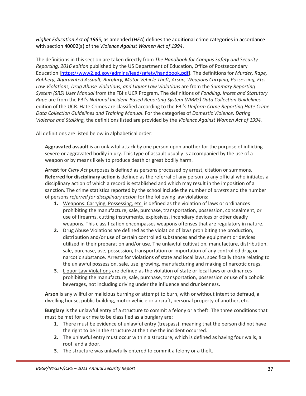*Higher Education Act of 1965*, as amended (*HEA*) defines the additional crime categories in accordance with section 40002(a) of the *Violence Against Women Act of 1994*.

The definitions in this section are taken directly from *The Handbook for Campus Safety and Security Reporting, 2016 edition* published by the US Department of Education, Office of Postsecondary Education [\[https://www2.ed.gov/admins/lead/safety/handbook.pdf\]](https://www2.ed.gov/admins/lead/safety/handbook.pdf). The definitions for *Murder, Rape, Robbery, Aggravated Assault, Burglary, Motor Vehicle Theft, Arson, Weapons Carrying, Possessing, Etc. Law Violations, Drug Abuse Violations, and Liquor Law Violations* are from the *Summary Reporting System (SRS) User Manual* from the FBI's UCR Program. The definitions of *Fondling, Incest and Statutory Rape* are from the FBI's *National Incident-Based Reporting System (NIBRS) Data Collection Guidelines* edition of the UCR. Hate Crimes are classified according to the FBI's *Uniform Crime Reporting Hate Crime Data Collection Guidelines and Training Manual*. For the categories of *Domestic Violence, Dating Violence and Stalking,* the definitions listed are provided by the *Violence Against Women Act of 1994.*

All definitions are listed below in alphabetical order:

**Aggravated assault** is an unlawful attack by one person upon another for the purpose of inflicting severe or aggravated bodily injury. This type of assault usually is accompanied by the use of a weapon or by means likely to produce death or great bodily harm.

**Arrest** for *Clery Act* purposes is defined as persons processed by arrest, citation or summons. **Referred for disciplinary action** is defined as the referral of any person to any official who initiates a disciplinary action of which a record is established and which may result in the imposition of a sanction. The crime statistics reported by the school include the number of *arrests* and the number of persons *referred for disciplinary action* for the following law violations:

- **1.** Weapons: Carrying, Possessing, etc. is defined as the violation of laws or ordinances prohibiting the manufacture, sale, purchase, transportation, possession, concealment, or use of firearms, cutting instruments, explosives, incendiary devices or other deadly weapons. This classification encompasses weapons offenses that are regulatory in nature.
- **2.** Drug Abuse Violations are defined as the violation of laws prohibiting the production, distribution and/or use of certain controlled substances and the equipment or devices utilized in their preparation and/or use. The unlawful cultivation, manufacture, distribution, sale, purchase, use, possession, transportation or importation of any controlled drug or narcotic substance. Arrests for violations of state and local laws, specifically those relating to the unlawful possession, sale, use, growing, manufacturing and making of narcotic drugs.
- **3.** Liquor Law Violations are defined as the violation of state or local laws or ordinances prohibiting the manufacture, sale, purchase, transportation, possession or use of alcoholic beverages, not including driving under the influence and drunkenness.

**Arson** is any willful or malicious burning or attempt to burn, with or without intent to defraud, a dwelling house, public building, motor vehicle or aircraft, personal property of another, etc.

**Burglary** is the unlawful entry of a structure to commit a felony or a theft. The three conditions that must be met for a crime to be classified as a burglary are:

- **1.** There must be evidence of unlawful entry (trespass), meaning that the person did not have the right to be in the structure at the time the incident occurred.
- **2.** The unlawful entry must occur within a structure, which is defined as having four walls, a roof, and a door.
- **3.** The structure was unlawfully entered to commit a felony or a theft.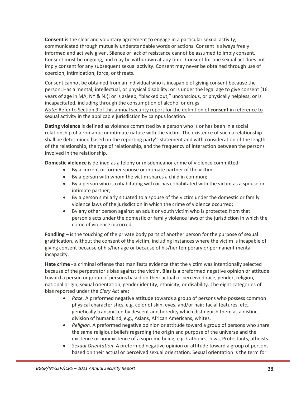**Consent** is the clear and voluntary agreement to engage in a particular sexual activity, communicated through mutually understandable words or actions. Consent is always freely informed and actively given. Silence or lack of resistance cannot be assumed to imply consent. Consent must be ongoing, and may be withdrawn at any time. Consent for one sexual act does not imply consent for any subsequent sexual activity. Consent may never be obtained through use of coercion, intimidation, force, or threats.

Consent cannot be obtained from an individual who is incapable of giving consent because the person: Has a mental, intellectual, or physical disability; or is under the legal age to give consent (16 years of age in MA, NY & NJ); or is asleep, "blacked out," unconscious, or physically helpless; or is incapacitated, including through the consumption of alcohol or drugs.

*Note:* Refer to Section 9 of this annual security report for the definition of **consent** in reference to sexual activity in the applicable jurisdiction by campus location.

**Dating violence** is defined as violence committed by a person who is or has been in a social relationship of a romantic or intimate nature with the victim. The existence of such a relationship shall be determined based on the reporting party's statement and with consideration of the length of the relationship, the type of relationship, and the frequency of interaction between the persons involved in the relationship.

**Domestic violence** is defined as a felony or misdemeanor crime of violence committed –

- By a current or former spouse or intimate partner of the victim;
- By a person with whom the victim shares a child in common;
- By a person who is cohabitating with or has cohabitated with the victim as a spouse or intimate partner;
- By a person similarly situated to a spouse of the victim under the domestic or family violence laws of the jurisdiction in which the crime of violence occurred;
- By any other person against an adult or youth victim who is protected from that person's acts under the domestic or family violence laws of the jurisdiction in which the crime of violence occurred.

**Fondling** – is the touching of the private body parts of another person for the purpose of sexual gratification, without the consent of the victim, including instances where the victim is incapable of giving consent because of his/her age or because of his/her temporary or permanent mental incapacity.

**Hate crime** - a criminal offense that manifests evidence that the victim was intentionally selected because of the perpetrator's bias against the victim. **Bias** is a preformed negative opinion or attitude toward a person or group of persons based on their actual or perceived race, gender, religion, national origin, sexual orientation, gender identity, ethnicity, or disability. The eight categories of bias reported under the *Clery Act* are:

- *Race.* A preformed negative attitude towards a group of persons who possess common physical characteristics, e.g. color of skin, eyes, and/or hair; facial features, etc., genetically transmitted by descent and heredity which distinguish them as a distinct division of humankind, e.g., Asians, African Americans, whites.
- *Religion.* A preformed negative opinion or attitude toward a group of persons who share the same religious beliefs regarding the origin and purpose of the universe and the existence or nonexistence of a supreme being, e.g. Catholics, Jews, Protestants, atheists.
- *Sexual Orientation*. A preformed negative opinion or attitude toward a group of persons based on their actual or perceived sexual orientation. Sexual orientation is the term for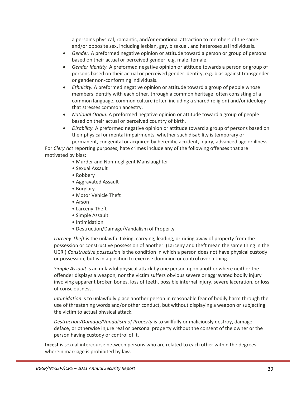a person's physical, romantic, and/or emotional attraction to members of the same and/or opposite sex, including lesbian, gay, bisexual, and heterosexual individuals.

- *Gender.* A preformed negative opinion or attitude toward a person or group of persons based on their actual or perceived gender, e.g. male, female.
- *Gender Identity.* A preformed negative opinion or attitude towards a person or group of persons based on their actual or perceived gender identity, e.g. bias against transgender or gender non-conforming individuals.
- *Ethnicity.* A preformed negative opinion or attitude toward a group of people whose members identify with each other, through a common heritage, often consisting of a common language, common culture (often including a shared religion) and/or ideology that stresses common ancestry.
- *National Origin.* A preformed negative opinion or attitude toward a group of people based on their actual or perceived country of birth.
- *Disability.* A preformed negative opinion or attitude toward a group of persons based on their physical or mental impairments, whether such disability is temporary or permanent, congenital or acquired by heredity, accident, injury, advanced age or illness.

For *Clery Act* reporting purposes, hate crimes include any of the following offenses that are motivated by bias:

- Murder and Non-negligent Manslaughter
- Sexual Assault
- Robbery
- Aggravated Assault
- Burglary
- Motor Vehicle Theft
- Arson
- Larceny-Theft
- Simple Assault
- Intimidation
- Destruction/Damage/Vandalism of Property

*Larceny-Theft* is the unlawful taking, carrying, leading, or riding away of property from the possession or constructive possession of another. (Larceny and theft mean the same thing in the UCR.) *Constructive possession* is the condition in which a person does not have physical custody or possession, but is in a position to exercise dominion or control over a thing.

*Simple Assault* is an unlawful physical attack by one person upon another where neither the offender displays a weapon, nor the victim suffers obvious severe or aggravated bodily injury involving apparent broken bones, loss of teeth, possible internal injury, severe laceration, or loss of consciousness.

*Intimidation* is to unlawfully place another person in reasonable fear of bodily harm through the use of threatening words and/or other conduct, but without displaying a weapon or subjecting the victim to actual physical attack.

*Destruction/Damage/Vandalism of Property* is to willfully or maliciously destroy, damage, deface, or otherwise injure real or personal property without the consent of the owner or the person having custody or control of it.

**Incest** is sexual intercourse between persons who are related to each other within the degrees wherein marriage is prohibited by law.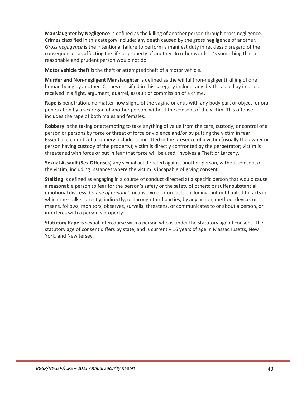**Manslaughter by Negligence** is defined as the killing of another person through gross negligence. Crimes classified in this category include: any death caused by the gross negligence of another. *Gross negligence* is the intentional failure to perform a manifest duty in reckless disregard of the consequences as affecting the life or property of another. In other words, it's something that a reasonable and prudent person would not do.

**Motor vehicle theft** is the theft or attempted theft of a motor vehicle.

**Murder and Non-negligent Manslaughter** is defined as the willful (non-negligent) killing of one human being by another. Crimes classified in this category include: any death caused by injuries received in a fight, argument, quarrel, assault or commission of a crime.

**Rape** is penetration, no matter how slight, of the vagina or anus with any body part or object, or oral penetration by a sex organ of another person, without the consent of the victim. This offense includes the rape of both males and females.

**Robbery** is the taking or attempting to take anything of value from the care, custody, or control of a person or persons by force or threat of force or violence and/or by putting the victim in fear. Essential elements of a robbery include: committed in the presence of a victim (usually the owner or person having custody of the property); victim is directly confronted by the perpetrator; victim is threatened with force or put in fear that force will be used; involves a Theft or Larceny.

**Sexual Assault (Sex Offenses)** any sexual act directed against another person, without consent of the victim, including instances where the victim is incapable of giving consent.

**Stalking** is defined as engaging in a course of conduct directed at a specific person that would cause a reasonable person to fear for the person's safety or the safety of others; or suffer substantial emotional distress. *Course of Conduct* means two or more acts, including, but not limited to, acts in which the stalker directly, indirectly, or through third parties, by any action, method, device, or means, follows, monitors, observes, surveils, threatens, or communicates to or about a person, or interferes with a person's property.

**Statutory Rape** is sexual intercourse with a person who is under the statutory age of consent. The statutory age of consent differs by state, and is currently 16 years of age in Massachusetts, New York, and New Jersey.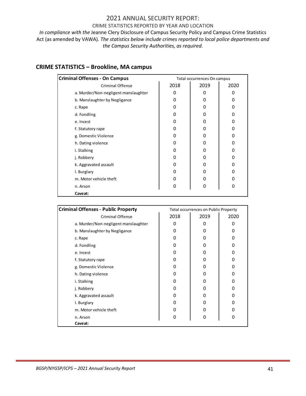#### 2021 ANNUAL SECURITY REPORT:

#### CRIME STATISTICS REPORTED BY YEAR AND LOCATION

*In compliance with the* Jeanne Clery Disclosure of Campus Security Policy and Campus Crime Statistics Act (as amended by VAWA). *The statistics below include crimes reported to local police departments and the Campus Security Authorities, as required.*

## <span id="page-44-0"></span>**CRIME STATISTICS – Brookline, MA campus**

| 2018<br><b>Criminal Offense</b>           | 2019<br>0 | 2020 |
|-------------------------------------------|-----------|------|
|                                           |           |      |
| a. Murder/Non-negligent manslaughter<br>0 |           | 0    |
| b. Manslaughter by Negligance<br>0        | 0         | 0    |
| 0<br>c. Rape                              | 0         | 0    |
| 0<br>d. Fondling                          | 0         | 0    |
| 0<br>e. Incest                            | 0         | 0    |
| f. Statutory rape<br>0                    | 0         | 0    |
| g. Domestic Violence<br>0                 | 0         | 0    |
| h. Dating violence<br>0                   | 0         | 0    |
| i. Stalking<br>0                          | 0         | 0    |
| 0<br>j. Robbery                           | 0         | 0    |
| k. Aggravated assault<br>0                | 0         | 0    |
| I. Burglary<br>0                          | 0         | 0    |
| m. Motor vehicle theft<br>0               | 0         | O    |
| 0<br>n. Arson                             | 0         | 0    |
| Caveat:                                   |           |      |

| <b>Criminal Offenses - Public Property</b> | Total occurrences on Public Property |      |      |  |
|--------------------------------------------|--------------------------------------|------|------|--|
| <b>Criminal Offense</b>                    | 2018                                 | 2019 | 2020 |  |
| a. Murder/Non-negligent manslaughter       | 0                                    | 0    | 0    |  |
| b. Manslaughter by Negligance              | 0                                    | 0    | 0    |  |
| c. Rape                                    | 0                                    | Ω    | 0    |  |
| d. Fondling                                | Ω                                    | 0    | O    |  |
| e. Incest                                  | Ω                                    | Ω    | O    |  |
| f. Statutory rape                          | Ω                                    | 0    | O    |  |
| g. Domestic Violence                       | 0                                    | 0    | O    |  |
| h. Dating violence                         | 0                                    | Ω    | Ω    |  |
| i. Stalking                                | Ω                                    | 0    | O    |  |
| j. Robbery                                 | O                                    | O    | n    |  |
| k. Aggravated assault                      | O                                    | 0    | n    |  |
| I. Burglary                                | Ω                                    | 0    |      |  |
| m. Motor vehicle theft                     | 0                                    | 0    | O    |  |
| n. Arson                                   | 0                                    | 0    | 0    |  |
| Caveat:                                    |                                      |      |      |  |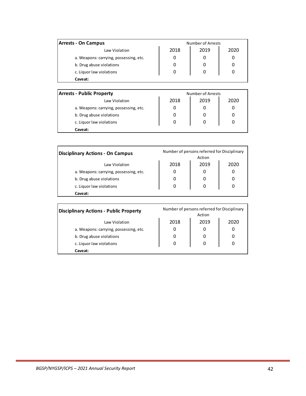| <b>Arrests - On Campus</b>             |      | Number of Arrests |      |
|----------------------------------------|------|-------------------|------|
| Law Violation                          | 2018 | 2019              | 2020 |
| a. Weapons: carrying, possessing, etc. | 0    | 0                 |      |
| b. Drug abuse violations               |      |                   |      |
| c. Liquor law violations               | 0    | 0                 |      |
| Caveat:                                |      |                   |      |

| <b>Arrests - Public Property</b>       | Number of Arrests |      |      |  |  |
|----------------------------------------|-------------------|------|------|--|--|
| Law Violation                          | 2018              | 2019 | 2020 |  |  |
| a. Weapons: carrying, possessing, etc. | O                 |      |      |  |  |
| b. Drug abuse violations               |                   |      |      |  |  |
| c. Liquor law violations               | 0                 | O    |      |  |  |
| Caveat:                                |                   |      |      |  |  |

| <b>Disciplinary Actions - On Campus</b> | Number of persons referred for Disciplinary<br>Action |      |      |  |  |
|-----------------------------------------|-------------------------------------------------------|------|------|--|--|
| Law Violation                           | 2018                                                  | 2019 | 2020 |  |  |
| a. Weapons: carrying, possessing, etc.  | 0                                                     | 0    |      |  |  |
| b. Drug abuse violations                |                                                       |      |      |  |  |
| c. Liquor law violations                | 0                                                     | 0    |      |  |  |
| <b>Caveat:</b>                          |                                                       |      |      |  |  |

| <b>Disciplinary Actions - Public Property</b> | Number of persons referred for Disciplinary<br>Action |      |      |  |
|-----------------------------------------------|-------------------------------------------------------|------|------|--|
| Law Violation                                 | 2018                                                  | 2019 | 2020 |  |
| a. Weapons: carrying, possessing, etc.        | 0                                                     |      | 0    |  |
| b. Drug abuse violations                      | 0                                                     |      | 0    |  |
| c. Liquor law violations                      | 0                                                     | 0    | 0    |  |
| Caveat:                                       |                                                       |      |      |  |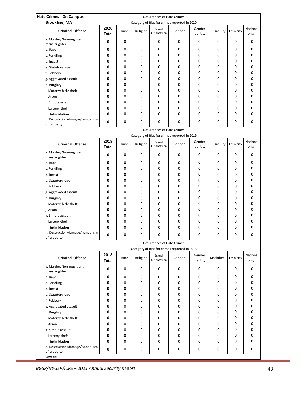| Hate Crimes - On Campus -                      | Occurrences of Hate Crimes |      |          |                            |                                              |                    |                      |           |                    |
|------------------------------------------------|----------------------------|------|----------|----------------------------|----------------------------------------------|--------------------|----------------------|-----------|--------------------|
| <b>Brookline, MA</b>                           |                            |      |          |                            | Category of Bias for crimes reported in 2020 |                    |                      |           |                    |
| <b>Criminal Offense</b>                        | 2020<br><b>Total</b>       | Race | Religion | Sexual<br>Orientation      | Gender                                       | Gender<br>Identity | Disability Ethnicity |           | National<br>origin |
| a. Murder/Non-negligent<br>manslaughter        | 0                          | 0    | 0        | $\mathbf 0$                | 0                                            | 0                  | 0                    | 0         | 0                  |
| b. Rape                                        | 0                          | 0    | 0        | 0                          | 0                                            | 0                  | 0                    | 0         | 0                  |
| c. Fondling                                    | 0                          | 0    | 0        | 0                          | 0                                            | 0                  | 0                    | 0         | 0                  |
| d. Incest                                      | 0                          | 0    | 0        | $\mathbf 0$                | 0                                            | 0                  | 0                    | 0         | 0                  |
| e. Statutory rape                              | 0                          | 0    | 0        | $\mathbf 0$                | 0                                            | 0                  | 0                    | 0         | 0                  |
| f. Robbery                                     | 0                          | 0    | 0        | 0                          | 0                                            | 0                  | 0                    | 0         | 0                  |
| g. Aggravated assault                          | 0                          | 0    | 0        | 0                          | 0                                            | 0                  | 0                    | 0         | 0                  |
| h. Burglary                                    | 0                          | 0    | 0        | 0                          | 0                                            | 0                  | 0                    | 0         | 0                  |
| i. Motor vehicle theft                         | 0                          | 0    | 0        | 0                          | 0                                            | 0                  | 0                    | 0         | 0                  |
| j. Arson                                       | 0                          | 0    | 0        | 0                          | 0                                            | 0                  | 0                    | 0         | 0                  |
| k. Simple assault                              | 0                          | 0    | 0        | $\mathbf 0$                | $\mathbf 0$                                  | 0                  | 0                    | 0         | $\mathbf 0$        |
| I. Larceny-theft                               | 0                          | 0    | 0        | $\mathbf 0$                | 0                                            | 0                  | 0                    | 0         | 0                  |
| m. Intimidation                                | 0                          | 0    | 0        | $\mathbf 0$                | 0                                            | 0                  | 0                    | 0         | 0                  |
| n. Destruction/damage/vandalism                |                            |      |          |                            |                                              |                    |                      |           |                    |
| of property                                    | 0                          | 0    | 0        | $\Omega$                   | 0                                            | 0                  | 0                    | 0         | 0                  |
|                                                |                            |      |          | Occurrences of Hate Crimes |                                              |                    |                      |           |                    |
|                                                |                            |      |          |                            | Category of Bias for crimes reported in 2019 |                    |                      |           |                    |
| <b>Criminal Offense</b>                        | 2019<br><b>Total</b>       | Race | Religion | Sexual<br>Orientation      | Gender                                       | Gender<br>Identity | Disability Ethnicity |           | National<br>origin |
| a. Murder/Non-negligent<br>manslaughter        | 0                          | 0    | 0        | $\mathbf 0$                | 0                                            | 0                  | 0                    | 0         | 0                  |
| b. Rape                                        | 0                          | 0    | 0        | 0                          | 0                                            | 0                  | 0                    | 0         | 0                  |
| c. Fondling                                    | 0                          | 0    | 0        | 0                          | 0                                            | 0                  | 0                    | 0         | 0                  |
| d. Incest                                      | 0                          | 0    | 0        | 0                          | 0                                            | 0                  | 0                    | 0         | 0                  |
| e. Statutory rape                              | 0                          | 0    | 0        | 0                          | 0                                            | 0                  | 0                    | 0         | 0                  |
| f. Robbery                                     | 0                          | 0    | 0        | 0                          | 0                                            | 0                  | 0                    | 0         | 0                  |
| g. Aggravated assault                          | 0                          | 0    | 0        | $\mathbf 0$                | $\mathbf 0$                                  | 0                  | 0                    | 0         | 0                  |
| h. Burglary                                    | 0                          | 0    | 0        | $\mathbf 0$                | 0                                            | 0                  | 0                    | 0         | 0                  |
| i. Motor vehicle theft                         | 0                          | 0    | 0        | 0                          | 0                                            | 0                  | 0                    | 0         | 0                  |
| j. Arson                                       | 0                          | 0    | 0        | 0                          | 0                                            | 0                  | 0                    | 0         | 0                  |
| k. Simple assault                              | 0                          | 0    | 0        | 0                          | 0                                            | 0                  | 0                    | 0         | 0                  |
| I. Larceny-theft                               | 0                          | 0    | 0        | $\mathbf 0$                | 0                                            | 0                  | 0                    | 0         | 0                  |
| m. Intimidation                                | 0                          | 0    | 0        | 0                          | 0                                            | 0                  | 0                    | 0         | 0                  |
| n. Destruction/damage/vandalism<br>of property | $\sqrt{2}$                 | 0    | 0        | $\Omega$                   | $\Omega$                                     | 0                  | $\Omega$             | $\Omega$  | $\Omega$           |
|                                                |                            |      |          | Occurrences of Hate Crimes |                                              |                    |                      |           |                    |
|                                                |                            |      |          |                            | Category of Bias for crimes reported in 2018 |                    |                      |           |                    |
| <b>Criminal Offense</b>                        | 2018<br><b>Total</b>       | Race | Religion | Sexual<br>Orientation      | Gender                                       | Gender<br>Identity | Disability           | Ethnicity | National<br>origin |
| a. Murder/Non-negligent<br>manslaughter        | 0                          | 0    | 0        | $\mathbf 0$                | 0                                            | 0                  | 0                    | 0         | 0                  |
| b. Rape                                        | 0                          | 0    | 0        | 0                          | 0                                            | 0                  | 0                    | 0         | 0                  |
| c. Fondling                                    | 0                          | 0    | 0        | 0                          | 0                                            | 0                  | 0                    | 0         | 0                  |
| d. Incest                                      | 0                          | 0    | 0        | 0                          | 0                                            | 0                  | 0                    | 0         | 0                  |
| e. Statutory rape                              | 0                          | 0    | 0        | 0                          | 0                                            | 0                  | 0                    | 0         | 0                  |
| f. Robbery                                     | 0                          | 0    | 0        | 0                          | 0                                            | 0                  | 0                    | 0         | 0                  |
| g. Aggravated assault                          | 0                          | 0    | 0        | 0                          | 0                                            | 0                  | 0                    | 0         | 0                  |
| h. Burglary                                    | 0                          | 0    | 0        | 0                          | $\mathbf 0$                                  | 0                  | 0                    | 0         | 0                  |
| i. Motor vehicle theft                         | 0                          | 0    | 0        | 0                          | 0                                            | 0                  | 0                    | 0         | 0                  |
| j. Arson                                       | 0                          | 0    | 0        | 0                          | 0                                            | 0                  | 0                    | 0         | 0                  |
| k. Simple assault                              | 0                          | 0    | 0        | 0                          | 0                                            | 0                  | 0                    | 0         | 0                  |
| I. Larceny-theft                               | 0                          | 0    | 0        | 0                          | 0                                            | 0                  | 0                    | 0         | 0                  |
| m. Intimidation                                | 0                          | 0    | 0        | 0                          | 0                                            | 0                  | 0                    | 0         | 0                  |
| n. Destruction/damage/vandalism<br>of property | 0                          | 0    | 0        | 0                          | 0                                            | 0                  | 0                    | 0         | 0                  |
| Caveat:                                        |                            |      |          |                            |                                              |                    |                      |           |                    |

*BGSP/NYGSP/ICPS – 2021 Annual Security Report* 43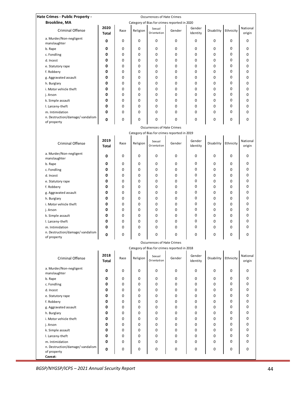| Hate Crimes - Public Property -                           |                      |      |          | <b>Occurrences of Hate Crimes</b> |                                              |                    |            |           |                    |
|-----------------------------------------------------------|----------------------|------|----------|-----------------------------------|----------------------------------------------|--------------------|------------|-----------|--------------------|
| <b>Brookline, MA</b>                                      |                      |      |          |                                   | Category of Bias for crimes reported in 2020 |                    |            |           |                    |
| <b>Criminal Offense</b>                                   | 2020<br><b>Total</b> | Race | Religion | Sexual<br>Orientation             | Gender                                       | Gender<br>Identity | Disability | Ethnicity | National<br>origin |
| a. Murder/Non-negligent<br>manslaughter                   | 0                    | 0    | 0        | 0                                 | 0                                            | 0                  | 0          | 0         | 0                  |
| b. Rape                                                   | 0                    | 0    | 0        | 0                                 | 0                                            | 0                  | 0          | 0         | 0                  |
| c. Fondling                                               | 0                    | 0    | 0        | 0                                 | 0                                            | 0                  | 0          | 0         | 0                  |
| d. Incest                                                 | 0                    | 0    | 0        | 0                                 | 0                                            | 0                  | 0          | 0         | 0                  |
|                                                           | 0                    | 0    | 0        | 0                                 | 0                                            | 0                  | 0          | 0         | 0                  |
| e. Statutory rape                                         |                      |      |          |                                   |                                              |                    |            |           |                    |
| f. Robbery                                                | 0                    | 0    | 0        | 0                                 | 0                                            | 0                  | 0          | 0         | 0                  |
| g. Aggravated assault                                     | 0                    | 0    | 0        | 0                                 | 0                                            | 0                  | 0          | 0         | 0                  |
| h. Burglary                                               | 0                    | 0    | 0        | 0                                 | 0                                            | 0                  | 0          | 0         | 0                  |
| i. Motor vehicle theft                                    | 0                    | 0    | 0        | 0                                 | 0                                            | 0                  | 0          | 0         | 0                  |
| j. Arson                                                  | 0                    | 0    | 0        | 0                                 | 0                                            | $\mathbf 0$        | 0          | 0         | 0                  |
| k. Simple assault                                         | 0                    | 0    | 0        | 0                                 | 0                                            | $\mathbf 0$        | 0          | 0         | 0                  |
| I. Larceny-theft                                          | 0                    | 0    | 0        | 0                                 | 0                                            | 0                  | 0          | 0         | 0                  |
| m. Intimidation                                           | 0                    | 0    | 0        | 0                                 | 0                                            | 0                  | 0          | 0         | 0                  |
| n. Destruction/damage/vandalism<br>of property            | 0                    | 0    | 0        | 0                                 | 0                                            | 0                  | 0          | 0         | 0                  |
|                                                           |                      |      |          | <b>Occurrences of Hate Crimes</b> |                                              |                    |            |           |                    |
|                                                           |                      |      |          |                                   | Category of Bias for crimes reported in 2019 |                    |            |           |                    |
| <b>Criminal Offense</b>                                   | 2019<br><b>Total</b> | Race | Religion | Sexual<br>Orientation             | Gender                                       | Gender<br>Identity | Disability | Ethnicity | National<br>origin |
| a. Murder/Non-negligent<br>manslaughter                   | 0                    | 0    | 0        | 0                                 | 0                                            | 0                  | 0          | 0         | 0                  |
| b. Rape                                                   | 0                    | 0    | 0        | 0                                 | 0                                            | 0                  | 0          | 0         | 0                  |
| c. Fondling                                               | 0                    | 0    | 0        | 0                                 | 0                                            | 0                  | 0          | 0         | 0                  |
| d. Incest                                                 | 0                    | 0    | 0        | 0                                 | 0                                            | 0                  | 0          | 0         | 0                  |
|                                                           | 0                    | 0    | 0        | 0                                 | 0                                            | 0                  | 0          | 0         | 0                  |
| e. Statutory rape                                         | 0                    |      |          |                                   |                                              | 0                  |            | 0         | 0                  |
| f. Robbery                                                |                      | 0    | 0        | 0                                 | 0                                            |                    | 0          |           |                    |
| g. Aggravated assault                                     | 0                    | 0    | 0        | 0                                 | 0                                            | 0                  | 0          | 0         | 0                  |
| h. Burglary                                               | 0                    | 0    | 0        | 0                                 | 0                                            | 0                  | 0          | 0         | 0                  |
| i. Motor vehicle theft                                    | 0                    | 0    | 0        | 0                                 | 0                                            | 0                  | 0          | 0         | 0                  |
| j. Arson                                                  | 0                    | 0    | 0        | 0                                 | 0                                            | 0                  | 0          | 0         | 0                  |
| k. Simple assault                                         | 0                    | 0    | 0        | 0                                 | 0                                            | 0                  | 0          | 0         | 0                  |
| I. Larceny-theft                                          | 0                    | 0    | 0        | 0                                 | 0                                            | 0                  | 0          | 0         | 0                  |
| m. Intimidation                                           | 0                    | 0    | 0        | 0                                 | 0                                            | 0                  | 0          | 0         | 0                  |
| n. Destruction/damage/vandalism<br>of property            | 0                    | 0    | 0        | 0                                 | 0                                            | 0                  | 0          | 0         | 0                  |
|                                                           |                      |      |          | <b>Occurrences of Hate Crimes</b> |                                              |                    |            |           |                    |
|                                                           |                      |      |          |                                   | Category of Bias for crimes reported in 2018 |                    |            |           |                    |
| Criminal Offense                                          | 2018<br><b>Total</b> | Race | Religion | Sexual<br>Orientation             | Gender                                       | Gender<br>Identity | Disability | Ethnicity | National<br>origin |
| a. Murder/Non-negligent<br>manslaughter                   | 0                    | 0    | 0        | 0                                 | 0                                            | 0                  | 0          | 0         | 0                  |
| b. Rape                                                   | 0                    | 0    | 0        | 0                                 | 0                                            | 0                  | 0          | 0         | 0                  |
| c. Fondling                                               | 0                    | 0    | 0        | 0                                 | 0                                            | 0                  | 0          | 0         | 0                  |
| d. Incest                                                 | 0                    | 0    | 0        | 0                                 | 0                                            | 0                  | 0          | 0         | 0                  |
| e. Statutory rape                                         | 0                    | 0    | 0        | 0                                 | 0                                            | 0                  | 0          | 0         | 0                  |
| f. Robbery                                                | 0                    | 0    | 0        | 0                                 | 0                                            | 0                  | 0          | 0         | 0                  |
| g. Aggravated assault                                     | 0                    | 0    | 0        | 0                                 | 0                                            | 0                  | 0          | 0         | 0                  |
| h. Burglary                                               | 0                    | 0    | 0        | 0                                 | 0                                            | 0                  | 0          | 0         | 0                  |
| i. Motor vehicle theft                                    | 0                    | 0    | 0        | 0                                 | 0                                            | 0                  | 0          | 0         | 0                  |
|                                                           |                      |      |          |                                   |                                              |                    |            | 0         | 0                  |
| j. Arson                                                  | 0                    | 0    | 0        | 0                                 | 0                                            | 0                  | 0          | 0         |                    |
| k. Simple assault                                         | 0                    | 0    | 0        | 0                                 | 0                                            | 0                  | 0          |           | 0                  |
| I. Larceny-theft                                          | 0                    | 0    | 0        | 0                                 | 0                                            | 0                  | 0          | 0         | 0                  |
| m. Intimidation                                           | 0                    | 0    | 0        | 0                                 | 0                                            | 0                  | 0          | 0         | 0                  |
| n. Destruction/damage/vandalism<br>of property<br>Caveat: | 0                    | 0    | 0        | 0                                 | 0                                            | 0                  | 0          | 0         | 0                  |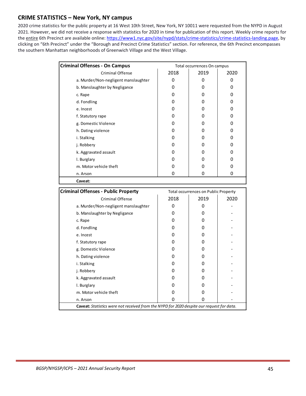## <span id="page-48-0"></span>**CRIME STATISTICS – New York, NY campus**

2020 crime statistics for the public property at 16 West 10th Street, New York, NY 10011 were requested from the NYPD in August 2021. However, we did not receive a response with statistics for 2020 in time for publication of this report. Weekly crime reports for the entire 6th Precinct are available online[: https://www1.nyc.gov/site/nypd/stats/crime-statistics/crime-statistics-landing.page,](https://www1.nyc.gov/site/nypd/stats/crime-statistics/crime-statistics-landing.page) by clicking on "6th Precinct" under the "Borough and Precinct Crime Statistics" section. For reference, the 6th Precinct encompasses the southern Manhattan neighborhoods of Greenwich Village and the West Village.

| <b>Criminal Offenses - On Campus</b> | Total occurrences On campus |      |      |  |
|--------------------------------------|-----------------------------|------|------|--|
| <b>Criminal Offense</b>              | 2018                        | 2019 | 2020 |  |
| a. Murder/Non-negligent manslaughter | 0                           | 0    | n    |  |
| b. Manslaughter by Negligance        | 0                           | 0    | O    |  |
| c. Rape                              | 0                           | 0    |      |  |
| d. Fondling                          | 0                           | 0    |      |  |
| e. Incest                            | 0                           | 0    |      |  |
| f. Statutory rape                    | 0                           | 0    |      |  |
| g. Domestic Violence                 | 0                           | 0    |      |  |
| h. Dating violence                   | 0                           | 0    |      |  |
| i. Stalking                          | 0                           | 0    |      |  |
| j. Robbery                           | 0                           | ი    |      |  |
| k. Aggravated assault                | 0                           | 0    |      |  |
| I. Burglary                          | 0                           | ი    |      |  |
| m. Motor vehicle theft               | 0                           | ი    |      |  |
| n. Arson                             | O                           | 0    | O    |  |
| Caveat:                              |                             |      |      |  |

| <b>Criminal Offenses - Public Property</b>                                                |      | Total occurrences on Public Property |      |
|-------------------------------------------------------------------------------------------|------|--------------------------------------|------|
| <b>Criminal Offense</b>                                                                   | 2018 | 2019                                 | 2020 |
| a. Murder/Non-negligent manslaughter                                                      |      |                                      |      |
| b. Manslaughter by Negligance                                                             | O    | O                                    |      |
| c. Rape                                                                                   | O    |                                      |      |
| d. Fondling                                                                               | O    | n                                    |      |
| e. Incest                                                                                 | O    | O                                    |      |
| f. Statutory rape                                                                         | O    | O                                    |      |
| g. Domestic Violence                                                                      |      |                                      |      |
| h. Dating violence                                                                        | 0    | O                                    |      |
| i. Stalking                                                                               | O    | O                                    |      |
| j. Robbery                                                                                |      |                                      |      |
| k. Aggravated assault                                                                     | O    | O                                    |      |
| I. Burglary                                                                               | O    | O                                    |      |
| m. Motor vehicle theft                                                                    |      |                                      |      |
| n. Arson                                                                                  |      | O                                    |      |
| Caveat: Statistics were not received from the NYPD for 2020 despite our request for data. |      |                                      |      |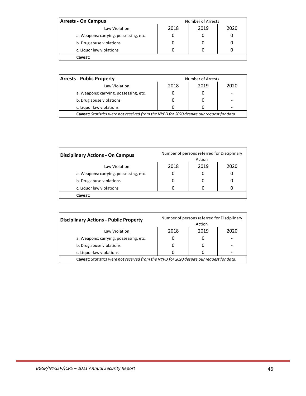| <b>Arrests - On Campus</b>             | <b>Number of Arrests</b> |  |  |  |
|----------------------------------------|--------------------------|--|--|--|
| Law Violation                          | 2018<br>2019<br>2020     |  |  |  |
| a. Weapons: carrying, possessing, etc. |                          |  |  |  |
| b. Drug abuse violations               |                          |  |  |  |
| c. Liquor law violations               |                          |  |  |  |
| Caveat:                                |                          |  |  |  |

| <b>Arrests - Public Property</b>                                                          | Number of Arrests |      |  |  |
|-------------------------------------------------------------------------------------------|-------------------|------|--|--|
| Law Violation                                                                             | 2018              | 2020 |  |  |
| a. Weapons: carrying, possessing, etc.                                                    |                   |      |  |  |
| b. Drug abuse violations                                                                  |                   |      |  |  |
| c. Liquor law violations                                                                  |                   |      |  |  |
| Caveat: Statistics were not received from the NYPD for 2020 despite our request for data. |                   |      |  |  |

| <b>Disciplinary Actions - On Campus</b> | Number of persons referred for Disciplinary<br>Action |      |      |
|-----------------------------------------|-------------------------------------------------------|------|------|
| Law Violation                           | 2018                                                  | 2019 | 2020 |
| a. Weapons: carrying, possessing, etc.  |                                                       |      |      |
| b. Drug abuse violations                |                                                       |      |      |
| c. Liquor law violations                |                                                       |      |      |
| Caveat:                                 |                                                       |      |      |

| <b>Disciplinary Actions - Public Property</b>                                             | Number of persons referred for Disciplinary<br>Action |      |      |  |
|-------------------------------------------------------------------------------------------|-------------------------------------------------------|------|------|--|
| Law Violation                                                                             | 2018                                                  | 2019 | 2020 |  |
| a. Weapons: carrying, possessing, etc.                                                    |                                                       |      |      |  |
| b. Drug abuse violations                                                                  |                                                       |      |      |  |
| c. Liquor law violations                                                                  |                                                       |      |      |  |
| Caveat: Statistics were not received from the NYPD for 2020 despite our request for data. |                                                       |      |      |  |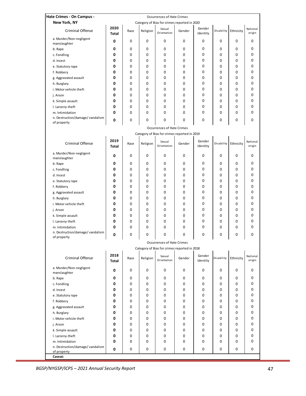| Hate Crimes - On Campus -                      |                      |        |          | <b>Occurrences of Hate Crimes</b>            |        |                    |            |           |                    |
|------------------------------------------------|----------------------|--------|----------|----------------------------------------------|--------|--------------------|------------|-----------|--------------------|
| New York, NY                                   |                      |        |          | Category of Bias for crimes reported in 2020 |        |                    |            |           |                    |
| Criminal Offense                               | 2020<br><b>Total</b> | Race   | Religion | Sexual<br>Orientation                        | Gender | Gender<br>Identity | Disability | Ethnicity | National<br>origin |
| a. Murder/Non-negligent<br>manslaughter        | 0                    | 0      | 0        | 0                                            | 0      | 0                  | 0          | 0         | 0                  |
| b. Rape                                        | 0                    | 0      | 0        | 0                                            | 0      | 0                  | 0          | 0         | 0                  |
| c. Fondling                                    | 0                    | 0      | 0        | 0                                            | 0      | 0                  | 0          | 0         | 0                  |
| d. Incest                                      | 0                    | 0      | 0        | 0                                            | 0      | 0                  | 0          | 0         | 0                  |
| e. Statutory rape                              | 0                    | 0      | 0        | 0                                            | 0      | 0                  | 0          | 0         | 0                  |
| f. Robbery                                     | 0                    | 0      | 0        | 0                                            | 0      | 0                  | 0          | 0         | 0                  |
| g. Aggravated assault                          | 0                    | 0      | 0        | 0                                            | 0      | 0                  | 0          | 0         | 0                  |
| h. Burglary                                    | 0                    | 0      | 0        | 0                                            | 0      | 0                  | 0          | 0         | 0                  |
| i. Motor vehicle theft                         | 0                    | 0      | 0        | 0                                            | 0      | 0                  | 0          | 0         | 0                  |
| j. Arson                                       | 0                    | 0      | 0        | 0                                            | 0      | 0                  | 0          | 0         | 0                  |
| k. Simple assault                              | 0                    | 0      | 0        | 0                                            | 0      | 0                  | 0          | 0         | 0                  |
| I. Larceny-theft                               | 0                    | 0      | 0        | 0                                            | 0      | 0                  | 0          | 0         | 0                  |
| m. Intimidation                                | 0                    | 0      | 0        | 0                                            | 0      | 0                  | 0          | 0         | 0                  |
| n. Destruction/damage/vandalism<br>of property | 0                    | 0      | 0        | 0                                            | 0      | 0                  | 0          | 0         | 0                  |
|                                                |                      |        |          | <b>Occurrences of Hate Crimes</b>            |        |                    |            |           |                    |
| Category of Bias for crimes reported in 2019   |                      |        |          |                                              |        |                    |            |           |                    |
| <b>Criminal Offense</b>                        | 2019<br><b>Total</b> | Race   | Religion | Sexual<br>Orientation                        | Gender | Gender<br>Identity | Disability | Ethnicity | National<br>origin |
| a. Murder/Non-negligent<br>manslaughter        | 0                    | 0      | 0        | 0                                            | 0      | 0                  | 0          | 0         | 0                  |
| b. Rape                                        | 0                    | 0      | 0        | 0                                            | 0      | 0                  | 0          | 0         | 0                  |
| c. Fondling                                    | 0                    | 0      | 0        | 0                                            | 0      | 0                  | 0          | 0         | 0                  |
| d. Incest                                      | 0                    | 0      | 0        | 0                                            | 0      | 0                  | 0          | 0         | 0                  |
| e. Statutory rape                              | 0                    | 0      | 0        | 0                                            | 0      | 0                  | 0          | 0         | 0                  |
| f. Robbery                                     | 0                    | 0      | 0        | 0                                            | 0      | 0                  | 0          | 0         | 0                  |
| g. Aggravated assault                          | 0                    | 0      | 0        | 0                                            | 0      | 0                  | 0          | 0         | 0                  |
| h. Burglary                                    | 0                    | 0      | 0        | 0                                            | 0      | 0                  | 0          | 0         | 0                  |
| i. Motor vehicle theft                         | 0                    | 0      | 0        | 0                                            | 0      | 0                  | 0          | 0         | 0                  |
| j. Arson                                       | 0                    | 0      | 0        | 0                                            | 0      | 0                  | 0          | 0         | 0                  |
| k. Simple assault                              | 0                    | 0      | 0        | 0                                            | 0      | 0                  | 0          | 0         | 0                  |
| I. Larceny-theft                               | 0                    | 0      | 0        | 0                                            | 0      | 0                  | 0          | 0         | 0                  |
| m. Intimidation                                | 0                    | 0      | 0        | 0                                            | 0      | 0                  | 0          | 0         | 0                  |
| n. Destruction/damage/vandalism<br>of property | 0                    | 0      | 0        | 0<br><b>Occurrences of Hate Crimes</b>       | 0      | 0                  | 0          | 0         | 0                  |
|                                                |                      |        |          | Category of Bias for crimes reported in 2018 |        |                    |            |           |                    |
|                                                | 2018                 |        |          |                                              |        |                    |            |           |                    |
| Criminal Offense                               | <b>Total</b>         | Race   | Religion | Sexual<br>Orientation                        | Gender | Gender<br>Identity | Disability | Ethnicity | National<br>origin |
| a. Murder/Non-negligent<br>manslaughter        | 0                    | 0      | 0        | 0                                            | 0      | 0                  | 0          | 0         | 0                  |
| b. Rape                                        | 0                    | 0      | 0        | 0                                            | 0      | 0                  | 0          | 0         | 0                  |
| c. Fondling                                    | 0                    | 0      | 0        | 0                                            | 0      | 0                  | 0          | 0         | 0                  |
| d. Incest                                      | 0                    | 0      | 0        | 0                                            | 0      | 0                  | 0          | 0         | 0                  |
| e. Statutory rape                              | 0                    | 0      | 0        | 0                                            | 0      | 0                  | 0          | 0         | 0                  |
| f. Robbery                                     | 0                    | 0      | 0        | 0                                            | 0      | 0                  | 0          | 0         | 0                  |
| g. Aggravated assault                          | 0                    | 0      | 0        | 0                                            | 0      | 0                  | 0          | 0         | 0                  |
| h. Burglary                                    | 0                    | 0      | 0        | 0                                            | 0      | 0                  | 0          | 0         | 0<br>0             |
| i. Motor vehicle theft                         | 0<br>0               | 0<br>0 | 0<br>0   | 0<br>0                                       | 0      | 0                  | 0<br>0     | 0         | 0                  |
| j. Arson<br>k. Simple assault                  | 0                    | 0      | 0        | 0                                            | 0<br>0 | 0<br>0             | 0          | 0<br>0    | 0                  |
| I. Larceny-theft                               | 0                    | 0      | 0        | 0                                            | 0      | 0                  | 0          | 0         | 0                  |
| m. Intimidation                                | 0                    | 0      | 0        | 0                                            | 0      | 0                  | 0          | 0         | 0                  |
| n. Destruction/damage/vandalism                |                      |        |          |                                              |        |                    |            |           |                    |
| of property<br>Caveat:                         | 0                    | 0      | 0        | 0                                            | 0      | 0                  | 0          | 0         | 0                  |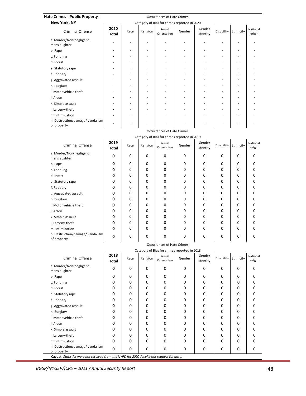| Hate Crimes - Public Property -                                                                          |                                                                |      |                          |                                                                       |                |                    |                          |           |                    |
|----------------------------------------------------------------------------------------------------------|----------------------------------------------------------------|------|--------------------------|-----------------------------------------------------------------------|----------------|--------------------|--------------------------|-----------|--------------------|
| New York, NY                                                                                             |                                                                |      |                          | Occurrences of Hate Crimes                                            |                |                    |                          |           |                    |
| <b>Criminal Offense</b>                                                                                  | 2020                                                           | Race | Religion                 | Category of Bias for crimes reported in 2020<br>Sexual<br>Orientation | Gender         | Gender             | Disability               | Ethnicity | National<br>origin |
| a. Murder/Non-negligent                                                                                  | <b>Total</b>                                                   |      |                          |                                                                       |                | Identity           |                          |           |                    |
| manslaughter                                                                                             |                                                                |      | $\overline{\phantom{a}}$ | L.                                                                    | $\overline{a}$ | L.                 | L.                       |           |                    |
| b. Rape                                                                                                  |                                                                |      |                          |                                                                       |                |                    | $\overline{\phantom{a}}$ |           |                    |
| c. Fondling                                                                                              |                                                                |      |                          |                                                                       |                |                    |                          |           |                    |
| d. Incest                                                                                                |                                                                |      |                          |                                                                       |                |                    |                          |           |                    |
| e. Statutory rape                                                                                        |                                                                |      | L.                       |                                                                       |                | L.                 | $\overline{a}$           |           |                    |
| f. Robbery                                                                                               |                                                                |      | L.                       |                                                                       |                |                    | $\overline{a}$           |           |                    |
| g. Aggravated assault                                                                                    |                                                                |      | $\overline{\phantom{a}}$ | $\overline{\phantom{0}}$                                              |                |                    | $\overline{\phantom{a}}$ |           |                    |
| h. Burglary                                                                                              |                                                                |      | $\overline{\phantom{a}}$ | $\overline{\phantom{0}}$                                              |                |                    | $\overline{\phantom{a}}$ |           |                    |
| i. Motor vehicle theft                                                                                   | $\blacksquare$                                                 |      |                          |                                                                       |                |                    | $\overline{\phantom{a}}$ |           |                    |
| j. Arson                                                                                                 |                                                                |      |                          |                                                                       |                |                    |                          |           |                    |
| k. Simple assault                                                                                        |                                                                |      |                          |                                                                       |                |                    |                          |           |                    |
| I. Larceny-theft                                                                                         |                                                                |      |                          |                                                                       |                |                    | $\overline{a}$           |           |                    |
| m. Intimidation                                                                                          |                                                                |      |                          |                                                                       |                |                    | $\overline{a}$           |           |                    |
| n. Destruction/damage/vandalism                                                                          |                                                                |      |                          |                                                                       |                |                    |                          |           |                    |
| of property                                                                                              |                                                                |      |                          |                                                                       |                |                    |                          |           |                    |
|                                                                                                          | Occurrences of Hate Crimes                                     |      |                          |                                                                       |                |                    |                          |           |                    |
|                                                                                                          | Category of Bias for crimes reported in 2019<br>2019<br>Gender |      |                          |                                                                       |                |                    |                          |           |                    |
| <b>Criminal Offense</b>                                                                                  | <b>Total</b>                                                   | Race | Religion                 | Sexual<br>Orientation                                                 | Gender         | Identity           | Disability               | Ethnicity | National<br>origin |
| a. Murder/Non-negligent<br>manslaughter                                                                  | 0                                                              | 0    | 0                        | 0                                                                     | 0              | 0                  | 0                        | 0         | 0                  |
| b. Rape                                                                                                  | 0                                                              | 0    | 0                        | 0                                                                     | 0              | 0                  | 0                        | 0         | 0                  |
| c. Fondling                                                                                              | 0                                                              | 0    | 0                        | 0                                                                     | 0              | 0                  | 0                        | 0         | 0                  |
| d. Incest                                                                                                | 0                                                              | 0    | 0                        | 0                                                                     | 0              | 0                  | 0                        | 0         | 0                  |
| e. Statutory rape                                                                                        | 0                                                              | 0    | 0                        | 0                                                                     | 0              | 0                  | 0                        | 0         | 0                  |
| f. Robbery                                                                                               | 0                                                              | 0    | 0                        | 0                                                                     | 0              | 0                  | 0                        | 0         | 0                  |
| g. Aggravated assault                                                                                    | 0                                                              | 0    | 0                        | 0                                                                     | 0              | 0                  | 0                        | 0         | 0                  |
| h. Burglary                                                                                              | 0                                                              | 0    | 0                        | 0                                                                     | 0              | 0                  | 0                        | 0         | 0                  |
| i. Motor vehicle theft                                                                                   | 0                                                              | 0    | 0                        | 0                                                                     | 0              | 0                  | 0                        | 0         | 0                  |
| j. Arson                                                                                                 | 0                                                              | 0    | 0                        | 0                                                                     | 0              | 0                  | 0                        | 0         | 0                  |
| k. Simple assault                                                                                        | 0                                                              | 0    | 0                        | 0                                                                     | 0              | 0                  | 0                        | 0         | 0                  |
| I. Larceny-theft                                                                                         | 0                                                              | 0    | 0                        | 0                                                                     | 0              | 0                  | 0                        | 0         | 0                  |
| m. Intimidation                                                                                          | 0                                                              | 0    | $\Omega$                 | $\Omega$                                                              | 0              | 0                  | 0                        | 0         | 0                  |
| n. Destruction/damage/vandalism<br>of property                                                           |                                                                | 0    | 0                        | 0                                                                     | 0              | 0                  | 0                        | 0         | 0                  |
|                                                                                                          |                                                                |      |                          | <b>Occurrences of Hate Crimes</b>                                     |                |                    |                          |           |                    |
|                                                                                                          |                                                                |      |                          | Category of Bias for crimes reported in 2018                          |                |                    |                          |           |                    |
| Criminal Offense                                                                                         | 2018<br>Total                                                  | Race | Religion                 | Sexual<br>Orientation                                                 | Gender         | Gender<br>Identity | <b>Disability</b>        | Ethnicity | National<br>origin |
| a. Murder/Non-negligent<br>manslaughter                                                                  | 0                                                              | 0    | 0                        | 0                                                                     | 0              | 0                  | 0                        | 0         | 0                  |
| b. Rape                                                                                                  | 0                                                              | 0    | 0                        | 0                                                                     | 0              | 0                  | 0                        | 0         | 0                  |
| c. Fondling                                                                                              | 0                                                              | 0    | 0                        | 0                                                                     | 0              | 0                  | 0                        | 0         | 0                  |
| d. Incest                                                                                                | 0                                                              | 0    | 0                        | 0                                                                     | 0              | 0                  | 0                        | 0         | 0                  |
| e. Statutory rape                                                                                        | 0                                                              | 0    | 0                        | 0                                                                     | 0              | 0                  | 0                        | 0         | 0                  |
| f. Robbery                                                                                               | 0                                                              | 0    | 0                        | 0                                                                     | 0              | 0                  | 0                        | 0         | 0                  |
| g. Aggravated assault                                                                                    | 0                                                              | 0    | 0                        | 0                                                                     | 0              | 0                  | 0                        | 0         | 0                  |
| h. Burglary                                                                                              | 0                                                              | 0    | 0                        | 0                                                                     | 0              | 0                  | 0                        | 0         | 0                  |
| i. Motor vehicle theft                                                                                   | 0                                                              | 0    | 0                        | 0                                                                     | 0              | 0                  | 0                        | 0         | 0                  |
| j. Arson                                                                                                 | 0                                                              | 0    | 0                        | 0                                                                     | 0              | 0                  | 0                        | 0         | 0                  |
| k. Simple assault                                                                                        | 0                                                              | 0    | 0                        | 0                                                                     | 0              | 0                  | 0                        | 0         | 0                  |
| I. Larceny-theft                                                                                         | 0                                                              | 0    | 0                        | 0                                                                     | 0              | 0                  | 0                        | 0         | 0                  |
| m. Intimidation                                                                                          | 0                                                              | 0    | 0                        | 0                                                                     | 0              | 0                  | 0                        | 0         | 0                  |
| n. Destruction/damage/vandalism                                                                          | 0                                                              | 0    | 0                        | 0                                                                     | 0              | 0                  | 0                        | 0         | 0                  |
| of property<br>Caveat: Statistics were not received from the NYPD for 2020 despite our request for data. |                                                                |      |                          |                                                                       |                |                    |                          |           |                    |
|                                                                                                          |                                                                |      |                          |                                                                       |                |                    |                          |           |                    |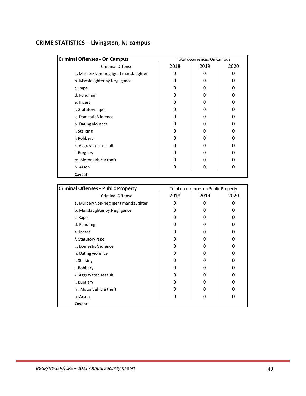## <span id="page-52-0"></span>**CRIME STATISTICS – Livingston, NJ campus**

| <b>Criminal Offenses - On Campus</b> | Total occurrences On campus |      |      |  |
|--------------------------------------|-----------------------------|------|------|--|
| <b>Criminal Offense</b>              | 2018                        | 2019 | 2020 |  |
| a. Murder/Non-negligent manslaughter | 0                           | O    | 0    |  |
| b. Manslaughter by Negligance        | 0                           | Ω    | 0    |  |
| c. Rape                              | 0                           | Ω    | O    |  |
| d. Fondling                          | Ω                           | O    | Ω    |  |
| e. Incest                            | 0                           | Ω    | O    |  |
| f. Statutory rape                    | 0                           | 0    | O    |  |
| g. Domestic Violence                 | 0                           | O    | 0    |  |
| h. Dating violence                   | 0                           | Ω    | 0    |  |
| i. Stalking                          | Ω                           | 0    | 0    |  |
| j. Robbery                           | 0                           | 0    | O    |  |
| k. Aggravated assault                | O                           | Ω    | O    |  |
| I. Burglary                          | ი                           | O    | 0    |  |
| m. Motor vehicle theft               | 0                           | 0    | 0    |  |
| n. Arson                             | 0                           | 0    | 0    |  |
| Caveat:                              |                             |      |      |  |

| <b>Criminal Offenses - Public Property</b> |      | <b>Total occurrences on Public Property</b> |      |
|--------------------------------------------|------|---------------------------------------------|------|
| <b>Criminal Offense</b>                    | 2018 | 2019                                        | 2020 |
| a. Murder/Non-negligent manslaughter       | O    | 0                                           |      |
| b. Manslaughter by Negligance              | O    | 0                                           | O    |
| c. Rape                                    | O    | 0                                           | 0    |
| d. Fondling                                | O    | O                                           |      |
| e. Incest                                  | ŋ    | 0                                           | n    |
| f. Statutory rape                          | O    | 0                                           | 0    |
| g. Domestic Violence                       | ŋ    | 0                                           | n    |
| h. Dating violence                         | ŋ    | 0                                           | ი    |
| i. Stalking                                | O    | 0                                           |      |
| j. Robbery                                 | ŋ    | 0                                           | N    |
| k. Aggravated assault                      | ŋ    | 0                                           |      |
| I. Burglary                                | ŋ    | 0                                           | n    |
| m. Motor vehicle theft                     | ŋ    | 0                                           | n    |
| n. Arson                                   | O    | 0                                           | 0    |
| Caveat:                                    |      |                                             |      |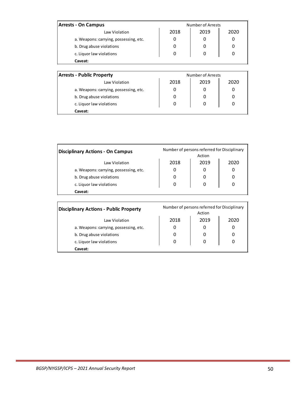| <b>Arrests - On Campus</b>             |                   | Number of Arrests |      |  |  |
|----------------------------------------|-------------------|-------------------|------|--|--|
| Law Violation                          | 2018              | 2019              | 2020 |  |  |
| a. Weapons: carrying, possessing, etc. | 0                 | 0                 | 0    |  |  |
| b. Drug abuse violations               | 0                 | 0                 | 0    |  |  |
| c. Liquor law violations               | 0                 | 0                 | 0    |  |  |
| Caveat:                                |                   |                   |      |  |  |
|                                        |                   |                   |      |  |  |
| Arrocte - Dublic Dronorty              | Number of Arrocts |                   |      |  |  |

| <b>Arrests - Public Property</b>       | Number of Arrests |      |      |  |
|----------------------------------------|-------------------|------|------|--|
| Law Violation                          | 2018              | 2019 | 2020 |  |
| a. Weapons: carrying, possessing, etc. | 0                 | 0    |      |  |
| b. Drug abuse violations               | 0                 |      |      |  |
| c. Liquor law violations               | 0                 | 0    |      |  |
| Caveat:                                |                   |      |      |  |

| <b>Disciplinary Actions - On Campus</b> | Number of persons referred for Disciplinary<br>Action |      |      |  |  |
|-----------------------------------------|-------------------------------------------------------|------|------|--|--|
| Law Violation                           | 2018                                                  | 2019 | 2020 |  |  |
| a. Weapons: carrying, possessing, etc.  | 0                                                     | O    |      |  |  |
| b. Drug abuse violations                | O                                                     | O    |      |  |  |
| c. Liquor law violations                | 0                                                     | 0    |      |  |  |
| Caveat:                                 |                                                       |      |      |  |  |

| <b>Disciplinary Actions - Public Property</b> | Number of persons referred for Disciplinary<br>Action |      |      |  |
|-----------------------------------------------|-------------------------------------------------------|------|------|--|
| Law Violation                                 | 2018                                                  | 2019 | 2020 |  |
| a. Weapons: carrying, possessing, etc.        |                                                       |      |      |  |
| b. Drug abuse violations                      |                                                       |      | 0    |  |
| c. Liquor law violations                      | 0                                                     |      | 0    |  |
| Caveat:                                       |                                                       |      |      |  |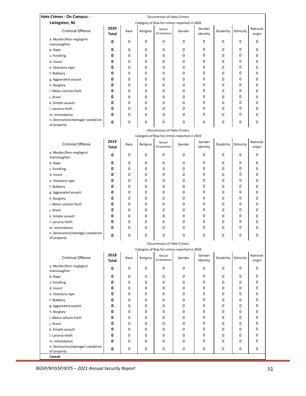| Occurrences of Hate Crimes<br>Livingston, NJ<br>Category of Bias for crimes reported in 2020<br>2020<br>National<br>Gender<br>Sexual<br><b>Criminal Offense</b><br>Disability<br>Ethnicity<br>Race<br>Religion<br>Gender<br>Orientation<br>Identity<br>origin<br><b>Total</b><br>a. Murder/Non-negligent<br>0<br>0<br>0<br>0<br>0<br>0<br>0<br>0<br>0<br>manslaughter<br>0<br>0<br>0<br>0<br>0<br>0<br>0<br>0<br>0<br>b. Rape<br>0<br>0<br>0<br>0<br>0<br>0<br>0<br>0<br>c. Fondling<br>0<br>0<br>0<br>0<br>0<br>0<br>0<br>0<br>0<br>0<br>d. Incest<br>0<br>0<br>0<br>0<br>0<br>0<br>0<br>0<br>0<br>e. Statutory rape<br>0<br>0<br>0<br>0<br>0<br>0<br>0<br>0<br>0<br>f. Robbery<br>0<br>0<br>0<br>0<br>0<br>0<br>0<br>0<br>0<br>g. Aggravated assault<br>0<br>0<br>0<br>0<br>0<br>0<br>0<br>0<br>0<br>h. Burglary<br>0<br>0<br>0<br>0<br>0<br>0<br>0<br>0<br>0<br>i. Motor vehicle theft<br>0<br>0<br>0<br>0<br>0<br>0<br>0<br>0<br>0<br>j. Arson<br>0<br>0<br>0<br>0<br>0<br>0<br>0<br>0<br>0<br>k. Simple assault<br>0<br>0<br>0<br>0<br>$\mathbf 0$<br>0<br>0<br>0<br>0<br>I. Larceny-theft<br>0<br>0<br>0<br>0<br>0<br>0<br>0<br>0<br>0<br>m. Intimidation<br>n. Destruction/damage/ vandalism<br>0<br>0<br>$\mathbf 0$<br>$\mathbf 0$<br>0<br>$\Omega$<br>0<br>0<br>0<br>of property<br>Occurrences of Hate Crimes<br>Category of Bias for crimes reported in 2019<br>2019<br>Gender<br>National<br>Sexual<br><b>Criminal Offense</b><br>Ethnicity<br>Race<br>Religion<br>Gender<br>Disability<br>Orientation<br><b>Total</b><br>Identity<br>origin<br>a. Murder/Non-negligent<br>0<br>0<br>0<br>0<br>0<br>0<br>0<br>0<br>0<br>manslaughter<br>0<br>0<br>0<br>0<br>0<br>0<br>0<br>0<br>0<br>b. Rape<br>0<br>0<br>0<br>0<br>0<br>0<br>0<br>0<br>0<br>c. Fondling<br>0<br>$\mathbf 0$<br>0<br>0<br>0<br>0<br>0<br>0<br>0<br>d. Incest<br>0<br>0<br>0<br>0<br>0<br>0<br>0<br>0<br>0<br>e. Statutory rape<br>0<br>0<br>0<br>0<br>0<br>0<br>0<br>0<br>0<br>f. Robbery<br>0<br>0<br>0<br>0<br>0<br>0<br>0<br>0<br>0<br>g. Aggravated assault<br>0<br>0<br>0<br>0<br>0<br>0<br>0<br>0<br>0<br>h. Burglary<br>0<br>0<br>0<br>0<br>$\mathbf 0$<br>0<br>0<br>0<br>0<br>i. Motor vehicle theft<br>0<br>0<br>0<br>0<br>0<br>$\mathbf 0$<br>0<br>0<br>0<br>j. Arson<br>0<br>0<br>0<br>0<br>0<br>0<br>0<br>0<br>0<br>k. Simple assault<br>0<br>0<br>0<br>0<br>0<br>0<br>0<br>0<br>0<br>I. Larceny-theft<br>0<br>0<br>0<br>0<br>0<br>0<br>0<br>0<br>m. Intimidation<br>0<br>n. Destruction/damage/vandalism<br>0<br>0<br>0<br>U<br>U<br>U<br>O<br>of property<br><b>Occurrences of Hate Crimes</b><br>Category of Bias for crimes reported in 2018<br>2018<br>National<br>Gender<br>Sexual<br><b>Criminal Offense</b><br>Religion<br>Gender<br>Disability<br>Ethnicity<br>Race<br>Orientation<br>Identity<br>origin<br>Total<br>a. Murder/Non-negligent<br>0<br>0<br>0<br>0<br>0<br>0<br>0<br>0<br>0<br>manslaughter<br>0<br>0<br>0<br>0<br>0<br>0<br>0<br>0<br>b. Rape<br>0<br>0<br>0<br>0<br>0<br>0<br>0<br>0<br>0<br>c. Fondling<br>0<br>0<br>0<br>0<br>0<br>0<br>0<br>0<br>0<br>d. Incest<br>0<br>0<br>0<br>0<br>0<br>0<br>0<br>0<br>0<br>0<br>e. Statutory rape<br>0<br>0<br>0<br>0<br>0<br>0<br>0<br>0<br>0<br>f. Robbery<br>0<br>0<br>0<br>0<br>0<br>0<br>0<br>0<br>g. Aggravated assault<br>0<br>0<br>0<br>0<br>0<br>0<br>0<br>0<br>0<br>h. Burglary<br>0<br>0<br>0<br>0<br>0<br>0<br>0<br>0<br>0<br>i. Motor vehicle theft<br>0<br>0<br>0<br>0<br>0<br>0<br>0<br>0<br>0<br>0<br>j. Arson<br>0<br>0<br>0<br>0<br>0<br>0<br>0<br>0<br>k. Simple assault<br>0<br>0<br>0<br>0<br>0<br>0<br>0<br>0<br>0<br>I. Larceny-theft<br>0<br>0<br>0<br>0<br>0<br>0<br>0<br>0<br>0<br>0<br>m. Intimidation<br>n. Destruction/damage/ vandalism<br>0<br>0<br>0<br>0<br>$\mathbf 0$<br>0<br>0<br>0<br>0<br>of property |                           |  |  |  |  |  |  |  |  |  |  |  |
|-------------------------------------------------------------------------------------------------------------------------------------------------------------------------------------------------------------------------------------------------------------------------------------------------------------------------------------------------------------------------------------------------------------------------------------------------------------------------------------------------------------------------------------------------------------------------------------------------------------------------------------------------------------------------------------------------------------------------------------------------------------------------------------------------------------------------------------------------------------------------------------------------------------------------------------------------------------------------------------------------------------------------------------------------------------------------------------------------------------------------------------------------------------------------------------------------------------------------------------------------------------------------------------------------------------------------------------------------------------------------------------------------------------------------------------------------------------------------------------------------------------------------------------------------------------------------------------------------------------------------------------------------------------------------------------------------------------------------------------------------------------------------------------------------------------------------------------------------------------------------------------------------------------------------------------------------------------------------------------------------------------------------------------------------------------------------------------------------------------------------------------------------------------------------------------------------------------------------------------------------------------------------------------------------------------------------------------------------------------------------------------------------------------------------------------------------------------------------------------------------------------------------------------------------------------------------------------------------------------------------------------------------------------------------------------------------------------------------------------------------------------------------------------------------------------------------------------------------------------------------------------------------------------------------------------------------------------------------------------------------------------------------------------------------------------------------------------------------------------------------------------------------------------------------------------------------------------------------------------------------------------------------------------------------------------------------------------------------------------------------------------------------------------------------------------------------------------------------------------------------------------------------------------------------------------------------------------------------------------------------------------------------------------------------------------------------------------------------------------------------------------------------------------------------------|---------------------------|--|--|--|--|--|--|--|--|--|--|--|
|                                                                                                                                                                                                                                                                                                                                                                                                                                                                                                                                                                                                                                                                                                                                                                                                                                                                                                                                                                                                                                                                                                                                                                                                                                                                                                                                                                                                                                                                                                                                                                                                                                                                                                                                                                                                                                                                                                                                                                                                                                                                                                                                                                                                                                                                                                                                                                                                                                                                                                                                                                                                                                                                                                                                                                                                                                                                                                                                                                                                                                                                                                                                                                                                                                                                                                                                                                                                                                                                                                                                                                                                                                                                                                                                                                                                       | Hate Crimes - On Campus - |  |  |  |  |  |  |  |  |  |  |  |
|                                                                                                                                                                                                                                                                                                                                                                                                                                                                                                                                                                                                                                                                                                                                                                                                                                                                                                                                                                                                                                                                                                                                                                                                                                                                                                                                                                                                                                                                                                                                                                                                                                                                                                                                                                                                                                                                                                                                                                                                                                                                                                                                                                                                                                                                                                                                                                                                                                                                                                                                                                                                                                                                                                                                                                                                                                                                                                                                                                                                                                                                                                                                                                                                                                                                                                                                                                                                                                                                                                                                                                                                                                                                                                                                                                                                       |                           |  |  |  |  |  |  |  |  |  |  |  |
|                                                                                                                                                                                                                                                                                                                                                                                                                                                                                                                                                                                                                                                                                                                                                                                                                                                                                                                                                                                                                                                                                                                                                                                                                                                                                                                                                                                                                                                                                                                                                                                                                                                                                                                                                                                                                                                                                                                                                                                                                                                                                                                                                                                                                                                                                                                                                                                                                                                                                                                                                                                                                                                                                                                                                                                                                                                                                                                                                                                                                                                                                                                                                                                                                                                                                                                                                                                                                                                                                                                                                                                                                                                                                                                                                                                                       |                           |  |  |  |  |  |  |  |  |  |  |  |
|                                                                                                                                                                                                                                                                                                                                                                                                                                                                                                                                                                                                                                                                                                                                                                                                                                                                                                                                                                                                                                                                                                                                                                                                                                                                                                                                                                                                                                                                                                                                                                                                                                                                                                                                                                                                                                                                                                                                                                                                                                                                                                                                                                                                                                                                                                                                                                                                                                                                                                                                                                                                                                                                                                                                                                                                                                                                                                                                                                                                                                                                                                                                                                                                                                                                                                                                                                                                                                                                                                                                                                                                                                                                                                                                                                                                       |                           |  |  |  |  |  |  |  |  |  |  |  |
|                                                                                                                                                                                                                                                                                                                                                                                                                                                                                                                                                                                                                                                                                                                                                                                                                                                                                                                                                                                                                                                                                                                                                                                                                                                                                                                                                                                                                                                                                                                                                                                                                                                                                                                                                                                                                                                                                                                                                                                                                                                                                                                                                                                                                                                                                                                                                                                                                                                                                                                                                                                                                                                                                                                                                                                                                                                                                                                                                                                                                                                                                                                                                                                                                                                                                                                                                                                                                                                                                                                                                                                                                                                                                                                                                                                                       |                           |  |  |  |  |  |  |  |  |  |  |  |
|                                                                                                                                                                                                                                                                                                                                                                                                                                                                                                                                                                                                                                                                                                                                                                                                                                                                                                                                                                                                                                                                                                                                                                                                                                                                                                                                                                                                                                                                                                                                                                                                                                                                                                                                                                                                                                                                                                                                                                                                                                                                                                                                                                                                                                                                                                                                                                                                                                                                                                                                                                                                                                                                                                                                                                                                                                                                                                                                                                                                                                                                                                                                                                                                                                                                                                                                                                                                                                                                                                                                                                                                                                                                                                                                                                                                       |                           |  |  |  |  |  |  |  |  |  |  |  |
|                                                                                                                                                                                                                                                                                                                                                                                                                                                                                                                                                                                                                                                                                                                                                                                                                                                                                                                                                                                                                                                                                                                                                                                                                                                                                                                                                                                                                                                                                                                                                                                                                                                                                                                                                                                                                                                                                                                                                                                                                                                                                                                                                                                                                                                                                                                                                                                                                                                                                                                                                                                                                                                                                                                                                                                                                                                                                                                                                                                                                                                                                                                                                                                                                                                                                                                                                                                                                                                                                                                                                                                                                                                                                                                                                                                                       |                           |  |  |  |  |  |  |  |  |  |  |  |
|                                                                                                                                                                                                                                                                                                                                                                                                                                                                                                                                                                                                                                                                                                                                                                                                                                                                                                                                                                                                                                                                                                                                                                                                                                                                                                                                                                                                                                                                                                                                                                                                                                                                                                                                                                                                                                                                                                                                                                                                                                                                                                                                                                                                                                                                                                                                                                                                                                                                                                                                                                                                                                                                                                                                                                                                                                                                                                                                                                                                                                                                                                                                                                                                                                                                                                                                                                                                                                                                                                                                                                                                                                                                                                                                                                                                       |                           |  |  |  |  |  |  |  |  |  |  |  |
|                                                                                                                                                                                                                                                                                                                                                                                                                                                                                                                                                                                                                                                                                                                                                                                                                                                                                                                                                                                                                                                                                                                                                                                                                                                                                                                                                                                                                                                                                                                                                                                                                                                                                                                                                                                                                                                                                                                                                                                                                                                                                                                                                                                                                                                                                                                                                                                                                                                                                                                                                                                                                                                                                                                                                                                                                                                                                                                                                                                                                                                                                                                                                                                                                                                                                                                                                                                                                                                                                                                                                                                                                                                                                                                                                                                                       |                           |  |  |  |  |  |  |  |  |  |  |  |
|                                                                                                                                                                                                                                                                                                                                                                                                                                                                                                                                                                                                                                                                                                                                                                                                                                                                                                                                                                                                                                                                                                                                                                                                                                                                                                                                                                                                                                                                                                                                                                                                                                                                                                                                                                                                                                                                                                                                                                                                                                                                                                                                                                                                                                                                                                                                                                                                                                                                                                                                                                                                                                                                                                                                                                                                                                                                                                                                                                                                                                                                                                                                                                                                                                                                                                                                                                                                                                                                                                                                                                                                                                                                                                                                                                                                       |                           |  |  |  |  |  |  |  |  |  |  |  |
|                                                                                                                                                                                                                                                                                                                                                                                                                                                                                                                                                                                                                                                                                                                                                                                                                                                                                                                                                                                                                                                                                                                                                                                                                                                                                                                                                                                                                                                                                                                                                                                                                                                                                                                                                                                                                                                                                                                                                                                                                                                                                                                                                                                                                                                                                                                                                                                                                                                                                                                                                                                                                                                                                                                                                                                                                                                                                                                                                                                                                                                                                                                                                                                                                                                                                                                                                                                                                                                                                                                                                                                                                                                                                                                                                                                                       |                           |  |  |  |  |  |  |  |  |  |  |  |
|                                                                                                                                                                                                                                                                                                                                                                                                                                                                                                                                                                                                                                                                                                                                                                                                                                                                                                                                                                                                                                                                                                                                                                                                                                                                                                                                                                                                                                                                                                                                                                                                                                                                                                                                                                                                                                                                                                                                                                                                                                                                                                                                                                                                                                                                                                                                                                                                                                                                                                                                                                                                                                                                                                                                                                                                                                                                                                                                                                                                                                                                                                                                                                                                                                                                                                                                                                                                                                                                                                                                                                                                                                                                                                                                                                                                       |                           |  |  |  |  |  |  |  |  |  |  |  |
|                                                                                                                                                                                                                                                                                                                                                                                                                                                                                                                                                                                                                                                                                                                                                                                                                                                                                                                                                                                                                                                                                                                                                                                                                                                                                                                                                                                                                                                                                                                                                                                                                                                                                                                                                                                                                                                                                                                                                                                                                                                                                                                                                                                                                                                                                                                                                                                                                                                                                                                                                                                                                                                                                                                                                                                                                                                                                                                                                                                                                                                                                                                                                                                                                                                                                                                                                                                                                                                                                                                                                                                                                                                                                                                                                                                                       |                           |  |  |  |  |  |  |  |  |  |  |  |
|                                                                                                                                                                                                                                                                                                                                                                                                                                                                                                                                                                                                                                                                                                                                                                                                                                                                                                                                                                                                                                                                                                                                                                                                                                                                                                                                                                                                                                                                                                                                                                                                                                                                                                                                                                                                                                                                                                                                                                                                                                                                                                                                                                                                                                                                                                                                                                                                                                                                                                                                                                                                                                                                                                                                                                                                                                                                                                                                                                                                                                                                                                                                                                                                                                                                                                                                                                                                                                                                                                                                                                                                                                                                                                                                                                                                       |                           |  |  |  |  |  |  |  |  |  |  |  |
|                                                                                                                                                                                                                                                                                                                                                                                                                                                                                                                                                                                                                                                                                                                                                                                                                                                                                                                                                                                                                                                                                                                                                                                                                                                                                                                                                                                                                                                                                                                                                                                                                                                                                                                                                                                                                                                                                                                                                                                                                                                                                                                                                                                                                                                                                                                                                                                                                                                                                                                                                                                                                                                                                                                                                                                                                                                                                                                                                                                                                                                                                                                                                                                                                                                                                                                                                                                                                                                                                                                                                                                                                                                                                                                                                                                                       |                           |  |  |  |  |  |  |  |  |  |  |  |
|                                                                                                                                                                                                                                                                                                                                                                                                                                                                                                                                                                                                                                                                                                                                                                                                                                                                                                                                                                                                                                                                                                                                                                                                                                                                                                                                                                                                                                                                                                                                                                                                                                                                                                                                                                                                                                                                                                                                                                                                                                                                                                                                                                                                                                                                                                                                                                                                                                                                                                                                                                                                                                                                                                                                                                                                                                                                                                                                                                                                                                                                                                                                                                                                                                                                                                                                                                                                                                                                                                                                                                                                                                                                                                                                                                                                       |                           |  |  |  |  |  |  |  |  |  |  |  |
|                                                                                                                                                                                                                                                                                                                                                                                                                                                                                                                                                                                                                                                                                                                                                                                                                                                                                                                                                                                                                                                                                                                                                                                                                                                                                                                                                                                                                                                                                                                                                                                                                                                                                                                                                                                                                                                                                                                                                                                                                                                                                                                                                                                                                                                                                                                                                                                                                                                                                                                                                                                                                                                                                                                                                                                                                                                                                                                                                                                                                                                                                                                                                                                                                                                                                                                                                                                                                                                                                                                                                                                                                                                                                                                                                                                                       |                           |  |  |  |  |  |  |  |  |  |  |  |
|                                                                                                                                                                                                                                                                                                                                                                                                                                                                                                                                                                                                                                                                                                                                                                                                                                                                                                                                                                                                                                                                                                                                                                                                                                                                                                                                                                                                                                                                                                                                                                                                                                                                                                                                                                                                                                                                                                                                                                                                                                                                                                                                                                                                                                                                                                                                                                                                                                                                                                                                                                                                                                                                                                                                                                                                                                                                                                                                                                                                                                                                                                                                                                                                                                                                                                                                                                                                                                                                                                                                                                                                                                                                                                                                                                                                       |                           |  |  |  |  |  |  |  |  |  |  |  |
|                                                                                                                                                                                                                                                                                                                                                                                                                                                                                                                                                                                                                                                                                                                                                                                                                                                                                                                                                                                                                                                                                                                                                                                                                                                                                                                                                                                                                                                                                                                                                                                                                                                                                                                                                                                                                                                                                                                                                                                                                                                                                                                                                                                                                                                                                                                                                                                                                                                                                                                                                                                                                                                                                                                                                                                                                                                                                                                                                                                                                                                                                                                                                                                                                                                                                                                                                                                                                                                                                                                                                                                                                                                                                                                                                                                                       |                           |  |  |  |  |  |  |  |  |  |  |  |
|                                                                                                                                                                                                                                                                                                                                                                                                                                                                                                                                                                                                                                                                                                                                                                                                                                                                                                                                                                                                                                                                                                                                                                                                                                                                                                                                                                                                                                                                                                                                                                                                                                                                                                                                                                                                                                                                                                                                                                                                                                                                                                                                                                                                                                                                                                                                                                                                                                                                                                                                                                                                                                                                                                                                                                                                                                                                                                                                                                                                                                                                                                                                                                                                                                                                                                                                                                                                                                                                                                                                                                                                                                                                                                                                                                                                       |                           |  |  |  |  |  |  |  |  |  |  |  |
|                                                                                                                                                                                                                                                                                                                                                                                                                                                                                                                                                                                                                                                                                                                                                                                                                                                                                                                                                                                                                                                                                                                                                                                                                                                                                                                                                                                                                                                                                                                                                                                                                                                                                                                                                                                                                                                                                                                                                                                                                                                                                                                                                                                                                                                                                                                                                                                                                                                                                                                                                                                                                                                                                                                                                                                                                                                                                                                                                                                                                                                                                                                                                                                                                                                                                                                                                                                                                                                                                                                                                                                                                                                                                                                                                                                                       |                           |  |  |  |  |  |  |  |  |  |  |  |
|                                                                                                                                                                                                                                                                                                                                                                                                                                                                                                                                                                                                                                                                                                                                                                                                                                                                                                                                                                                                                                                                                                                                                                                                                                                                                                                                                                                                                                                                                                                                                                                                                                                                                                                                                                                                                                                                                                                                                                                                                                                                                                                                                                                                                                                                                                                                                                                                                                                                                                                                                                                                                                                                                                                                                                                                                                                                                                                                                                                                                                                                                                                                                                                                                                                                                                                                                                                                                                                                                                                                                                                                                                                                                                                                                                                                       |                           |  |  |  |  |  |  |  |  |  |  |  |
|                                                                                                                                                                                                                                                                                                                                                                                                                                                                                                                                                                                                                                                                                                                                                                                                                                                                                                                                                                                                                                                                                                                                                                                                                                                                                                                                                                                                                                                                                                                                                                                                                                                                                                                                                                                                                                                                                                                                                                                                                                                                                                                                                                                                                                                                                                                                                                                                                                                                                                                                                                                                                                                                                                                                                                                                                                                                                                                                                                                                                                                                                                                                                                                                                                                                                                                                                                                                                                                                                                                                                                                                                                                                                                                                                                                                       |                           |  |  |  |  |  |  |  |  |  |  |  |
|                                                                                                                                                                                                                                                                                                                                                                                                                                                                                                                                                                                                                                                                                                                                                                                                                                                                                                                                                                                                                                                                                                                                                                                                                                                                                                                                                                                                                                                                                                                                                                                                                                                                                                                                                                                                                                                                                                                                                                                                                                                                                                                                                                                                                                                                                                                                                                                                                                                                                                                                                                                                                                                                                                                                                                                                                                                                                                                                                                                                                                                                                                                                                                                                                                                                                                                                                                                                                                                                                                                                                                                                                                                                                                                                                                                                       |                           |  |  |  |  |  |  |  |  |  |  |  |
|                                                                                                                                                                                                                                                                                                                                                                                                                                                                                                                                                                                                                                                                                                                                                                                                                                                                                                                                                                                                                                                                                                                                                                                                                                                                                                                                                                                                                                                                                                                                                                                                                                                                                                                                                                                                                                                                                                                                                                                                                                                                                                                                                                                                                                                                                                                                                                                                                                                                                                                                                                                                                                                                                                                                                                                                                                                                                                                                                                                                                                                                                                                                                                                                                                                                                                                                                                                                                                                                                                                                                                                                                                                                                                                                                                                                       |                           |  |  |  |  |  |  |  |  |  |  |  |
|                                                                                                                                                                                                                                                                                                                                                                                                                                                                                                                                                                                                                                                                                                                                                                                                                                                                                                                                                                                                                                                                                                                                                                                                                                                                                                                                                                                                                                                                                                                                                                                                                                                                                                                                                                                                                                                                                                                                                                                                                                                                                                                                                                                                                                                                                                                                                                                                                                                                                                                                                                                                                                                                                                                                                                                                                                                                                                                                                                                                                                                                                                                                                                                                                                                                                                                                                                                                                                                                                                                                                                                                                                                                                                                                                                                                       |                           |  |  |  |  |  |  |  |  |  |  |  |
|                                                                                                                                                                                                                                                                                                                                                                                                                                                                                                                                                                                                                                                                                                                                                                                                                                                                                                                                                                                                                                                                                                                                                                                                                                                                                                                                                                                                                                                                                                                                                                                                                                                                                                                                                                                                                                                                                                                                                                                                                                                                                                                                                                                                                                                                                                                                                                                                                                                                                                                                                                                                                                                                                                                                                                                                                                                                                                                                                                                                                                                                                                                                                                                                                                                                                                                                                                                                                                                                                                                                                                                                                                                                                                                                                                                                       |                           |  |  |  |  |  |  |  |  |  |  |  |
|                                                                                                                                                                                                                                                                                                                                                                                                                                                                                                                                                                                                                                                                                                                                                                                                                                                                                                                                                                                                                                                                                                                                                                                                                                                                                                                                                                                                                                                                                                                                                                                                                                                                                                                                                                                                                                                                                                                                                                                                                                                                                                                                                                                                                                                                                                                                                                                                                                                                                                                                                                                                                                                                                                                                                                                                                                                                                                                                                                                                                                                                                                                                                                                                                                                                                                                                                                                                                                                                                                                                                                                                                                                                                                                                                                                                       |                           |  |  |  |  |  |  |  |  |  |  |  |
|                                                                                                                                                                                                                                                                                                                                                                                                                                                                                                                                                                                                                                                                                                                                                                                                                                                                                                                                                                                                                                                                                                                                                                                                                                                                                                                                                                                                                                                                                                                                                                                                                                                                                                                                                                                                                                                                                                                                                                                                                                                                                                                                                                                                                                                                                                                                                                                                                                                                                                                                                                                                                                                                                                                                                                                                                                                                                                                                                                                                                                                                                                                                                                                                                                                                                                                                                                                                                                                                                                                                                                                                                                                                                                                                                                                                       |                           |  |  |  |  |  |  |  |  |  |  |  |
|                                                                                                                                                                                                                                                                                                                                                                                                                                                                                                                                                                                                                                                                                                                                                                                                                                                                                                                                                                                                                                                                                                                                                                                                                                                                                                                                                                                                                                                                                                                                                                                                                                                                                                                                                                                                                                                                                                                                                                                                                                                                                                                                                                                                                                                                                                                                                                                                                                                                                                                                                                                                                                                                                                                                                                                                                                                                                                                                                                                                                                                                                                                                                                                                                                                                                                                                                                                                                                                                                                                                                                                                                                                                                                                                                                                                       |                           |  |  |  |  |  |  |  |  |  |  |  |
|                                                                                                                                                                                                                                                                                                                                                                                                                                                                                                                                                                                                                                                                                                                                                                                                                                                                                                                                                                                                                                                                                                                                                                                                                                                                                                                                                                                                                                                                                                                                                                                                                                                                                                                                                                                                                                                                                                                                                                                                                                                                                                                                                                                                                                                                                                                                                                                                                                                                                                                                                                                                                                                                                                                                                                                                                                                                                                                                                                                                                                                                                                                                                                                                                                                                                                                                                                                                                                                                                                                                                                                                                                                                                                                                                                                                       |                           |  |  |  |  |  |  |  |  |  |  |  |
|                                                                                                                                                                                                                                                                                                                                                                                                                                                                                                                                                                                                                                                                                                                                                                                                                                                                                                                                                                                                                                                                                                                                                                                                                                                                                                                                                                                                                                                                                                                                                                                                                                                                                                                                                                                                                                                                                                                                                                                                                                                                                                                                                                                                                                                                                                                                                                                                                                                                                                                                                                                                                                                                                                                                                                                                                                                                                                                                                                                                                                                                                                                                                                                                                                                                                                                                                                                                                                                                                                                                                                                                                                                                                                                                                                                                       |                           |  |  |  |  |  |  |  |  |  |  |  |
|                                                                                                                                                                                                                                                                                                                                                                                                                                                                                                                                                                                                                                                                                                                                                                                                                                                                                                                                                                                                                                                                                                                                                                                                                                                                                                                                                                                                                                                                                                                                                                                                                                                                                                                                                                                                                                                                                                                                                                                                                                                                                                                                                                                                                                                                                                                                                                                                                                                                                                                                                                                                                                                                                                                                                                                                                                                                                                                                                                                                                                                                                                                                                                                                                                                                                                                                                                                                                                                                                                                                                                                                                                                                                                                                                                                                       |                           |  |  |  |  |  |  |  |  |  |  |  |
|                                                                                                                                                                                                                                                                                                                                                                                                                                                                                                                                                                                                                                                                                                                                                                                                                                                                                                                                                                                                                                                                                                                                                                                                                                                                                                                                                                                                                                                                                                                                                                                                                                                                                                                                                                                                                                                                                                                                                                                                                                                                                                                                                                                                                                                                                                                                                                                                                                                                                                                                                                                                                                                                                                                                                                                                                                                                                                                                                                                                                                                                                                                                                                                                                                                                                                                                                                                                                                                                                                                                                                                                                                                                                                                                                                                                       |                           |  |  |  |  |  |  |  |  |  |  |  |
|                                                                                                                                                                                                                                                                                                                                                                                                                                                                                                                                                                                                                                                                                                                                                                                                                                                                                                                                                                                                                                                                                                                                                                                                                                                                                                                                                                                                                                                                                                                                                                                                                                                                                                                                                                                                                                                                                                                                                                                                                                                                                                                                                                                                                                                                                                                                                                                                                                                                                                                                                                                                                                                                                                                                                                                                                                                                                                                                                                                                                                                                                                                                                                                                                                                                                                                                                                                                                                                                                                                                                                                                                                                                                                                                                                                                       |                           |  |  |  |  |  |  |  |  |  |  |  |
|                                                                                                                                                                                                                                                                                                                                                                                                                                                                                                                                                                                                                                                                                                                                                                                                                                                                                                                                                                                                                                                                                                                                                                                                                                                                                                                                                                                                                                                                                                                                                                                                                                                                                                                                                                                                                                                                                                                                                                                                                                                                                                                                                                                                                                                                                                                                                                                                                                                                                                                                                                                                                                                                                                                                                                                                                                                                                                                                                                                                                                                                                                                                                                                                                                                                                                                                                                                                                                                                                                                                                                                                                                                                                                                                                                                                       |                           |  |  |  |  |  |  |  |  |  |  |  |
|                                                                                                                                                                                                                                                                                                                                                                                                                                                                                                                                                                                                                                                                                                                                                                                                                                                                                                                                                                                                                                                                                                                                                                                                                                                                                                                                                                                                                                                                                                                                                                                                                                                                                                                                                                                                                                                                                                                                                                                                                                                                                                                                                                                                                                                                                                                                                                                                                                                                                                                                                                                                                                                                                                                                                                                                                                                                                                                                                                                                                                                                                                                                                                                                                                                                                                                                                                                                                                                                                                                                                                                                                                                                                                                                                                                                       |                           |  |  |  |  |  |  |  |  |  |  |  |
|                                                                                                                                                                                                                                                                                                                                                                                                                                                                                                                                                                                                                                                                                                                                                                                                                                                                                                                                                                                                                                                                                                                                                                                                                                                                                                                                                                                                                                                                                                                                                                                                                                                                                                                                                                                                                                                                                                                                                                                                                                                                                                                                                                                                                                                                                                                                                                                                                                                                                                                                                                                                                                                                                                                                                                                                                                                                                                                                                                                                                                                                                                                                                                                                                                                                                                                                                                                                                                                                                                                                                                                                                                                                                                                                                                                                       |                           |  |  |  |  |  |  |  |  |  |  |  |
|                                                                                                                                                                                                                                                                                                                                                                                                                                                                                                                                                                                                                                                                                                                                                                                                                                                                                                                                                                                                                                                                                                                                                                                                                                                                                                                                                                                                                                                                                                                                                                                                                                                                                                                                                                                                                                                                                                                                                                                                                                                                                                                                                                                                                                                                                                                                                                                                                                                                                                                                                                                                                                                                                                                                                                                                                                                                                                                                                                                                                                                                                                                                                                                                                                                                                                                                                                                                                                                                                                                                                                                                                                                                                                                                                                                                       |                           |  |  |  |  |  |  |  |  |  |  |  |
|                                                                                                                                                                                                                                                                                                                                                                                                                                                                                                                                                                                                                                                                                                                                                                                                                                                                                                                                                                                                                                                                                                                                                                                                                                                                                                                                                                                                                                                                                                                                                                                                                                                                                                                                                                                                                                                                                                                                                                                                                                                                                                                                                                                                                                                                                                                                                                                                                                                                                                                                                                                                                                                                                                                                                                                                                                                                                                                                                                                                                                                                                                                                                                                                                                                                                                                                                                                                                                                                                                                                                                                                                                                                                                                                                                                                       |                           |  |  |  |  |  |  |  |  |  |  |  |
|                                                                                                                                                                                                                                                                                                                                                                                                                                                                                                                                                                                                                                                                                                                                                                                                                                                                                                                                                                                                                                                                                                                                                                                                                                                                                                                                                                                                                                                                                                                                                                                                                                                                                                                                                                                                                                                                                                                                                                                                                                                                                                                                                                                                                                                                                                                                                                                                                                                                                                                                                                                                                                                                                                                                                                                                                                                                                                                                                                                                                                                                                                                                                                                                                                                                                                                                                                                                                                                                                                                                                                                                                                                                                                                                                                                                       |                           |  |  |  |  |  |  |  |  |  |  |  |
|                                                                                                                                                                                                                                                                                                                                                                                                                                                                                                                                                                                                                                                                                                                                                                                                                                                                                                                                                                                                                                                                                                                                                                                                                                                                                                                                                                                                                                                                                                                                                                                                                                                                                                                                                                                                                                                                                                                                                                                                                                                                                                                                                                                                                                                                                                                                                                                                                                                                                                                                                                                                                                                                                                                                                                                                                                                                                                                                                                                                                                                                                                                                                                                                                                                                                                                                                                                                                                                                                                                                                                                                                                                                                                                                                                                                       |                           |  |  |  |  |  |  |  |  |  |  |  |
|                                                                                                                                                                                                                                                                                                                                                                                                                                                                                                                                                                                                                                                                                                                                                                                                                                                                                                                                                                                                                                                                                                                                                                                                                                                                                                                                                                                                                                                                                                                                                                                                                                                                                                                                                                                                                                                                                                                                                                                                                                                                                                                                                                                                                                                                                                                                                                                                                                                                                                                                                                                                                                                                                                                                                                                                                                                                                                                                                                                                                                                                                                                                                                                                                                                                                                                                                                                                                                                                                                                                                                                                                                                                                                                                                                                                       |                           |  |  |  |  |  |  |  |  |  |  |  |
|                                                                                                                                                                                                                                                                                                                                                                                                                                                                                                                                                                                                                                                                                                                                                                                                                                                                                                                                                                                                                                                                                                                                                                                                                                                                                                                                                                                                                                                                                                                                                                                                                                                                                                                                                                                                                                                                                                                                                                                                                                                                                                                                                                                                                                                                                                                                                                                                                                                                                                                                                                                                                                                                                                                                                                                                                                                                                                                                                                                                                                                                                                                                                                                                                                                                                                                                                                                                                                                                                                                                                                                                                                                                                                                                                                                                       |                           |  |  |  |  |  |  |  |  |  |  |  |
|                                                                                                                                                                                                                                                                                                                                                                                                                                                                                                                                                                                                                                                                                                                                                                                                                                                                                                                                                                                                                                                                                                                                                                                                                                                                                                                                                                                                                                                                                                                                                                                                                                                                                                                                                                                                                                                                                                                                                                                                                                                                                                                                                                                                                                                                                                                                                                                                                                                                                                                                                                                                                                                                                                                                                                                                                                                                                                                                                                                                                                                                                                                                                                                                                                                                                                                                                                                                                                                                                                                                                                                                                                                                                                                                                                                                       |                           |  |  |  |  |  |  |  |  |  |  |  |
|                                                                                                                                                                                                                                                                                                                                                                                                                                                                                                                                                                                                                                                                                                                                                                                                                                                                                                                                                                                                                                                                                                                                                                                                                                                                                                                                                                                                                                                                                                                                                                                                                                                                                                                                                                                                                                                                                                                                                                                                                                                                                                                                                                                                                                                                                                                                                                                                                                                                                                                                                                                                                                                                                                                                                                                                                                                                                                                                                                                                                                                                                                                                                                                                                                                                                                                                                                                                                                                                                                                                                                                                                                                                                                                                                                                                       |                           |  |  |  |  |  |  |  |  |  |  |  |
|                                                                                                                                                                                                                                                                                                                                                                                                                                                                                                                                                                                                                                                                                                                                                                                                                                                                                                                                                                                                                                                                                                                                                                                                                                                                                                                                                                                                                                                                                                                                                                                                                                                                                                                                                                                                                                                                                                                                                                                                                                                                                                                                                                                                                                                                                                                                                                                                                                                                                                                                                                                                                                                                                                                                                                                                                                                                                                                                                                                                                                                                                                                                                                                                                                                                                                                                                                                                                                                                                                                                                                                                                                                                                                                                                                                                       |                           |  |  |  |  |  |  |  |  |  |  |  |
|                                                                                                                                                                                                                                                                                                                                                                                                                                                                                                                                                                                                                                                                                                                                                                                                                                                                                                                                                                                                                                                                                                                                                                                                                                                                                                                                                                                                                                                                                                                                                                                                                                                                                                                                                                                                                                                                                                                                                                                                                                                                                                                                                                                                                                                                                                                                                                                                                                                                                                                                                                                                                                                                                                                                                                                                                                                                                                                                                                                                                                                                                                                                                                                                                                                                                                                                                                                                                                                                                                                                                                                                                                                                                                                                                                                                       |                           |  |  |  |  |  |  |  |  |  |  |  |
|                                                                                                                                                                                                                                                                                                                                                                                                                                                                                                                                                                                                                                                                                                                                                                                                                                                                                                                                                                                                                                                                                                                                                                                                                                                                                                                                                                                                                                                                                                                                                                                                                                                                                                                                                                                                                                                                                                                                                                                                                                                                                                                                                                                                                                                                                                                                                                                                                                                                                                                                                                                                                                                                                                                                                                                                                                                                                                                                                                                                                                                                                                                                                                                                                                                                                                                                                                                                                                                                                                                                                                                                                                                                                                                                                                                                       |                           |  |  |  |  |  |  |  |  |  |  |  |
|                                                                                                                                                                                                                                                                                                                                                                                                                                                                                                                                                                                                                                                                                                                                                                                                                                                                                                                                                                                                                                                                                                                                                                                                                                                                                                                                                                                                                                                                                                                                                                                                                                                                                                                                                                                                                                                                                                                                                                                                                                                                                                                                                                                                                                                                                                                                                                                                                                                                                                                                                                                                                                                                                                                                                                                                                                                                                                                                                                                                                                                                                                                                                                                                                                                                                                                                                                                                                                                                                                                                                                                                                                                                                                                                                                                                       |                           |  |  |  |  |  |  |  |  |  |  |  |
|                                                                                                                                                                                                                                                                                                                                                                                                                                                                                                                                                                                                                                                                                                                                                                                                                                                                                                                                                                                                                                                                                                                                                                                                                                                                                                                                                                                                                                                                                                                                                                                                                                                                                                                                                                                                                                                                                                                                                                                                                                                                                                                                                                                                                                                                                                                                                                                                                                                                                                                                                                                                                                                                                                                                                                                                                                                                                                                                                                                                                                                                                                                                                                                                                                                                                                                                                                                                                                                                                                                                                                                                                                                                                                                                                                                                       |                           |  |  |  |  |  |  |  |  |  |  |  |
|                                                                                                                                                                                                                                                                                                                                                                                                                                                                                                                                                                                                                                                                                                                                                                                                                                                                                                                                                                                                                                                                                                                                                                                                                                                                                                                                                                                                                                                                                                                                                                                                                                                                                                                                                                                                                                                                                                                                                                                                                                                                                                                                                                                                                                                                                                                                                                                                                                                                                                                                                                                                                                                                                                                                                                                                                                                                                                                                                                                                                                                                                                                                                                                                                                                                                                                                                                                                                                                                                                                                                                                                                                                                                                                                                                                                       | Caveat:                   |  |  |  |  |  |  |  |  |  |  |  |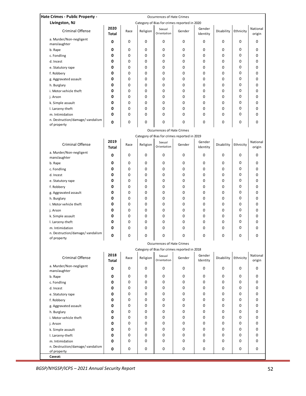| Hate Crimes - Public Property -                    |                                                                                   |      |          |                                   |                                              |                    |                      |           |                    |  |  |
|----------------------------------------------------|-----------------------------------------------------------------------------------|------|----------|-----------------------------------|----------------------------------------------|--------------------|----------------------|-----------|--------------------|--|--|
| Livingston, NJ                                     | <b>Occurrences of Hate Crimes</b><br>Category of Bias for crimes reported in 2020 |      |          |                                   |                                              |                    |                      |           |                    |  |  |
| <b>Criminal Offense</b>                            | 2020<br>Total                                                                     | Race | Religion | Sexual<br>Orientation             | Gender                                       | Gender<br>Identity | Disability           | Ethnicity | National<br>origin |  |  |
| a. Murder/Non-negligent<br>manslaughter            | 0                                                                                 | 0    | 0        | 0                                 | 0                                            | 0                  | 0                    | 0         | 0                  |  |  |
| b. Rape                                            | 0                                                                                 | 0    | 0        | 0                                 | 0                                            | 0                  | 0                    | 0         | 0                  |  |  |
| c. Fondling                                        | 0                                                                                 | 0    | 0        | 0                                 | 0                                            | 0                  | 0                    | 0         | 0                  |  |  |
| d. Incest                                          | 0                                                                                 | 0    | 0        | $\mathbf 0$                       | 0                                            | 0                  | 0                    | 0         | 0                  |  |  |
| e. Statutory rape                                  | 0                                                                                 | 0    | 0        | 0                                 | 0                                            | 0                  | 0                    | 0         | 0                  |  |  |
| f. Robbery                                         | 0                                                                                 | 0    | 0        | 0                                 | 0                                            | 0                  | 0                    | 0         | 0                  |  |  |
|                                                    | 0                                                                                 | 0    | 0        | 0                                 | 0                                            | 0                  | 0                    | 0         | 0                  |  |  |
| g. Aggravated assault                              | 0                                                                                 | 0    | 0        | 0                                 | 0                                            | 0                  | 0                    | 0         | 0                  |  |  |
| h. Burglary                                        | 0                                                                                 | 0    | 0        | 0                                 | 0                                            |                    |                      | 0         |                    |  |  |
| i. Motor vehicle theft                             |                                                                                   |      |          |                                   |                                              | 0                  | 0                    | 0         | 0                  |  |  |
| j. Arson                                           | 0                                                                                 | 0    | 0        | 0                                 | 0                                            | 0                  | 0                    |           | 0                  |  |  |
| k. Simple assault                                  | 0                                                                                 | 0    | 0        | $\mathbf 0$                       | 0                                            | 0                  | 0                    | 0         | 0                  |  |  |
| I. Larceny-theft                                   | 0                                                                                 | 0    | 0        | 0                                 | 0                                            | 0                  | 0                    | 0         | 0                  |  |  |
| m. Intimidation                                    | 0                                                                                 | 0    | 0        | 0                                 | 0                                            | 0                  | 0                    | 0         | 0                  |  |  |
| n. Destruction/damage/ vandalism<br>of property    | 0                                                                                 | 0    | 0        | 0                                 | 0                                            | 0                  | 0                    | 0         | 0                  |  |  |
|                                                    |                                                                                   |      |          | <b>Occurrences of Hate Crimes</b> |                                              |                    |                      |           |                    |  |  |
|                                                    | Category of Bias for crimes reported in 2019                                      |      |          |                                   |                                              |                    |                      |           |                    |  |  |
| <b>Criminal Offense</b>                            | 2019<br><b>Total</b>                                                              | Race | Religion | Sexual<br>Orientation             | Gender                                       | Gender<br>Identity | Disability Ethnicity |           | National<br>origin |  |  |
| a. Murder/Non-negligent<br>manslaughter            | 0                                                                                 | 0    | 0        | 0                                 | 0                                            | 0                  | 0                    | 0         | 0                  |  |  |
| b. Rape                                            | 0                                                                                 | 0    | 0        | 0                                 | 0                                            | 0                  | 0                    | 0         | 0                  |  |  |
| c. Fondling                                        | 0                                                                                 | 0    | 0        | 0                                 | 0                                            | 0                  | 0                    | 0         | 0                  |  |  |
| d. Incest                                          | 0                                                                                 | 0    | 0        | 0                                 | 0                                            | 0                  | 0                    | 0         | 0                  |  |  |
| e. Statutory rape                                  | 0                                                                                 | 0    | 0        | $\mathbf 0$                       | 0                                            | 0                  | 0                    | 0         | 0                  |  |  |
| f. Robbery                                         | 0                                                                                 | 0    | 0        | $\mathbf 0$                       | 0                                            | 0                  | 0                    | 0         | 0                  |  |  |
| g. Aggravated assault                              | 0                                                                                 | 0    | 0        | 0                                 | 0                                            | 0                  | 0                    | 0         | 0                  |  |  |
| h. Burglary                                        | 0                                                                                 | 0    | 0        | 0                                 | 0                                            | 0                  | 0                    | 0         | 0                  |  |  |
| i. Motor vehicle theft                             | 0                                                                                 | 0    | 0        | 0                                 | 0                                            | 0                  | 0                    | 0         | 0                  |  |  |
| j. Arson                                           | 0                                                                                 | 0    | 0        | 0                                 | 0                                            | 0                  | 0                    | 0         | 0                  |  |  |
| k. Simple assault                                  | 0                                                                                 | 0    | 0        | 0                                 | 0                                            | 0                  | 0                    | 0         | 0                  |  |  |
| I. Larceny-theft                                   | 0                                                                                 | 0    | 0        | $\mathbf 0$                       | 0                                            | 0                  | 0                    | 0         | 0                  |  |  |
| m. Intimidation                                    | 0                                                                                 | 0    | 0        | 0                                 | 0                                            | 0                  | 0                    | 0         | 0                  |  |  |
| n. Destruction/damage/ vandalism                   | 0                                                                                 | 0    | 0        | 0                                 | 0                                            | 0                  | 0                    | 0         | 0                  |  |  |
| of property                                        |                                                                                   |      |          | <b>Occurrences of Hate Crimes</b> |                                              |                    |                      |           |                    |  |  |
|                                                    |                                                                                   |      |          |                                   | Category of Bias for crimes reported in 2018 |                    |                      |           |                    |  |  |
|                                                    | 2018                                                                              |      |          | Sexual                            |                                              | Gender             |                      |           | National           |  |  |
| <b>Criminal Offense</b><br>a. Murder/Non-negligent | <b>Total</b>                                                                      | Race | Religion | Orientation                       | Gender                                       | Identity           | Disability           | Ethnicity | origin             |  |  |
| manslaughter                                       | 0                                                                                 | 0    | 0        | 0                                 | 0                                            | 0                  | 0                    | 0         | 0                  |  |  |
| b. Rape                                            | 0                                                                                 | 0    | 0        | 0                                 | 0                                            | 0                  | 0                    | 0         | 0                  |  |  |
| c. Fondling                                        | 0                                                                                 | 0    | 0        | 0                                 | 0                                            | 0                  | 0                    | 0         | 0                  |  |  |
| d. Incest                                          | 0                                                                                 | 0    | 0        | $\mathbf 0$                       | 0                                            | 0                  | 0                    | 0         | 0                  |  |  |
| e. Statutory rape                                  | 0                                                                                 | 0    | 0        | 0                                 | 0                                            | 0                  | 0                    | 0         | 0                  |  |  |
| f. Robbery                                         | 0                                                                                 | 0    | 0        | 0                                 | 0                                            | 0                  | 0                    | 0         | 0                  |  |  |
| g. Aggravated assault                              | 0                                                                                 | 0    | 0        | 0                                 | 0                                            | 0                  | 0                    | 0         | 0                  |  |  |
| h. Burglary                                        | 0                                                                                 | 0    | 0        | 0                                 | 0                                            | 0                  | 0                    | 0         | 0                  |  |  |
| i. Motor vehicle theft                             | 0                                                                                 | 0    | 0        | 0                                 | 0                                            | 0                  | 0                    | 0         | 0                  |  |  |
| j. Arson                                           | 0                                                                                 | 0    | 0        | 0                                 | 0                                            | 0                  | 0                    | 0         | 0                  |  |  |
| k. Simple assault                                  | 0                                                                                 | 0    | 0        | 0                                 | 0                                            | 0                  | 0                    | 0         | 0                  |  |  |
| I. Larceny-theft                                   | 0                                                                                 | 0    | 0        | 0                                 | 0                                            | 0                  | 0                    | 0         | 0                  |  |  |
| m. Intimidation                                    | 0                                                                                 | 0    | 0        | 0                                 | 0                                            | 0                  | 0                    | 0         | 0                  |  |  |
| n. Destruction/damage/ vandalism                   | $\mathbf 0$                                                                       | 0    | 0        | 0                                 | 0                                            | 0                  | 0                    | 0         | 0                  |  |  |
| of property<br>Caveat:                             |                                                                                   |      |          |                                   |                                              |                    |                      |           |                    |  |  |